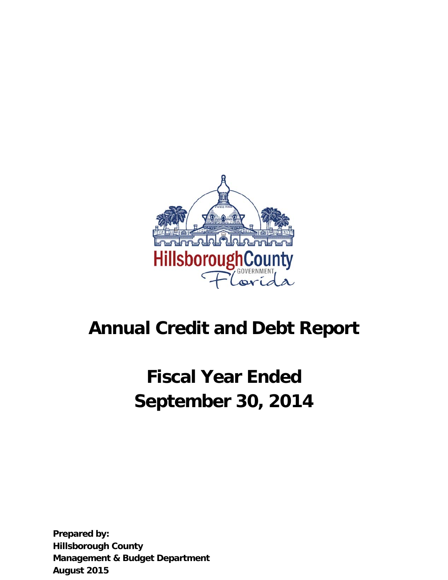

# **Annual Credit and Debt Report**

# **Fiscal Year Ended September 30, 2014**

**Prepared by: Hillsborough County Management & Budget Department August 2015**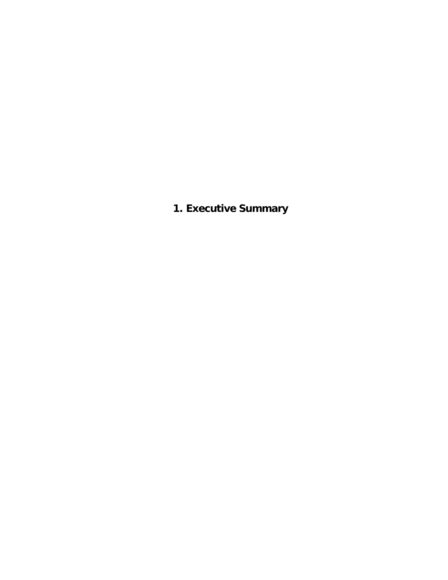**1. Executive Summary**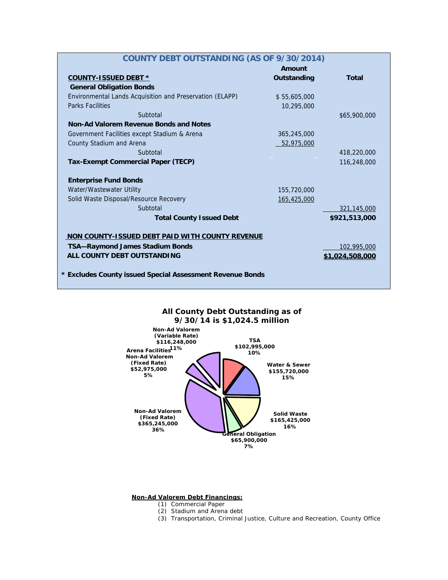| <b>COUNTY DEBT OUTSTANDING (AS OF 9/30/2014)</b>          |                    |                 |
|-----------------------------------------------------------|--------------------|-----------------|
|                                                           | Amount             |                 |
| <b>COUNTY-ISSUED DEBT *</b>                               | <b>Outstanding</b> | Total           |
| <b>General Obligation Bonds</b>                           |                    |                 |
| Environmental Lands Acquisition and Preservation (ELAPP)  | \$55,605,000       |                 |
| <b>Parks Facilities</b>                                   | 10,295,000         |                 |
| Subtotal                                                  |                    | \$65,900,000    |
| Non-Ad Valorem Revenue Bonds and Notes                    |                    |                 |
| Government Facilities except Stadium & Arena              | 365,245,000        |                 |
| County Stadium and Arena                                  | 52,975,000         |                 |
| Subtotal                                                  |                    | 418,220,000     |
| <b>Tax-Exempt Commercial Paper (TECP)</b>                 |                    | 116,248,000     |
| <b>Enterprise Fund Bonds</b>                              |                    |                 |
| Water/Wastewater Utility                                  | 155,720,000        |                 |
| Solid Waste Disposal/Resource Recovery                    | 165,425,000        |                 |
| Subtotal                                                  |                    | 321,145,000     |
| <b>Total County Issued Debt</b>                           |                    | \$921,513,000   |
| NON COUNTY-ISSUED DEBT PAID WITH COUNTY REVENUE           |                    |                 |
| <b>TSA-Raymond James Stadium Bonds</b>                    |                    | 102,995,000     |
| ALL COUNTY DEBT OUTSTANDING                               |                    | \$1,024,508,000 |
| * Excludes County issued Special Assessment Revenue Bonds |                    |                 |

# **All County Debt Outstanding as of 9/30/14 is \$1,024.5 million**



# **Non-Ad Valorem Debt Financings:**

- (1) Commercial Paper
- (2) Stadium and Arena debt
- (3) Transportation, Criminal Justice, Culture and Recreation, County Office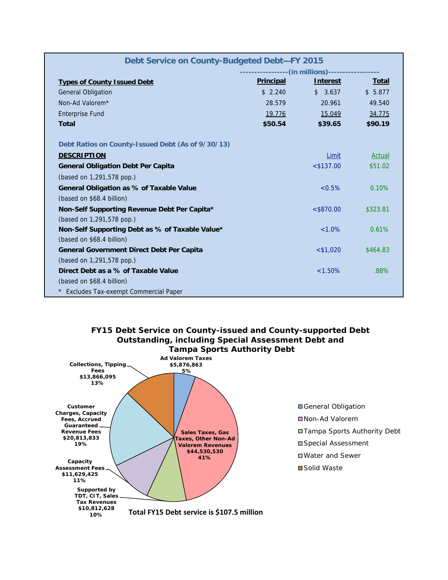| <b>Debt Service on County-Budgeted Debt-FY 2015</b> |                                    |                 |               |  |  |  |  |  |
|-----------------------------------------------------|------------------------------------|-----------------|---------------|--|--|--|--|--|
|                                                     | ---(in millions)------------------ |                 |               |  |  |  |  |  |
| <b>Types of County Issued Debt</b>                  | <b>Principal</b>                   | <b>Interest</b> | Total         |  |  |  |  |  |
| <b>General Obligation</b>                           | \$2.240                            | \$3.637         | \$5.877       |  |  |  |  |  |
| Non-Ad Valorem*                                     | 28.579                             | 20.961          | 49.540        |  |  |  |  |  |
| <b>Enterprise Fund</b>                              | 19.776                             | 15.049          | 34.775        |  |  |  |  |  |
| <b>Total</b>                                        | \$50.54                            | \$39.65         | \$90.19       |  |  |  |  |  |
| Debt Ratios on County-Issued Debt (As of 9/30/13)   |                                    |                 |               |  |  |  |  |  |
| <b>DESCRIPTION</b>                                  |                                    | Limit           | <b>Actual</b> |  |  |  |  |  |
| <b>General Obligation Debt Per Capita</b>           |                                    | $<$ \$137.00    | \$51.02       |  |  |  |  |  |
| (based on 1,291,578 pop.)                           |                                    |                 |               |  |  |  |  |  |
| General Obligation as % of Taxable Value            |                                    | $< 0.5\%$       | 0.10%         |  |  |  |  |  |
| (based on \$68.4 billion)                           |                                    |                 |               |  |  |  |  |  |
| Non-Self Supporting Revenue Debt Per Capita*        |                                    | $<$ \$870.00    | \$323.81      |  |  |  |  |  |
| (based on 1,291,578 pop.)                           |                                    |                 |               |  |  |  |  |  |
| Non-Self Supporting Debt as % of Taxable Value*     |                                    | $< 1.0\%$       | 0.61%         |  |  |  |  |  |
| (based on \$68.4 billion)                           |                                    |                 |               |  |  |  |  |  |
| <b>General Government Direct Debt Per Capita</b>    |                                    | $<$ \$1,020     | \$464.83      |  |  |  |  |  |
| (based on 1,291,578 pop.)                           |                                    |                 |               |  |  |  |  |  |
| Direct Debt as a % of Taxable Value                 |                                    | $< 1.50\%$      | .88%          |  |  |  |  |  |
| (based on \$68.4 billion)                           |                                    |                 |               |  |  |  |  |  |
| * Excludes Tax-exempt Commercial Paper              |                                    |                 |               |  |  |  |  |  |

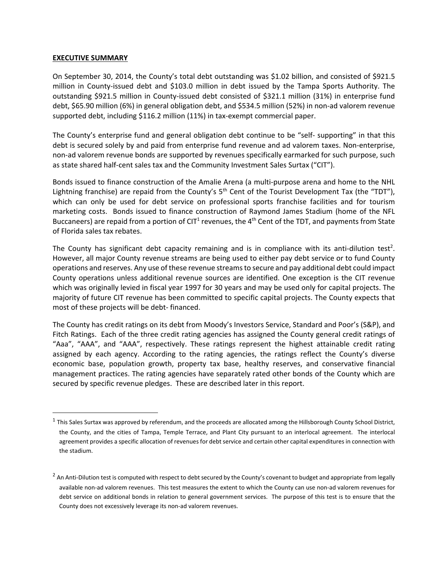# **EXECUTIVE SUMMARY**

On September 30, 2014, the County's total debt outstanding was \$1.02 billion, and consisted of \$921.5 million in County‐issued debt and \$103.0 million in debt issued by the Tampa Sports Authority. The outstanding \$921.5 million in County‐issued debt consisted of \$321.1 million (31%) in enterprise fund debt, \$65.90 million (6%) in general obligation debt, and \$534.5 million (52%) in non‐ad valorem revenue supported debt, including \$116.2 million (11%) in tax-exempt commercial paper.

The County's enterprise fund and general obligation debt continue to be "self‐ supporting" in that this debt is secured solely by and paid from enterprise fund revenue and ad valorem taxes. Non-enterprise, non‐ad valorem revenue bonds are supported by revenues specifically earmarked for such purpose, such as state shared half-cent sales tax and the Community Investment Sales Surtax ("CIT").

Bonds issued to finance construction of the Amalie Arena (a multi‐purpose arena and home to the NHL Lightning franchise) are repaid from the County's  $5<sup>th</sup>$  Cent of the Tourist Development Tax (the "TDT"), which can only be used for debt service on professional sports franchise facilities and for tourism marketing costs. Bonds issued to finance construction of Raymond James Stadium (home of the NFL Buccaneers) are repaid from a portion of CIT<sup>1</sup> revenues, the  $4<sup>th</sup>$  Cent of the TDT, and payments from State of Florida sales tax rebates.

The County has significant debt capacity remaining and is in compliance with its anti-dilution test<sup>2</sup>. However, all major County revenue streams are being used to either pay debt service or to fund County operations and reserves. Any use of these revenue streamsto secure and pay additional debt could impact County operations unless additional revenue sources are identified. One exception is the CIT revenue which was originally levied in fiscal year 1997 for 30 years and may be used only for capital projects. The majority of future CIT revenue has been committed to specific capital projects. The County expects that most of these projects will be debt‐ financed.

The County has credit ratings on its debt from Moody's Investors Service, Standard and Poor's (S&P), and Fitch Ratings. Each of the three credit rating agencies has assigned the County general credit ratings of "Aaa", "AAA", and "AAA", respectively. These ratings represent the highest attainable credit rating assigned by each agency. According to the rating agencies, the ratings reflect the County's diverse economic base, population growth, property tax base, healthy reserves, and conservative financial management practices. The rating agencies have separately rated other bonds of the County which are secured by specific revenue pledges. These are described later in this report.

 $1$  This Sales Surtax was approved by referendum, and the proceeds are allocated among the Hillsborough County School District, the County, and the cities of Tampa, Temple Terrace, and Plant City pursuant to an interlocal agreement. The interlocal agreement provides a specific allocation of revenues for debt service and certain other capital expenditures in connection with the stadium.

<sup>&</sup>lt;sup>2</sup> An Anti-Dilution test is computed with respect to debt secured by the County's covenant to budget and appropriate from legally available non‐ad valorem revenues. This test measures the extent to which the County can use non‐ad valorem revenues for debt service on additional bonds in relation to general government services. The purpose of this test is to ensure that the County does not excessively leverage its non‐ad valorem revenues.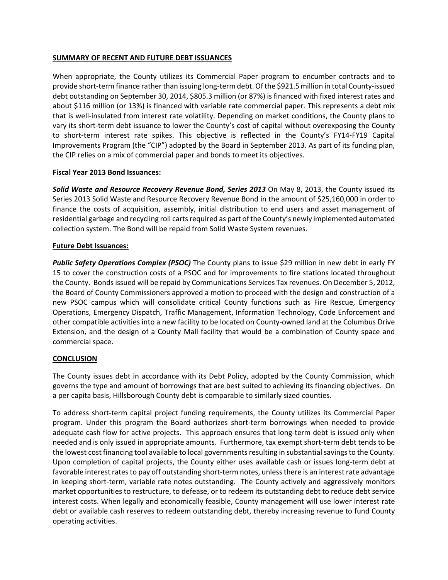# **SUMMARY OF RECENT AND FUTURE DEBT ISSUANCES**

When appropriate, the County utilizes its Commercial Paper program to encumber contracts and to provide short‐term finance rather than issuing long‐term debt. Of the \$921.5 million in total County‐issued debt outstanding on September 30, 2014, \$805.3 million (or 87%) is financed with fixed interest rates and about \$116 million (or 13%) is financed with variable rate commercial paper. This represents a debt mix that is well‐insulated from interest rate volatility. Depending on market conditions, the County plans to vary its short‐term debt issuance to lower the County's cost of capital without overexposing the County to short-term interest rate spikes. This objective is reflected in the County's FY14-FY19 Capital Improvements Program (the "CIP") adopted by the Board in September 2013. As part of its funding plan, the CIP relies on a mix of commercial paper and bonds to meet its objectives.

# **Fiscal Year 2013 Bond Issuances:**

*Solid Waste and Resource Recovery Revenue Bond, Series 2013* On May 8, 2013, the County issued its Series 2013 Solid Waste and Resource Recovery Revenue Bond in the amount of \$25,160,000 in order to finance the costs of acquisition, assembly, initial distribution to end users and asset management of residential garbage and recycling roll carts required as part of the County's newly implemented automated collection system. The Bond will be repaid from Solid Waste System revenues.

# **Future Debt Issuances:**

*Public Safety Operations Complex (PSOC)* The County plans to issue \$29 million in new debt in early FY 15 to cover the construction costs of a PSOC and for improvements to fire stations located throughout the County. Bonds issued will be repaid by Communications Services Tax revenues. On December 5, 2012, the Board of County Commissioners approved a motion to proceed with the design and construction of a new PSOC campus which will consolidate critical County functions such as Fire Rescue, Emergency Operations, Emergency Dispatch, Traffic Management, Information Technology, Code Enforcement and other compatible activities into a new facility to be located on County‐owned land at the Columbus Drive Extension, and the design of a County Mall facility that would be a combination of County space and commercial space.

# **CONCLUSION**

The County issues debt in accordance with its Debt Policy, adopted by the County Commission, which governs the type and amount of borrowings that are best suited to achieving its financing objectives. On a per capita basis, Hillsborough County debt is comparable to similarly sized counties.

To address short‐term capital project funding requirements, the County utilizes its Commercial Paper program. Under this program the Board authorizes short‐term borrowings when needed to provide adequate cash flow for active projects. This approach ensures that long-term debt is issued only when needed and is only issued in appropriate amounts. Furthermore, tax exempt short-term debt tends to be the lowest cost financing tool available to local governmentsresulting in substantialsavingsto the County. Upon completion of capital projects, the County either uses available cash or issues long‐term debt at favorable interest rates to pay off outstanding short-term notes, unless there is an interest rate advantage in keeping short-term, variable rate notes outstanding. The County actively and aggressively monitors market opportunities to restructure, to defease, or to redeem its outstanding debt to reduce debt service interest costs. When legally and economically feasible, County management will use lower interest rate debt or available cash reserves to redeem outstanding debt, thereby increasing revenue to fund County operating activities.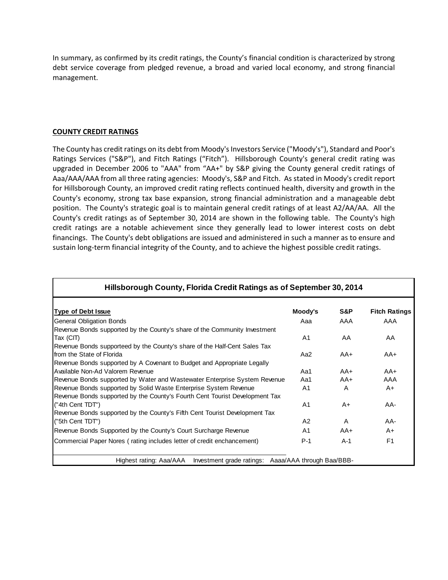In summary, as confirmed by its credit ratings, the County's financial condition is characterized by strong debt service coverage from pledged revenue, a broad and varied local economy, and strong financial management.

# **COUNTY CREDIT RATINGS**

The County has credit ratings on its debt from Moody's Investors Service ("Moody's"), Standard and Poor's Ratings Services ("S&P"), and Fitch Ratings ("Fitch"). Hillsborough County's general credit rating was upgraded in December 2006 to "AAA" from "AA+" by S&P giving the County general credit ratings of Aaa/AAA/AAA from all three rating agencies: Moody's, S&P and Fitch. As stated in Moody's credit report for Hillsborough County, an improved credit rating reflects continued health, diversity and growth in the County's economy, strong tax base expansion, strong financial administration and a manageable debt position. The County's strategic goal is to maintain general credit ratings of at least A2/AA/AA. All the County's credit ratings as of September 30, 2014 are shown in the following table. The County's high credit ratings are a notable achievement since they generally lead to lower interest costs on debt financings. The County's debt obligations are issued and administered in such a manner as to ensure and sustain long-term financial integrity of the County, and to achieve the highest possible credit ratings.

| Hillsborough County, Florida Credit Ratings as of September 30, 2014           |                |       |                      |
|--------------------------------------------------------------------------------|----------------|-------|----------------------|
| <b>Type of Debt Issue</b>                                                      | Moody's        | S&P   | <b>Fitch Ratings</b> |
| <b>General Obligation Bonds</b>                                                | Aaa            | AAA   | AAA                  |
| Revenue Bonds supported by the County's share of the Community Investment      |                |       |                      |
| Tax (CIT)                                                                      | A <sub>1</sub> | AA    | AA                   |
| Revenue Bonds supporteed by the County's share of the Half-Cent Sales Tax      |                |       |                      |
| from the State of Florida                                                      | Aa2            | $AA+$ | AA+                  |
| Revenue Bonds supported by A Covenant to Budget and Appropriate Legally        |                |       |                      |
| Available Non-Ad Valorem Revenue                                               | Aa1            | $AA+$ | $AA+$                |
| Revenue Bonds supported by Water and Wastewater Enterprise System Revenue      | Aa1            | $AA+$ | AAA                  |
| Revenue Bonds supported by Solid Waste Enterprise System Revenue               | A1             | A     | $A+$                 |
| Revenue Bonds supported by the County's Fourth Cent Tourist Development Tax    |                |       |                      |
| ("4th Cent TDT")                                                               | A <sub>1</sub> | $A+$  | AA-                  |
| Revenue Bonds supported by the County's Fifth Cent Tourist Development Tax     |                |       |                      |
| ("5th Cent TDT")                                                               | A2             | A     | AA-                  |
| Revenue Bonds Supported by the County's Court Surcharge Revenue                | A <sub>1</sub> | AA+   | $A+$                 |
| Commercial Paper Nores (rating includes letter of credit enchancement)         | $P-1$          | $A-1$ | F <sub>1</sub>       |
| Highest rating: Aaa/AAA<br>Investment grade ratings: Aaaa/AAA through Baa/BBB- |                |       |                      |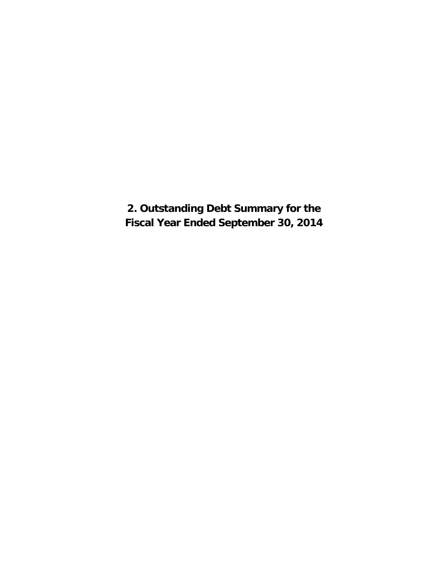**2. Outstanding Debt Summary for the Fiscal Year Ended September 30, 2014**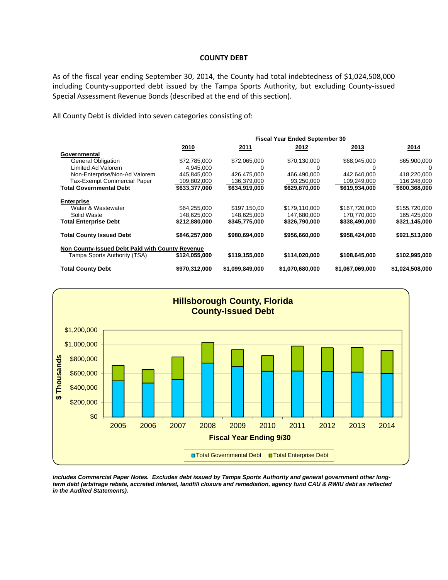### **COUNTY DEBT**

As of the fiscal year ending September 30, 2014, the County had total indebtedness of \$1,024,508,000 including County‐supported debt issued by the Tampa Sports Authority, but excluding County‐issued Special Assessment Revenue Bonds (described at the end of this section).

All County Debt is divided into seven categories consisting of:

|                                                 |               |                 | <b>Fiscal Year Ended September 30</b> |                 |                 |
|-------------------------------------------------|---------------|-----------------|---------------------------------------|-----------------|-----------------|
|                                                 | 2010          | 2011            | 2012                                  | 2013            | 2014            |
| Governmental                                    |               |                 |                                       |                 |                 |
| <b>General Obligation</b>                       | \$72,785,000  | \$72,065,000    | \$70,130,000                          | \$68,045,000    | \$65,900,000    |
| Limited Ad Valorem                              | 4,945,000     |                 |                                       |                 | 0               |
| Non-Enterprise/Non-Ad Valorem                   | 445.845.000   | 426,475,000     | 466,490,000                           | 442,640,000     | 418,220,000     |
| <b>Tax-Exempt Commercial Paper</b>              | 109,802,000   | 136,379,000     | 93,250,000                            | 109,249,000     | 116,248,000     |
| <b>Total Governmental Debt</b>                  | \$633,377,000 | \$634,919,000   | \$629,870,000                         | \$619,934,000   | \$600,368,000   |
| <b>Enterprise</b>                               |               |                 |                                       |                 |                 |
| Water & Wastewater                              | \$64,255,000  | \$197,150,00    | \$179,110,000                         | \$167,720,000   | \$155,720,000   |
| Solid Waste                                     | 148,625,000   | 148,625,000     | 147,680,000                           | 170,770,000     | 165,425,000     |
| <b>Total Enterprise Debt</b>                    | \$212,880,000 | \$345,775,000   | \$326,790,000                         | \$338,490,000   | \$321,145,000   |
| <b>Total County Issued Debt</b>                 | \$846,257,000 | \$980,694,000   | \$956,660,000                         | \$958,424,000   | \$921,513,000   |
| Non County-Issued Debt Paid with County Revenue |               |                 |                                       |                 |                 |
| Tampa Sports Authority (TSA)                    | \$124,055,000 | \$119,155,000   | \$114,020,000                         | \$108,645,000   | \$102,995,000   |
| <b>Total County Debt</b>                        | \$970,312,000 | \$1,099,849,000 | \$1,070,680,000                       | \$1,067,069,000 | \$1,024,508,000 |



*includes Commercial Paper Notes. Excludes debt issued by Tampa Sports Authority and general government other longterm debt (arbitrage rebate, accreted interest, landfill closure and remediation, agency fund CAU & RWIU debt as reflected in the Audited Statements).*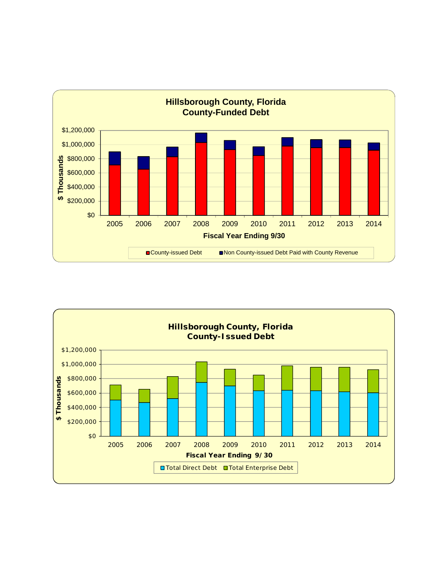

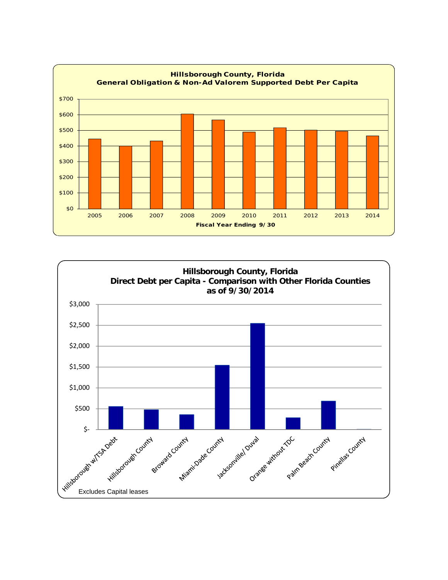

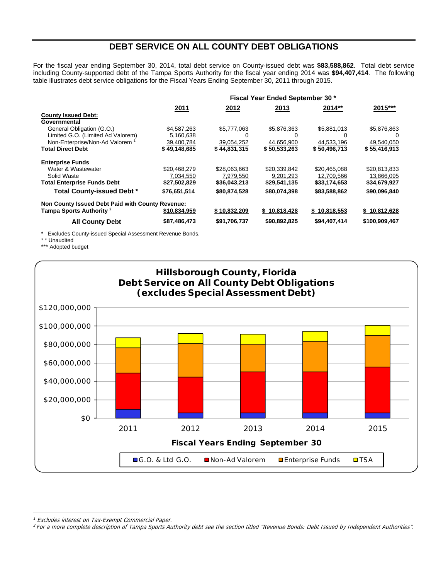# **DEBT SERVICE ON ALL COUNTY DEBT OBLIGATIONS**

For the fiscal year ending September 30, 2014, total debt service on County-issued debt was **\$83,588,862**. Total debt service including County-supported debt of the Tampa Sports Authority for the fiscal year ending 2014 was **\$94,407,414**. The following table illustrates debt service obligations for the Fiscal Years Ending September 30, 2011 through 2015.

|                                                  | <b>Fiscal Year Ended September 30 *</b> |              |              |              |               |  |  |  |  |
|--------------------------------------------------|-----------------------------------------|--------------|--------------|--------------|---------------|--|--|--|--|
|                                                  | 2011                                    | 2012         | 2013         | 2014**       | 2015***       |  |  |  |  |
| <b>County Issued Debt:</b>                       |                                         |              |              |              |               |  |  |  |  |
| Governmental                                     |                                         |              |              |              |               |  |  |  |  |
| General Obligation (G.O.)                        | \$4,587,263                             | \$5,777,063  | \$5,876,363  | \$5,881,013  | \$5,876,863   |  |  |  |  |
| Limited G.O. (Limited Ad Valorem)                | 5,160,638                               |              |              |              | $\Omega$      |  |  |  |  |
| Non-Enterprise/Non-Ad Valorem <sup>1</sup>       | 39,400,784                              | 39,054,252   | 44,656,900   | 44,533,196   | 49,540,050    |  |  |  |  |
| <b>Total Direct Debt</b>                         | \$49,148,685                            | \$44,831,315 | \$50,533,263 | \$50,496,713 | \$55,416,913  |  |  |  |  |
| <b>Enterprise Funds</b>                          |                                         |              |              |              |               |  |  |  |  |
| Water & Wastewater                               | \$20,468,279                            | \$28,063,663 | \$20,339,842 | \$20,465,088 | \$20,813,833  |  |  |  |  |
| Solid Waste                                      | 7.034.550                               | 7,979,550    | 9,201,293    | 12,709,566   | 13,866,095    |  |  |  |  |
| <b>Total Enterprise Funds Debt</b>               | \$27,502,829                            | \$36,043,213 | \$29,541,135 | \$33,174,653 | \$34,679,927  |  |  |  |  |
| <b>Total County-issued Debt *</b>                | \$76,651,514                            | \$80,874,528 | \$80,074,398 | \$83,588,862 | \$90,096,840  |  |  |  |  |
| Non County Issued Debt Paid with County Revenue: |                                         |              |              |              |               |  |  |  |  |
| Tampa Sports Authority <sup>2</sup>              | \$10,834,959                            | \$10,832,209 | \$10,818,428 | \$10,818,553 | \$10,812,628  |  |  |  |  |
| <b>All County Debt</b>                           | \$87,486,473                            | \$91,706,737 | \$90,892,825 | \$94,407,414 | \$100,909,467 |  |  |  |  |

\* Excludes County-issued Special Assessment Revenue Bonds.

\* \* Unaudited

\*\*\* Adopted budget



1

<sup>1</sup> Excludes interest on Tax-Exempt Commercial Paper.

<sup>&</sup>lt;sup>2</sup> For a more complete description of Tampa Sports Authority debt see the section titled "Revenue Bonds: Debt Issued by Independent Authorities".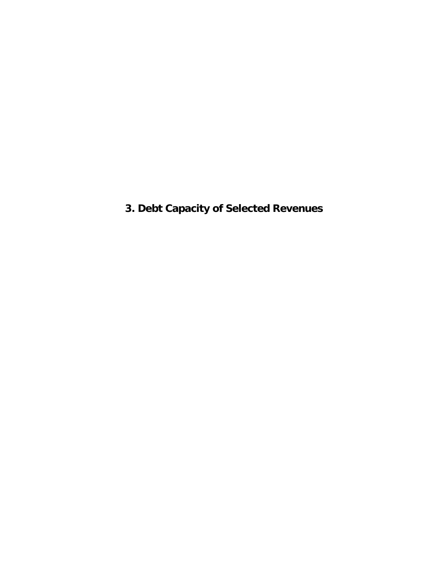**3. Debt Capacity of Selected Revenues**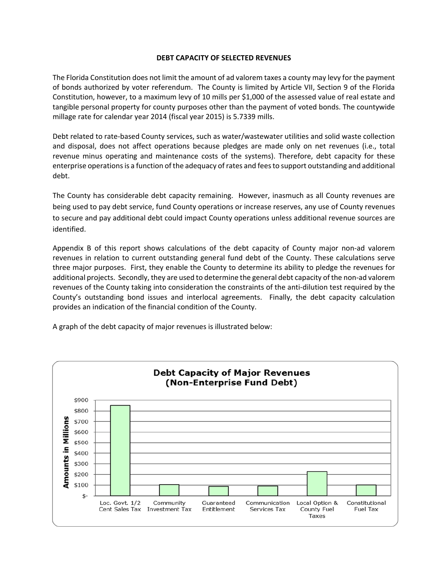# **DEBT CAPACITY OF SELECTED REVENUES**

The Florida Constitution does not limit the amount of ad valorem taxes a county may levy for the payment of bonds authorized by voter referendum. The County is limited by Article VII, Section 9 of the Florida Constitution, however, to a maximum levy of 10 mills per \$1,000 of the assessed value of real estate and tangible personal property for county purposes other than the payment of voted bonds. The countywide millage rate for calendar year 2014 (fiscal year 2015) is 5.7339 mills.

Debt related to rate‐based County services, such as water/wastewater utilities and solid waste collection and disposal, does not affect operations because pledges are made only on net revenues (i.e., total revenue minus operating and maintenance costs of the systems). Therefore, debt capacity for these enterprise operationsis a function of the adequacy of rates and feesto support outstanding and additional debt.

The County has considerable debt capacity remaining. However, inasmuch as all County revenues are being used to pay debt service, fund County operations or increase reserves, any use of County revenues to secure and pay additional debt could impact County operations unless additional revenue sources are identified.

Appendix B of this report shows calculations of the debt capacity of County major non‐ad valorem revenues in relation to current outstanding general fund debt of the County. These calculations serve three major purposes. First, they enable the County to determine its ability to pledge the revenues for additional projects. Secondly, they are used to determine the general debt capacity of the non‐ad valorem revenues of the County taking into consideration the constraints of the anti-dilution test required by the County's outstanding bond issues and interlocal agreements. Finally, the debt capacity calculation provides an indication of the financial condition of the County.

A graph of the debt capacity of major revenues is illustrated below:

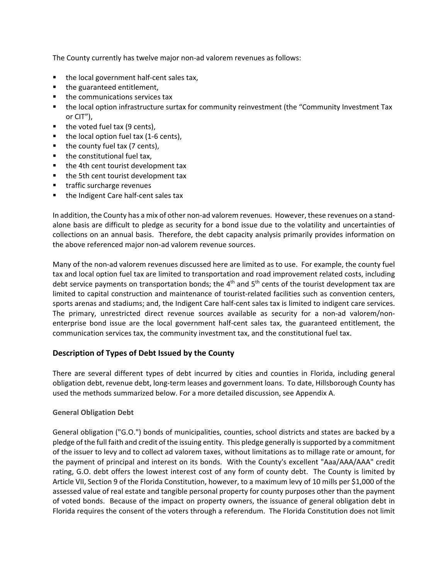The County currently has twelve major non‐ad valorem revenues as follows:

- the local government half‐cent sales tax,
- the guaranteed entitlement,
- the communications services tax
- the local option infrastructure surtax for community reinvestment (the "Community Investment Tax or CIT"),
- $\blacksquare$  the voted fuel tax (9 cents),
- the local option fuel tax (1-6 cents),
- $\blacksquare$  the county fuel tax (7 cents),
- the constitutional fuel tax,
- the 4th cent tourist development tax
- the 5th cent tourist development tax
- traffic surcharge revenues
- the Indigent Care half‐cent sales tax

In addition, the County has a mix of other non-ad valorem revenues. However, these revenues on a standalone basis are difficult to pledge as security for a bond issue due to the volatility and uncertainties of collections on an annual basis. Therefore, the debt capacity analysis primarily provides information on the above referenced major non‐ad valorem revenue sources.

Many of the non‐ad valorem revenues discussed here are limited as to use. For example, the county fuel tax and local option fuel tax are limited to transportation and road improvement related costs, including debt service payments on transportation bonds; the  $4<sup>th</sup>$  and  $5<sup>th</sup>$  cents of the tourist development tax are limited to capital construction and maintenance of tourist-related facilities such as convention centers, sports arenas and stadiums; and, the Indigent Care half-cent sales tax is limited to indigent care services. The primary, unrestricted direct revenue sources available as security for a non-ad valorem/nonenterprise bond issue are the local government half-cent sales tax, the guaranteed entitlement, the communication services tax, the community investment tax, and the constitutional fuel tax.

# **Description of Types of Debt Issued by the County**

There are several different types of debt incurred by cities and counties in Florida, including general obligation debt, revenue debt, long‐term leases and government loans. To date, Hillsborough County has used the methods summarized below. For a more detailed discussion, see Appendix A.

# **General Obligation Debt**

General obligation ("G.O.") bonds of municipalities, counties, school districts and states are backed by a pledge of the full faith and credit of the issuing entity. This pledge generally issupported by a commitment of the issuer to levy and to collect ad valorem taxes, without limitations as to millage rate or amount, for the payment of principal and interest on its bonds. With the County's excellent "Aaa/AAA/AAA" credit rating, G.O. debt offers the lowest interest cost of any form of county debt. The County is limited by Article VII, Section 9 of the Florida Constitution, however, to a maximum levy of 10 mills per \$1,000 of the assessed value of real estate and tangible personal property for county purposes other than the payment of voted bonds. Because of the impact on property owners, the issuance of general obligation debt in Florida requires the consent of the voters through a referendum. The Florida Constitution does not limit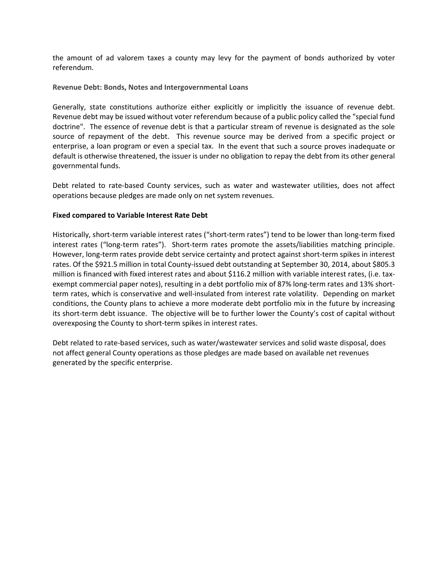the amount of ad valorem taxes a county may levy for the payment of bonds authorized by voter referendum.

# **Revenue Debt: Bonds, Notes and Intergovernmental Loans**

Generally, state constitutions authorize either explicitly or implicitly the issuance of revenue debt. Revenue debt may be issued without voter referendum because of a public policy called the "special fund doctrine". The essence of revenue debt is that a particular stream of revenue is designated as the sole source of repayment of the debt. This revenue source may be derived from a specific project or enterprise, a loan program or even a special tax. In the event that such a source proves inadequate or default is otherwise threatened, the issuer is under no obligation to repay the debt from its other general governmental funds.

Debt related to rate-based County services, such as water and wastewater utilities, does not affect operations because pledges are made only on net system revenues.

# **Fixed compared to Variable Interest Rate Debt**

Historically, short‐term variable interest rates ("short‐term rates") tend to be lower than long‐term fixed interest rates ("long-term rates"). Short-term rates promote the assets/liabilities matching principle. However, long‐term rates provide debt service certainty and protect against short‐term spikes in interest rates. Of the \$921.5 million in total County‐issued debt outstanding at September 30, 2014, about \$805.3 million is financed with fixed interest rates and about \$116.2 million with variable interest rates, (i.e. taxexempt commercial paper notes), resulting in a debt portfolio mix of 87% long-term rates and 13% shortterm rates, which is conservative and well‐insulated from interest rate volatility. Depending on market conditions, the County plans to achieve a more moderate debt portfolio mix in the future by increasing its short-term debt issuance. The objective will be to further lower the County's cost of capital without overexposing the County to short‐term spikes in interest rates.

Debt related to rate‐based services, such as water/wastewater services and solid waste disposal, does not affect general County operations as those pledges are made based on available net revenues generated by the specific enterprise.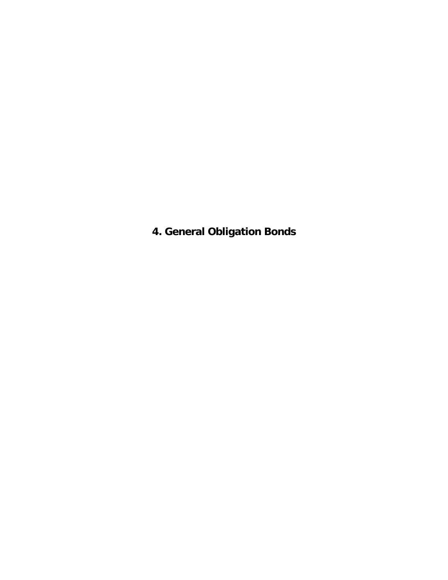**4. General Obligation Bonds**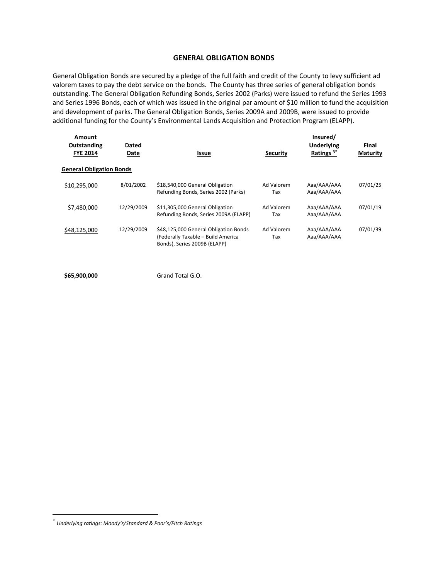### **GENERAL OBLIGATION BONDS**

General Obligation Bonds are secured by a pledge of the full faith and credit of the County to levy sufficient ad valorem taxes to pay the debt service on the bonds. The County has three series of general obligation bonds outstanding. The General Obligation Refunding Bonds, Series 2002 (Parks) were issued to refund the Series 1993 and Series 1996 Bonds, each of which was issued in the original par amount of \$10 million to fund the acquisition and development of parks. The General Obligation Bonds, Series 2009A and 2009B, were issued to provide additional funding for the County's Environmental Lands Acquisition and Protection Program (ELAPP).

| Amount<br>Outstanding<br><b>FYE 2014</b> | Dated<br>Date | Issue                                                                                                       | <b>Security</b>   | Insured/<br><b>Underlying</b><br>Ratings $3^*$ | Final<br><b>Maturity</b> |
|------------------------------------------|---------------|-------------------------------------------------------------------------------------------------------------|-------------------|------------------------------------------------|--------------------------|
| <b>General Obligation Bonds</b>          |               |                                                                                                             |                   |                                                |                          |
| \$10,295,000                             | 8/01/2002     | \$18,540,000 General Obligation<br>Refunding Bonds, Series 2002 (Parks)                                     | Ad Valorem<br>Tax | Aaa/AAA/AAA<br>Aaa/AAA/AAA                     | 07/01/25                 |
| \$7,480,000                              | 12/29/2009    | \$11,305,000 General Obligation<br>Refunding Bonds, Series 2009A (ELAPP)                                    | Ad Valorem<br>Tax | Aaa/AAA/AAA<br>Aaa/AAA/AAA                     | 07/01/19                 |
| \$48,125,000                             | 12/29/2009    | \$48,125,000 General Obligation Bonds<br>(Federally Taxable - Build America<br>Bonds), Series 2009B (ELAPP) | Ad Valorem<br>Tax | Aaa/AAA/AAA<br>Aaa/AAA/AAA                     | 07/01/39                 |

**\$65,900,000** Grand Total G.O.

<sup>\*</sup> *Underlying ratings: Moody's/Standard & Poor's/Fitch Ratings*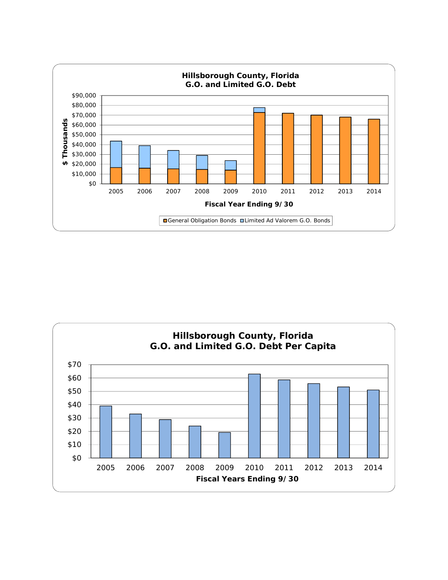

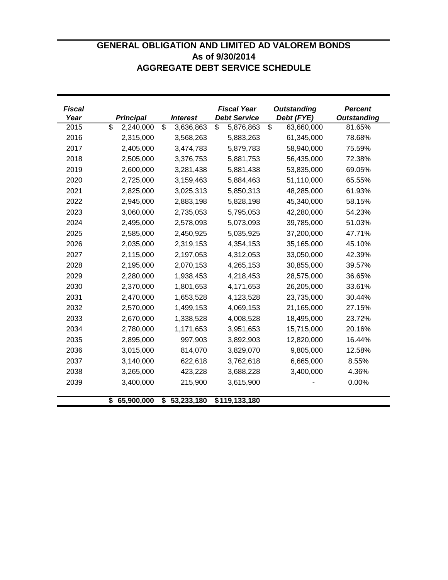# **GENERAL OBLIGATION AND LIMITED AD VALOREM BONDS As of 9/30/2014 AGGREGATE DEBT SERVICE SCHEDULE**

| <b>Fiscal</b> |                         |                  |                  | <b>Fiscal Year</b>  |                          | <b>Outstanding</b> | <b>Percent</b>     |
|---------------|-------------------------|------------------|------------------|---------------------|--------------------------|--------------------|--------------------|
| Year          |                         | <b>Principal</b> | <b>Interest</b>  | <b>Debt Service</b> |                          | Debt (FYE)         | <b>Outstanding</b> |
| 2015          | $\overline{\mathbb{S}}$ | 2,240,000        | \$<br>3,636,863  | \$<br>5,876,863     | $\overline{\mathcal{G}}$ | 63,660,000         | 81.65%             |
| 2016          |                         | 2,315,000        | 3,568,263        | 5,883,263           |                          | 61,345,000         | 78.68%             |
| 2017          |                         | 2,405,000        | 3,474,783        | 5,879,783           |                          | 58,940,000         | 75.59%             |
| 2018          |                         | 2,505,000        | 3,376,753        | 5,881,753           |                          | 56,435,000         | 72.38%             |
| 2019          |                         | 2,600,000        | 3,281,438        | 5,881,438           |                          | 53,835,000         | 69.05%             |
| 2020          |                         | 2,725,000        | 3,159,463        | 5,884,463           |                          | 51,110,000         | 65.55%             |
| 2021          |                         | 2,825,000        | 3,025,313        | 5,850,313           |                          | 48,285,000         | 61.93%             |
| 2022          |                         | 2,945,000        | 2,883,198        | 5,828,198           |                          | 45,340,000         | 58.15%             |
| 2023          |                         | 3,060,000        | 2,735,053        | 5,795,053           |                          | 42,280,000         | 54.23%             |
| 2024          |                         | 2,495,000        | 2,578,093        | 5,073,093           |                          | 39,785,000         | 51.03%             |
| 2025          |                         | 2,585,000        | 2,450,925        | 5,035,925           |                          | 37,200,000         | 47.71%             |
| 2026          |                         | 2,035,000        | 2,319,153        | 4,354,153           |                          | 35,165,000         | 45.10%             |
| 2027          |                         | 2,115,000        | 2,197,053        | 4,312,053           |                          | 33,050,000         | 42.39%             |
| 2028          |                         | 2,195,000        | 2,070,153        | 4,265,153           |                          | 30,855,000         | 39.57%             |
| 2029          |                         | 2,280,000        | 1,938,453        | 4,218,453           |                          | 28,575,000         | 36.65%             |
| 2030          |                         | 2,370,000        | 1,801,653        | 4,171,653           |                          | 26,205,000         | 33.61%             |
| 2031          |                         | 2,470,000        | 1,653,528        | 4,123,528           |                          | 23,735,000         | 30.44%             |
| 2032          |                         | 2,570,000        | 1,499,153        | 4,069,153           |                          | 21,165,000         | 27.15%             |
| 2033          |                         | 2,670,000        | 1,338,528        | 4,008,528           |                          | 18,495,000         | 23.72%             |
| 2034          |                         | 2,780,000        | 1,171,653        | 3,951,653           |                          | 15,715,000         | 20.16%             |
| 2035          |                         | 2,895,000        | 997,903          | 3,892,903           |                          | 12,820,000         | 16.44%             |
| 2036          |                         | 3,015,000        | 814,070          | 3,829,070           |                          | 9,805,000          | 12.58%             |
| 2037          |                         | 3,140,000        | 622,618          | 3,762,618           |                          | 6,665,000          | 8.55%              |
| 2038          |                         | 3,265,000        | 423,228          | 3,688,228           |                          | 3,400,000          | 4.36%              |
| 2039          |                         | 3,400,000        | 215,900          | 3,615,900           |                          |                    | 0.00%              |
|               |                         | \$65,900,000     | \$<br>53,233,180 | \$119,133,180       |                          |                    |                    |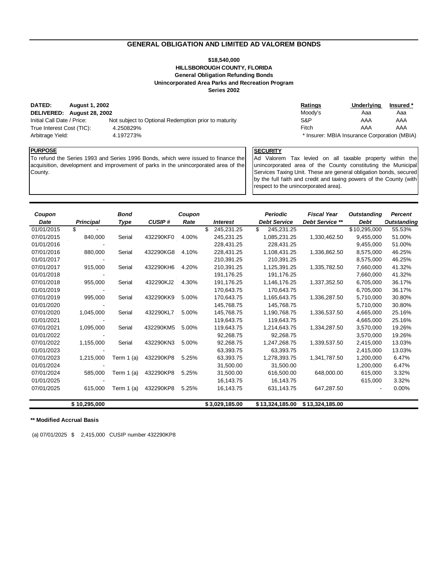#### **\$18,540,000 HILLSBOROUGH COUNTY, FLORIDA General Obligation Refunding Bonds Unincorporated Area Parks and Recreation Program Series 2002**

| <b>DATED:</b>              | <b>August 1, 2002</b> |                                                      | <b>Ratings</b>                               | <b>Underlying</b> | <u>Insured *</u> |
|----------------------------|-----------------------|------------------------------------------------------|----------------------------------------------|-------------------|------------------|
| DELIVERED: August 28, 2002 |                       |                                                      | Moody's                                      | Aaa               | Aaa              |
| Initial Call Date / Price: |                       | Not subject to Optional Redemption prior to maturity | S&P                                          | AAA               | AAA              |
| True Interest Cost (TIC):  |                       | 4.250829%                                            | Fitch                                        | AAA               | AAA              |
| Arbitrage Yield:           |                       | 4.197273%                                            | * Insurer: MBIA Insurance Corporation (MBIA) |                   |                  |

#### **PURPOSE SECURITY**

To refund the Series 1993 and Series 1996 Bonds, which were issued to finance the acquisition, development and improvement of parks in the unincorporated area of the County.

Ad Valorem Tax levied on all taxable property within the unincorporated area of the County constituting the Municipal Services Taxing Unit. These are general obligation bonds, secured by the full faith and credit and taxing powers of the County (with respect to the unincorporated area).

| Coupon     |                  | <b>Bond</b>  |               | Coupon |                  | <b>Periodic</b>     | <b>Fiscal Year</b> | <b>Outstanding</b> | <b>Percent</b>     |
|------------|------------------|--------------|---------------|--------|------------------|---------------------|--------------------|--------------------|--------------------|
| Date       | <b>Principal</b> | Type         | <b>CUSIP#</b> | Rate   | <b>Interest</b>  | <b>Debt Service</b> | Debt Service **    | <b>Debt</b>        | <b>Outstanding</b> |
| 01/01/2015 | \$               |              |               |        | \$<br>245,231.25 | \$<br>245,231.25    |                    | \$10,295,000       | 55.53%             |
| 07/01/2015 | 840,000          | Serial       | 432290KF0     | 4.00%  | 245,231.25       | 1,085,231.25        | 1,330,462.50       | 9,455,000          | 51.00%             |
| 01/01/2016 |                  |              |               |        | 228,431.25       | 228,431.25          |                    | 9,455,000          | 51.00%             |
| 07/01/2016 | 880,000          | Serial       | 432290KG8     | 4.10%  | 228,431.25       | 1,108,431.25        | 1,336,862.50       | 8,575,000          | 46.25%             |
| 01/01/2017 |                  |              |               |        | 210.391.25       | 210.391.25          |                    | 8,575,000          | 46.25%             |
| 07/01/2017 | 915,000          | Serial       | 432290KH6     | 4.20%  | 210,391.25       | 1,125,391.25        | 1,335,782.50       | 7,660,000          | 41.32%             |
| 01/01/2018 |                  |              |               |        | 191,176.25       | 191,176.25          |                    | 7,660,000          | 41.32%             |
| 07/01/2018 | 955,000          | Serial       | 432290KJ2     | 4.30%  | 191,176.25       | 1,146,176.25        | 1,337,352.50       | 6,705,000          | 36.17%             |
| 01/01/2019 |                  |              |               |        | 170,643.75       | 170,643.75          |                    | 6,705,000          | 36.17%             |
| 07/01/2019 | 995,000          | Serial       | 432290KK9     | 5.00%  | 170,643.75       | 1,165,643.75        | 1,336,287.50       | 5,710,000          | 30.80%             |
| 01/01/2020 |                  |              |               |        | 145,768.75       | 145,768.75          |                    | 5,710,000          | 30.80%             |
| 07/01/2020 | 1,045,000        | Serial       | 432290KL7     | 5.00%  | 145,768.75       | 1,190,768.75        | 1,336,537.50       | 4,665,000          | 25.16%             |
| 01/01/2021 |                  |              |               |        | 119,643.75       | 119,643.75          |                    | 4,665,000          | 25.16%             |
| 07/01/2021 | 1,095,000        | Serial       | 432290KM5     | 5.00%  | 119.643.75       | 1,214,643.75        | 1,334,287.50       | 3.570.000          | 19.26%             |
| 01/01/2022 |                  |              |               |        | 92,268.75        | 92,268.75           |                    | 3,570,000          | 19.26%             |
| 07/01/2022 | 1,155,000        | Serial       | 432290KN3     | 5.00%  | 92.268.75        | 1,247,268.75        | 1,339,537.50       | 2,415,000          | 13.03%             |
| 01/01/2023 |                  |              |               |        | 63,393.75        | 63,393.75           |                    | 2,415,000          | 13.03%             |
| 07/01/2023 | 1,215,000        | Term 1 (a)   | 432290KP8     | 5.25%  | 63,393.75        | 1,278,393.75        | 1,341,787.50       | 1,200,000          | 6.47%              |
| 01/01/2024 |                  |              |               |        | 31,500.00        | 31,500.00           |                    | 1,200,000          | 6.47%              |
| 07/01/2024 | 585,000          | Term $1$ (a) | 432290KP8     | 5.25%  | 31,500.00        | 616,500.00          | 648,000.00         | 615,000            | 3.32%              |
| 01/01/2025 |                  |              |               |        | 16,143.75        | 16,143.75           |                    | 615,000            | 3.32%              |
| 07/01/2025 | 615,000          | Term $1(a)$  | 432290KP8     | 5.25%  | 16,143.75        | 631,143.75          | 647,287.50         |                    | 0.00%              |
|            | \$10,295,000     |              |               |        | \$3,029,185.00   | \$13,324,185.00     | \$13,324,185.00    |                    |                    |

**\*\* Modified Accrual Basis**

(a) 07/01/2025 \$ 2,415,000 CUSIP number 432290KP8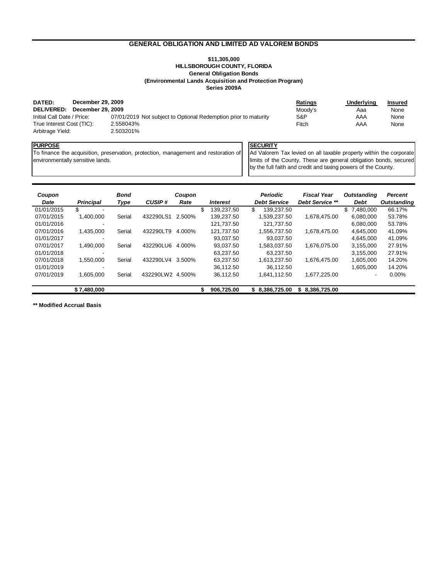#### **\$11,305,000 HILLSBOROUGH COUNTY, FLORIDA General Obligation Bonds (Environmental Lands Acquisition and Protection Program) Series 2009A**

| <b>DATED:</b><br><b>DELIVERED:</b> | December 29, 2009<br>December 29, 2009 |                                                                 | <b>Ratings</b><br>Moodv's | Underlying<br>Aaa | Insured<br>None |
|------------------------------------|----------------------------------------|-----------------------------------------------------------------|---------------------------|-------------------|-----------------|
| Initial Call Date / Price:         |                                        | 07/01/2019 Not subject to Optional Redemption prior to maturity | S&P                       | AAA               | None            |
| True Interest Cost (TIC):          |                                        | 2.558043%                                                       | Fitch                     | AAA               | None            |
| Arbitrage Yield:                   |                                        | 2.503201%                                                       |                           |                   |                 |

### **PURPOSE SECURITY**

To finance the acquisition, preservation, protection, management and restoration of environmentally sensitive lands.

Ad Valorem Tax levied on all taxable property within the corporate limits of the County. These are general obligation bonds, secured by the full faith and credit and taxing powers of the County.

| Coupon<br>Date | <b>Principal</b> | Bond<br>Type | <b>CUSIP#</b>    | Coupon<br>Rate | <i><b>Interest</b></i> | <b>Periodic</b><br><b>Debt Service</b> | <b>Fiscal Year</b><br>Debt Service ** | Outstanding<br><b>Debt</b> | Percent<br><b>Outstanding</b> |
|----------------|------------------|--------------|------------------|----------------|------------------------|----------------------------------------|---------------------------------------|----------------------------|-------------------------------|
| 01/01/2015     | \$               |              |                  |                | \$<br>139.237.50       | 139.237.50<br>\$.                      |                                       | \$<br>7.480.000            | 66.17%                        |
| 07/01/2015     | 1.400.000        | Serial       | 432290LS1        | 2.500%         | 139.237.50             | 1.539.237.50                           | 1,678,475.00                          | 6.080.000                  | 53.78%                        |
| 01/01/2016     | -                |              |                  |                | 121.737.50             | 121.737.50                             |                                       | 6.080.000                  | 53.78%                        |
| 07/01/2016     | 1.435.000        | Serial       | 432290LT9        | 4.000%         | 121.737.50             | 1.556.737.50                           | 1,678,475.00                          | 4,645,000                  | 41.09%                        |
| 01/01/2017     | -                |              |                  |                | 93.037.50              | 93.037.50                              |                                       | 4.645.000                  | 41.09%                        |
| 07/01/2017     | 1.490.000        | Serial       | 432290LU6        | 4.000%         | 93.037.50              | 1.583.037.50                           | 1.676.075.00                          | 3,155,000                  | 27.91%                        |
| 01/01/2018     | -                |              |                  |                | 63.237.50              | 63.237.50                              |                                       | 3.155.000                  | 27.91%                        |
| 07/01/2018     | 1.550.000        | Serial       | 432290LV4        | 3.500%         | 63.237.50              | 1.613.237.50                           | 1,676,475.00                          | 1,605,000                  | 14.20%                        |
| 01/01/2019     |                  |              |                  |                | 36,112.50              | 36.112.50                              |                                       | 1,605,000                  | 14.20%                        |
| 07/01/2019     | 1.605.000        | Serial       | 432290LW2 4.500% |                | 36.112.50              | 1.641.112.50                           | 1.677.225.00                          |                            | $0.00\%$                      |
|                | \$7,480,000      |              |                  |                | 906,725.00             | \$8.386.725.00                         | 8.386.725.00<br>S.                    |                            |                               |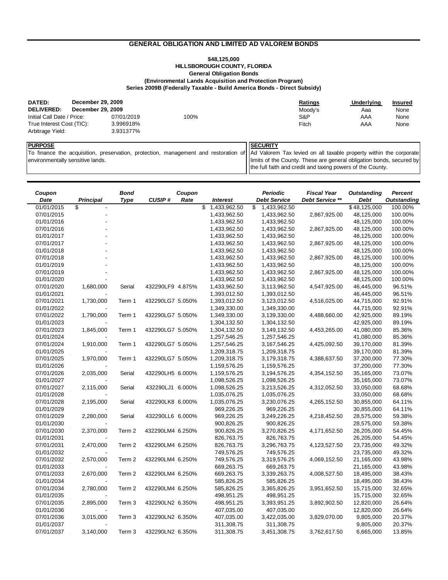#### **\$48,125,000 HILLSBOROUGH COUNTY, FLORIDA General Obligation Bonds (Environmental Lands Acquisition and Protection Program) Series 2009B (Federally Taxable - Build America Bonds - Direct Subsidy)**

| <b>DATED:</b><br><b>DELIVERED:</b> | December 29, 2009<br>December 29, 2009 |            |      |                 | Ratings<br>Moody's                                                                                                                                     | <b>Underlying</b><br>Aaa | <b>Insured</b><br>None |
|------------------------------------|----------------------------------------|------------|------|-----------------|--------------------------------------------------------------------------------------------------------------------------------------------------------|--------------------------|------------------------|
| Initial Call Date / Price:         |                                        | 07/01/2019 | 100% |                 | S&P                                                                                                                                                    | AAA                      | None                   |
| True Interest Cost (TIC):          |                                        | 3.996918%  |      |                 | Fitch                                                                                                                                                  | AAA                      | None                   |
| Arbitrage Yield:                   |                                        | 3.931377%  |      |                 |                                                                                                                                                        |                          |                        |
|                                    |                                        |            |      |                 |                                                                                                                                                        |                          |                        |
| <b>PURPOSE</b>                     |                                        |            |      | <b>SECURITY</b> |                                                                                                                                                        |                          |                        |
|                                    |                                        |            |      |                 | To finance the acquisition, preservation, protection, management and restoration of Ad Valorem Tax levied on all taxable property within the corporate |                          |                        |

environmentally sensitive lands.

limits of the County. These are general obligation bonds, secured by the full faith and credit and taxing powers of the County.

| Coupon                   |                  | <b>Bond</b> |                  | Coupon |                          | <b>Periodic</b>     | <b>Fiscal Year</b> | <b>Outstanding</b>       | <b>Percent</b>     |
|--------------------------|------------------|-------------|------------------|--------|--------------------------|---------------------|--------------------|--------------------------|--------------------|
| Date                     | <b>Principal</b> | Type        | <b>CUSIP#</b>    | Rate   | <b>Interest</b>          | <b>Debt Service</b> | Debt Service **    | Debt                     | <b>Outstanding</b> |
| 01/01/2015               | \$               |             |                  |        | \$<br>1,433,962.50       | \$<br>1,433,962.50  |                    | \$48,125,000             | 100.00%            |
| 07/01/2015               |                  |             |                  |        | 1,433,962.50             | 1,433,962.50        | 2,867,925.00       | 48,125,000               | 100.00%            |
| 01/01/2016               |                  |             |                  |        | 1,433,962.50             | 1,433,962.50        |                    | 48,125,000               | 100.00%            |
| 07/01/2016               |                  |             |                  |        | 1,433,962.50             | 1,433,962.50        | 2,867,925.00       | 48,125,000               | 100.00%            |
| 01/01/2017               |                  |             |                  |        | 1,433,962.50             | 1,433,962.50        |                    | 48,125,000               | 100.00%            |
| 07/01/2017               |                  |             |                  |        | 1,433,962.50             | 1,433,962.50        | 2,867,925.00       | 48,125,000               | 100.00%            |
| 01/01/2018               |                  |             |                  |        | 1,433,962.50             | 1,433,962.50        |                    | 48,125,000               | 100.00%            |
| 07/01/2018               |                  |             |                  |        | 1,433,962.50             | 1,433,962.50        | 2,867,925.00       | 48,125,000               | 100.00%            |
| 01/01/2019               |                  |             |                  |        | 1,433,962.50             | 1,433,962.50        |                    | 48,125,000               | 100.00%            |
| 07/01/2019               |                  |             |                  |        | 1,433,962.50             | 1,433,962.50        | 2,867,925.00       | 48,125,000               | 100.00%            |
| 01/01/2020               |                  |             |                  |        | 1,433,962.50             | 1,433,962.50        |                    | 48,125,000               | 100.00%            |
| 07/01/2020               | 1,680,000        | Serial      | 432290LF9 4.875% |        | 1,433,962.50             | 3,113,962.50        | 4,547,925.00       | 46,445,000               | 96.51%             |
| 01/01/2021               |                  |             |                  |        | 1,393,012.50             | 1,393,012.50        |                    | 46,445,000               | 96.51%             |
| 07/01/2021               | 1,730,000        | Term 1      | 432290LG7 5.050% |        | 1,393,012.50             | 3,123,012.50        | 4,516,025.00       | 44,715,000               | 92.91%             |
| 01/01/2022               |                  |             |                  |        | 1,349,330.00             | 1,349,330.00        |                    | 44,715,000               | 92.91%             |
| 07/01/2022               | 1,790,000        | Term 1      | 432290LG7 5.050% |        | 1,349,330.00             | 3,139,330.00        | 4,488,660.00       | 42,925,000               | 89.19%             |
| 01/01/2023               |                  |             |                  |        | 1,304,132.50             | 1,304,132.50        |                    | 42,925,000               | 89.19%             |
| 07/01/2023               | 1,845,000        | Term 1      | 432290LG7 5.050% |        | 1,304,132.50             | 3,149,132.50        | 4,453,265.00       | 41,080,000               | 85.36%             |
| 01/01/2024               |                  |             |                  |        | 1,257,546.25             | 1,257,546.25        |                    | 41,080,000               | 85.36%             |
| 07/01/2024               | 1,910,000        | Term 1      | 432290LG7 5.050% |        | 1,257,546.25             | 3,167,546.25        | 4,425,092.50       | 39,170,000               | 81.39%             |
| 01/01/2025               |                  |             |                  |        | 1,209,318.75             | 1,209,318.75        |                    | 39,170,000               | 81.39%             |
| 07/01/2025               | 1,970,000        | Term 1      | 432290LG7 5.050% |        | 1,209,318.75             | 3,179,318.75        | 4,388,637.50       | 37,200,000               | 77.30%             |
| 01/01/2026               |                  |             |                  |        | 1,159,576.25             | 1,159,576.25        |                    | 37,200,000               | 77.30%             |
| 07/01/2026               | 2,035,000        | Serial      | 432290LH5 6.000% |        | 1,159,576.25             | 3,194,576.25        | 4,354,152.50       | 35,165,000               | 73.07%             |
| 01/01/2027               |                  |             |                  |        | 1,098,526.25             | 1,098,526.25        |                    | 35,165,000               | 73.07%             |
| 07/01/2027               | 2,115,000        | Serial      | 432290LJ1 6.000% |        | 1,098,526.25             | 3,213,526.25        | 4,312,052.50       | 33,050,000               | 68.68%             |
| 01/01/2028               |                  |             |                  |        | 1,035,076.25             | 1,035,076.25        |                    | 33,050,000               | 68.68%             |
| 07/01/2028               | 2,195,000        | Serial      | 432290LK8 6.000% |        | 1,035,076.25             | 3,230,076.25        | 4,265,152.50       | 30,855,000               | 64.11%             |
| 01/01/2029               |                  |             |                  |        | 969,226.25               | 969,226.25          |                    | 30,855,000               | 64.11%             |
| 07/01/2029               | 2,280,000        | Serial      | 432290LL6 6.000% |        | 969,226.25               | 3,249,226.25        | 4,218,452.50       | 28,575,000               | 59.38%             |
| 01/01/2030               |                  |             |                  |        | 900,826.25               | 900,826.25          |                    | 28,575,000               | 59.38%             |
| 07/01/2030               | 2,370,000        | Term 2      | 432290LM4 6.250% |        | 900,826.25               | 3,270,826.25        | 4,171,652.50       | 26,205,000               | 54.45%             |
| 01/01/2031               |                  |             |                  |        | 826,763.75               | 826,763.75          |                    | 26,205,000               | 54.45%             |
| 07/01/2031               | 2,470,000        | Term 2      | 432290LM4 6.250% |        | 826,763.75               | 3,296,763.75        | 4,123,527.50       | 23,735,000               | 49.32%             |
| 01/01/2032               |                  |             |                  |        | 749,576.25               | 749,576.25          |                    | 23,735,000               | 49.32%             |
| 07/01/2032               | 2,570,000        | Term 2      | 432290LM4 6.250% |        | 749,576.25               | 3,319,576.25        | 4,069,152.50       | 21,165,000               | 43.98%             |
| 01/01/2033               |                  |             |                  |        | 669,263.75               | 669,263.75          |                    | 21,165,000               | 43.98%             |
| 07/01/2033               | 2,670,000        | Term 2      | 432290LM4 6.250% |        | 669,263.75               | 3,339,263.75        | 4,008,527.50       | 18,495,000               | 38.43%             |
| 01/01/2034               |                  |             |                  |        | 585,826.25               | 585,826.25          |                    | 18,495,000               | 38.43%             |
|                          |                  | Term 2      |                  |        |                          |                     |                    |                          |                    |
| 07/01/2034<br>01/01/2035 | 2,780,000        |             | 432290LM4 6.250% |        | 585,826.25               | 3,365,826.25        | 3,951,652.50       | 15,715,000               | 32.65%<br>32.65%   |
| 07/01/2035               |                  | Term 3      | 432290LN2 6.350% |        | 498,951.25<br>498,951.25 | 498,951.25          |                    | 15,715,000<br>12,820,000 | 26.64%             |
| 01/01/2036               | 2,895,000        |             |                  |        |                          | 3,393,951.25        | 3,892,902.50       |                          | 26.64%             |
|                          |                  |             |                  |        | 407,035.00               | 407,035.00          |                    | 12,820,000               |                    |
| 07/01/2036               | 3,015,000        | Term 3      | 432290LN2 6.350% |        | 407,035.00               | 3,422,035.00        | 3,829,070.00       | 9,805,000                | 20.37%             |
| 01/01/2037               |                  |             |                  |        | 311,308.75               | 311,308.75          |                    | 9,805,000                | 20.37%             |
| 07/01/2037               | 3,140,000        | Term 3      | 432290LN2 6.350% |        | 311,308.75               | 3,451,308.75        | 3,762,617.50       | 6,665,000                | 13.85%             |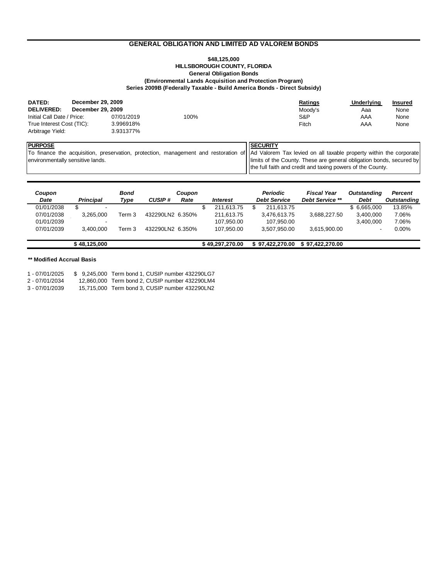#### **\$48,125,000 HILLSBOROUGH COUNTY, FLORIDA General Obligation Bonds (Environmental Lands Acquisition and Protection Program) Series 2009B (Federally Taxable - Build America Bonds - Direct Subsidy)**

| <b>DATED:</b><br><b>DELIVERED:</b>                 | December 29, 2009<br>December 29, 2009 |            |                                                                                                                                                        |                 | Ratings<br>Moody's | Underlying<br>Aaa                                                                                                                  | <b>Insured</b><br>None |
|----------------------------------------------------|----------------------------------------|------------|--------------------------------------------------------------------------------------------------------------------------------------------------------|-----------------|--------------------|------------------------------------------------------------------------------------------------------------------------------------|------------------------|
| Initial Call Date / Price:                         |                                        | 07/01/2019 | 100%                                                                                                                                                   |                 | S&P                | AAA                                                                                                                                | None                   |
| True Interest Cost (TIC):                          |                                        | 3.996918%  |                                                                                                                                                        |                 | Fitch              | AAA                                                                                                                                | None                   |
| Arbitrage Yield:                                   |                                        | 3.931377%  |                                                                                                                                                        |                 |                    |                                                                                                                                    |                        |
| <b>PURPOSE</b><br>environmentally sensitive lands. |                                        |            | To finance the acquisition, preservation, protection, management and restoration of Ad Valorem Tax levied on all taxable property within the corporate | <b>SECURITY</b> |                    | limits of the County. These are general obligation bonds, secured by<br>the full faith and credit and taxing powers of the County. |                        |
| $P_{\text{min}}$                                   |                                        | $P - -1$   | $\sim$                                                                                                                                                 | Devia alia      | Finnal Vann        |                                                                                                                                    | <b>Devenue</b>         |

| Coupon     |                  | Bond   |                  | Coupon |                        | <b>Periodic</b>     | <b>Fiscal Year</b> | Outstanding | Percent     |
|------------|------------------|--------|------------------|--------|------------------------|---------------------|--------------------|-------------|-------------|
| Date       | <b>Principal</b> | Type   | <b>CUSIP#</b>    | Rate   | <i><b>Interest</b></i> | <b>Debt Service</b> | Debt Service **    | <b>Debt</b> | Outstanding |
| 01/01/2038 |                  |        |                  |        | 211.613.75             | 211.613.75          |                    | \$6,665,000 | 13.85%      |
| 07/01/2038 | 3.265.000        | Term 3 | 432290LN2 6.350% |        | 211.613.75             | 3.476.613.75        | 3.688.227.50       | 3,400,000   | 7.06%       |
| 01/01/2039 |                  |        |                  |        | 107,950.00             | 107.950.00          |                    | 3.400.000   | 7.06%       |
| 07/01/2039 | 3.400.000        | Term 3 | 432290LN2 6.350% |        | 107.950.00             | 3.507.950.00        | 3.615.900.00       |             | $0.00\%$    |
|            |                  |        |                  |        |                        |                     |                    |             |             |
|            | \$48,125,000     |        |                  |        | \$49,297,270.00        | \$97.422.270.00     | \$97.422.270.00    |             |             |

| 1 - 07/01/2025 | \$ 9.245,000 Term bond 1, CUSIP number 432290LG7 |
|----------------|--------------------------------------------------|
| 2 - 07/01/2034 | 12.860.000 Term bond 2. CUSIP number 432290LM4   |
| 3 - 07/01/2039 | 15,715,000 Term bond 3, CUSIP number 432290LN2   |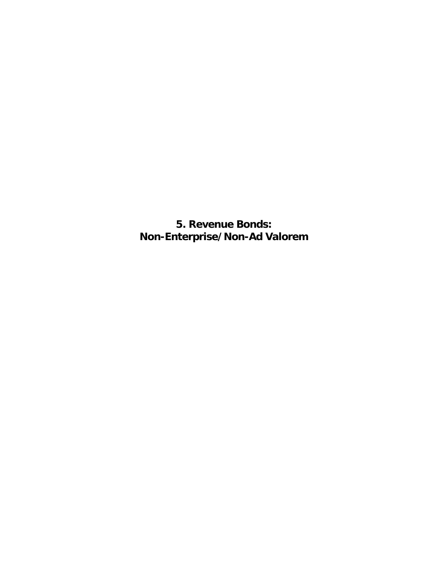**5. Revenue Bonds: Non-Enterprise/Non-Ad Valorem**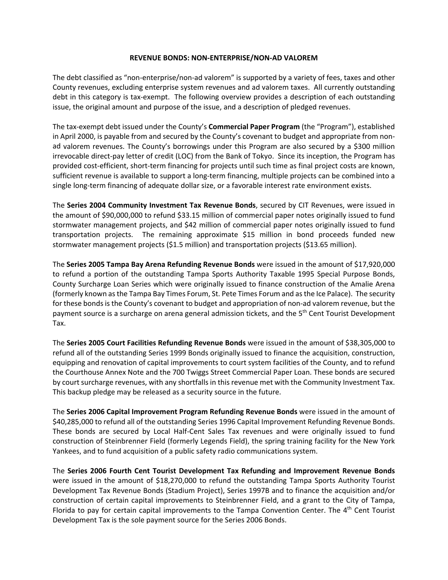The debt classified as "non‐enterprise/non‐ad valorem" is supported by a variety of fees, taxes and other County revenues, excluding enterprise system revenues and ad valorem taxes. All currently outstanding debt in this category is tax‐exempt. The following overview provides a description of each outstanding issue, the original amount and purpose of the issue, and a description of pledged revenues.

The tax‐exempt debt issued under the County's **Commercial Paper Program** (the "Program"), established in April 2000, is payable from and secured by the County's covenant to budget and appropriate from non‐ ad valorem revenues. The County's borrowings under this Program are also secured by a \$300 million irrevocable direct‐pay letter of credit (LOC) from the Bank of Tokyo. Since its inception, the Program has provided cost‐efficient, short‐term financing for projects until such time as final project costs are known, sufficient revenue is available to support a long-term financing, multiple projects can be combined into a single long-term financing of adequate dollar size, or a favorable interest rate environment exists.

The **Series 2004 Community Investment Tax Revenue Bonds**, secured by CIT Revenues, were issued in the amount of \$90,000,000 to refund \$33.15 million of commercial paper notes originally issued to fund stormwater management projects, and \$42 million of commercial paper notes originally issued to fund transportation projects. The remaining approximate \$15 million in bond proceeds funded new stormwater management projects (\$1.5 million) and transportation projects (\$13.65 million).

The **Series 2005 Tampa Bay Arena Refunding Revenue Bonds** were issued in the amount of \$17,920,000 to refund a portion of the outstanding Tampa Sports Authority Taxable 1995 Special Purpose Bonds, County Surcharge Loan Series which were originally issued to finance construction of the Amalie Arena (formerly known asthe Tampa Bay Times Forum, St. Pete Times Forum and asthe Ice Palace). The security for these bonds is the County's covenant to budget and appropriation of non-ad valorem revenue, but the payment source is a surcharge on arena general admission tickets, and the 5<sup>th</sup> Cent Tourist Development Tax.

The **Series 2005 Court Facilities Refunding Revenue Bonds** were issued in the amount of \$38,305,000 to refund all of the outstanding Series 1999 Bonds originally issued to finance the acquisition, construction, equipping and renovation of capital improvements to court system facilities of the County, and to refund the Courthouse Annex Note and the 700 Twiggs Street Commercial Paper Loan. These bonds are secured by court surcharge revenues, with any shortfalls in this revenue met with the Community Investment Tax. This backup pledge may be released as a security source in the future.

The **Series 2006 Capital Improvement Program Refunding Revenue Bonds** were issued in the amount of \$40,285,000 to refund all of the outstanding Series 1996 Capital Improvement Refunding Revenue Bonds. These bonds are secured by Local Half‐Cent Sales Tax revenues and were originally issued to fund construction of Steinbrenner Field (formerly Legends Field), the spring training facility for the New York Yankees, and to fund acquisition of a public safety radio communications system.

The **Series 2006 Fourth Cent Tourist Development Tax Refunding and Improvement Revenue Bonds** were issued in the amount of \$18,270,000 to refund the outstanding Tampa Sports Authority Tourist Development Tax Revenue Bonds (Stadium Project), Series 1997B and to finance the acquisition and/or construction of certain capital improvements to Steinbrenner Field, and a grant to the City of Tampa, Florida to pay for certain capital improvements to the Tampa Convention Center. The 4<sup>th</sup> Cent Tourist Development Tax is the sole payment source for the Series 2006 Bonds.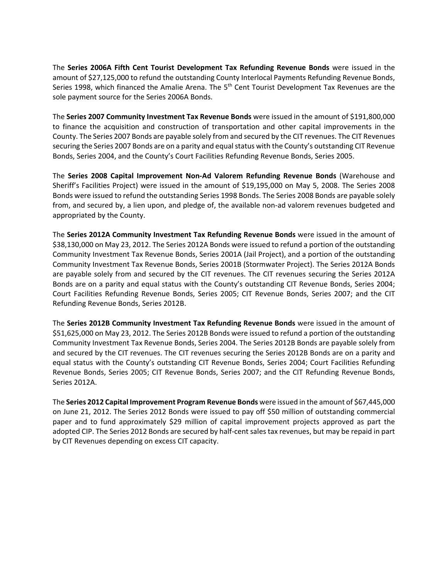The **Series 2006A Fifth Cent Tourist Development Tax Refunding Revenue Bonds** were issued in the amount of \$27,125,000 to refund the outstanding County Interlocal Payments Refunding Revenue Bonds, Series 1998, which financed the Amalie Arena. The 5<sup>th</sup> Cent Tourist Development Tax Revenues are the sole payment source for the Series 2006A Bonds.

The **Series 2007 Community Investment Tax Revenue Bonds** were issued in the amount of \$191,800,000 to finance the acquisition and construction of transportation and other capital improvements in the County. The Series 2007 Bonds are payable solely from and secured by the CIT revenues. The CIT Revenues securing the Series 2007 Bonds are on a parity and equal status with the County's outstanding CIT Revenue Bonds, Series 2004, and the County's Court Facilities Refunding Revenue Bonds, Series 2005.

The **Series 2008 Capital Improvement Non‐Ad Valorem Refunding Revenue Bonds** (Warehouse and Sheriff's Facilities Project) were issued in the amount of \$19,195,000 on May 5, 2008. The Series 2008 Bonds were issued to refund the outstanding Series 1998 Bonds. The Series 2008 Bonds are payable solely from, and secured by, a lien upon, and pledge of, the available non-ad valorem revenues budgeted and appropriated by the County.

The **Series 2012A Community Investment Tax Refunding Revenue Bonds** were issued in the amount of \$38,130,000 on May 23, 2012. The Series 2012A Bonds were issued to refund a portion of the outstanding Community Investment Tax Revenue Bonds, Series 2001A (Jail Project), and a portion of the outstanding Community Investment Tax Revenue Bonds, Series 2001B (Stormwater Project). The Series 2012A Bonds are payable solely from and secured by the CIT revenues. The CIT revenues securing the Series 2012A Bonds are on a parity and equal status with the County's outstanding CIT Revenue Bonds, Series 2004; Court Facilities Refunding Revenue Bonds, Series 2005; CIT Revenue Bonds, Series 2007; and the CIT Refunding Revenue Bonds, Series 2012B.

The **Series 2012B Community Investment Tax Refunding Revenue Bonds** were issued in the amount of \$51,625,000 on May 23, 2012. The Series 2012B Bonds were issued to refund a portion of the outstanding Community Investment Tax Revenue Bonds, Series 2004. The Series 2012B Bonds are payable solely from and secured by the CIT revenues. The CIT revenues securing the Series 2012B Bonds are on a parity and equal status with the County's outstanding CIT Revenue Bonds, Series 2004; Court Facilities Refunding Revenue Bonds, Series 2005; CIT Revenue Bonds, Series 2007; and the CIT Refunding Revenue Bonds, Series 2012A.

The **Series 2012 Capital Improvement Program Revenue Bonds** were issued in the amount of \$67,445,000 on June 21, 2012. The Series 2012 Bonds were issued to pay off \$50 million of outstanding commercial paper and to fund approximately \$29 million of capital improvement projects approved as part the adopted CIP. The Series 2012 Bonds are secured by half‐cent sales tax revenues, but may be repaid in part by CIT Revenues depending on excess CIT capacity.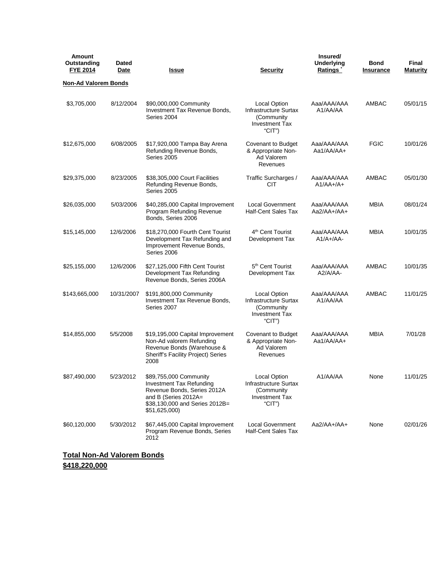| <b>Amount</b><br>Outstanding<br><b>FYE 2014</b> | <b>Dated</b><br>Date | <b>Issue</b>                                                                                                                                                 | Security                                                                                   | Insured/<br><b>Underlying</b><br><b>Ratings</b> | <b>Bond</b><br><b>Insurance</b> | Final<br><b>Maturity</b> |
|-------------------------------------------------|----------------------|--------------------------------------------------------------------------------------------------------------------------------------------------------------|--------------------------------------------------------------------------------------------|-------------------------------------------------|---------------------------------|--------------------------|
| <b>Non-Ad Valorem Bonds</b>                     |                      |                                                                                                                                                              |                                                                                            |                                                 |                                 |                          |
| \$3,705,000                                     | 8/12/2004            | \$90,000,000 Community<br>Investment Tax Revenue Bonds,<br>Series 2004                                                                                       | Local Option<br>Infrastructure Surtax<br>(Community<br><b>Investment Tax</b><br>" $CIT$ ") | Aaa/AAA/AAA<br>A1/AA/AA                         | AMBAC                           | 05/01/15                 |
| \$12,675,000                                    | 6/08/2005            | \$17,920,000 Tampa Bay Arena<br>Refunding Revenue Bonds,<br>Series 2005                                                                                      | Covenant to Budget<br>& Appropriate Non-<br>Ad Valorem<br>Revenues                         | Aaa/AAA/AAA<br>Aa1/AA/AA+                       | <b>FGIC</b>                     | 10/01/26                 |
| \$29,375,000                                    | 8/23/2005            | \$38,305,000 Court Facilities<br>Refunding Revenue Bonds,<br>Series 2005                                                                                     | Traffic Surcharges /<br><b>CIT</b>                                                         | Aaa/AAA/AAA<br>$A1/AA+/A+$                      | AMBAC                           | 05/01/30                 |
| \$26,035,000                                    | 5/03/2006            | \$40,285,000 Capital Improvement<br>Program Refunding Revenue<br>Bonds, Series 2006                                                                          | <b>Local Government</b><br><b>Half-Cent Sales Tax</b>                                      | Aaa/AAA/AAA<br>Aa2/AA+/AA+                      | <b>MBIA</b>                     | 08/01/24                 |
| \$15,145,000                                    | 12/6/2006            | \$18,270,000 Fourth Cent Tourist<br>Development Tax Refunding and<br>Improvement Revenue Bonds,<br>Series 2006                                               | 4 <sup>th</sup> Cent Tourist<br>Development Tax                                            | Aaa/AAA/AAA<br>$A1/A+/AA-$                      | <b>MBIA</b>                     | 10/01/35                 |
| \$25,155,000                                    | 12/6/2006            | \$27,125,000 Fifth Cent Tourist<br>Development Tax Refunding<br>Revenue Bonds, Series 2006A                                                                  | 5 <sup>th</sup> Cent Tourist<br>Development Tax                                            | Aaa/AAA/AAA<br>A2/A/AA-                         | AMBAC                           | 10/01/35                 |
| \$143,665,000                                   | 10/31/2007           | \$191,800,000 Community<br>Investment Tax Revenue Bonds,<br>Series 2007                                                                                      | Local Option<br>Infrastructure Surtax<br>(Community<br><b>Investment Tax</b><br>"CIT")     | Aaa/AAA/AAA<br>A1/AA/AA                         | AMBAC                           | 11/01/25                 |
| \$14,855,000                                    | 5/5/2008             | \$19,195,000 Capital Improvement<br>Non-Ad valorem Refunding<br>Revenue Bonds (Warehouse &<br>Sheriff's Facility Project) Series<br>2008                     | Covenant to Budget<br>& Appropriate Non-<br>Ad Valorem<br>Revenues                         | Aaa/AAA/AAA<br>Aa1/AA/AA+                       | <b>MBIA</b>                     | 7/01/28                  |
| \$87,490,000                                    | 5/23/2012            | \$89,755,000 Community<br>Investment Tax Refunding<br>Revenue Bonds, Series 2012A<br>and B (Series 2012A=<br>\$38,130,000 and Series 2012B=<br>\$51,625,000) | Local Option<br>Infrastructure Surtax<br>(Community<br><b>Investment Tax</b><br>"CIT")     | A1/AA/AA                                        | None                            | 11/01/25                 |
| \$60,120,000                                    | 5/30/2012            | \$67,445,000 Capital Improvement<br>Program Revenue Bonds, Series<br>2012                                                                                    | <b>Local Government</b><br><b>Half-Cent Sales Tax</b>                                      | Aa2/AA+/AA+                                     | None                            | 02/01/26                 |

# **Total Non-Ad Valorem Bonds \$418,220,000**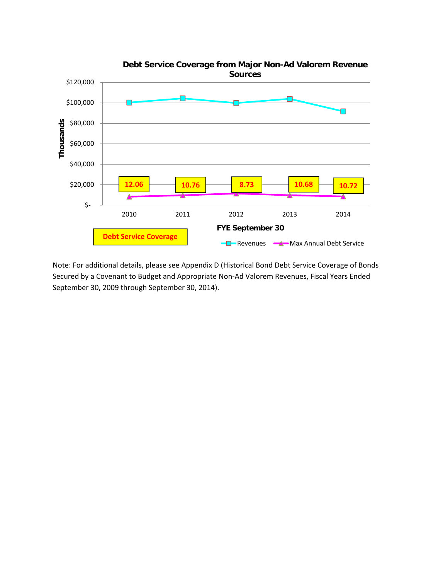

Note: For additional details, please see Appendix D (Historical Bond Debt Service Coverage of Bonds Secured by a Covenant to Budget and Appropriate Non‐Ad Valorem Revenues, Fiscal Years Ended September 30, 2009 through September 30, 2014).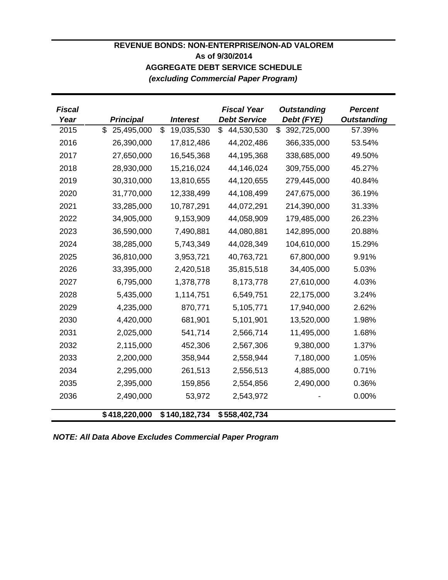# **REVENUE BONDS: NON-ENTERPRISE/NON-AD VALOREM As of 9/30/2014 AGGREGATE DEBT SERVICE SCHEDULE** *(excluding Commercial Paper Program)*

| <b>Fiscal</b> |                  |                  | <b>Fiscal Year</b>  | <b>Outstanding</b> | <b>Percent</b>     |
|---------------|------------------|------------------|---------------------|--------------------|--------------------|
| Year          | <b>Principal</b> | <b>Interest</b>  | <b>Debt Service</b> | Debt (FYE)         | <b>Outstanding</b> |
| 2015          | \$<br>25,495,000 | \$<br>19,035,530 | \$<br>44,530,530    | \$<br>392,725,000  | 57.39%             |
| 2016          | 26,390,000       | 17,812,486       | 44,202,486          | 366,335,000        | 53.54%             |
| 2017          | 27,650,000       | 16,545,368       | 44,195,368          | 338,685,000        | 49.50%             |
| 2018          | 28,930,000       | 15,216,024       | 44,146,024          | 309,755,000        | 45.27%             |
| 2019          | 30,310,000       | 13,810,655       | 44,120,655          | 279,445,000        | 40.84%             |
| 2020          | 31,770,000       | 12,338,499       | 44,108,499          | 247,675,000        | 36.19%             |
| 2021          | 33,285,000       | 10,787,291       | 44,072,291          | 214,390,000        | 31.33%             |
| 2022          | 34,905,000       | 9,153,909        | 44,058,909          | 179,485,000        | 26.23%             |
| 2023          | 36,590,000       | 7,490,881        | 44,080,881          | 142,895,000        | 20.88%             |
| 2024          | 38,285,000       | 5,743,349        | 44,028,349          | 104,610,000        | 15.29%             |
| 2025          | 36,810,000       | 3,953,721        | 40,763,721          | 67,800,000         | 9.91%              |
| 2026          | 33,395,000       | 2,420,518        | 35,815,518          | 34,405,000         | 5.03%              |
| 2027          | 6,795,000        | 1,378,778        | 8,173,778           | 27,610,000         | 4.03%              |
| 2028          | 5,435,000        | 1,114,751        | 6,549,751           | 22,175,000         | 3.24%              |
| 2029          | 4,235,000        | 870,771          | 5,105,771           | 17,940,000         | 2.62%              |
| 2030          | 4,420,000        | 681,901          | 5,101,901           | 13,520,000         | 1.98%              |
| 2031          | 2,025,000        | 541,714          | 2,566,714           | 11,495,000         | 1.68%              |
| 2032          | 2,115,000        | 452,306          | 2,567,306           | 9,380,000          | 1.37%              |
| 2033          | 2,200,000        | 358,944          | 2,558,944           | 7,180,000          | 1.05%              |
| 2034          | 2,295,000        | 261,513          | 2,556,513           | 4,885,000          | 0.71%              |
| 2035          | 2,395,000        | 159,856          | 2,554,856           | 2,490,000          | 0.36%              |
| 2036          | 2,490,000        | 53,972           | 2,543,972           |                    | 0.00%              |
|               | \$418,220,000    | \$140,182,734    | \$558,402,734       |                    |                    |

| <b>NOTE: All Data Above Excludes Commercial Paper Program</b> |  |  |  |
|---------------------------------------------------------------|--|--|--|
|---------------------------------------------------------------|--|--|--|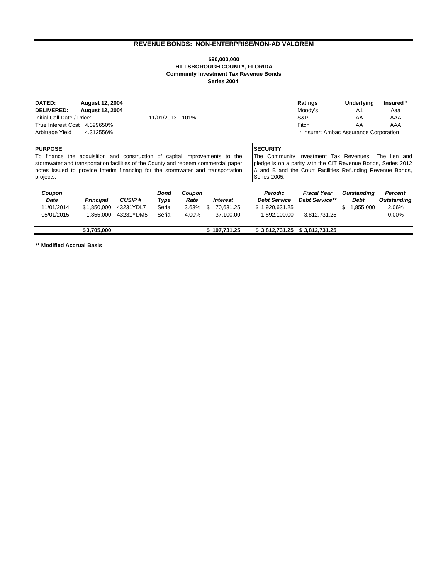#### **\$90,000,000 HILLSBOROUGH COUNTY, FLORIDA Community Investment Tax Revenue Bonds Series 2004**

| <b>DATED:</b>                | <b>August 12, 2004</b> |                 |                                                                                    |                  | <b>Ratings</b>                                                | <b>Underlying</b>                      | Insured * |
|------------------------------|------------------------|-----------------|------------------------------------------------------------------------------------|------------------|---------------------------------------------------------------|----------------------------------------|-----------|
| <b>DELIVERED:</b>            | <b>August 12, 2004</b> |                 |                                                                                    |                  | Moody's                                                       | A <sub>1</sub>                         | Aaa       |
| Initial Call Date / Price:   |                        | 11/01/2013 101% |                                                                                    |                  | S&P                                                           | AA                                     | AAA       |
| True Interest Cost 4.399650% |                        |                 |                                                                                    |                  | Fitch                                                         | AA                                     | AAA       |
| Arbitrage Yield              | 4.312556%              |                 |                                                                                    |                  |                                                               | * Insurer: Ambac Assurance Corporation |           |
|                              |                        |                 |                                                                                    |                  |                                                               |                                        |           |
| <b>PURPOSE</b>               |                        |                 |                                                                                    | <b>ISECURITY</b> |                                                               |                                        |           |
|                              |                        |                 | To finance the acquisition and construction of capital improvements to the         |                  | The Community Investment Tax Revenues. The lien and           |                                        |           |
|                              |                        |                 | stormwater and transportation facilities of the County and redeem commercial paper |                  | pledge is on a parity with the CIT Revenue Bonds, Series 2012 |                                        |           |
|                              |                        |                 | notes issued to provide interim financing for the stormwater and transportation    |                  | A and B and the Court Facilities Refunding Revenue Bonds,     |                                        |           |
| projects.                    |                        |                 |                                                                                    | Series 2005.     |                                                               |                                        |           |
|                              |                        |                 |                                                                                    |                  |                                                               |                                        |           |

| Coupon     |             |               | Bond   | Coupon |                        | Perodic             | <b>Fiscal Year</b>              | Outstanding | Percent     |
|------------|-------------|---------------|--------|--------|------------------------|---------------------|---------------------------------|-------------|-------------|
| Date       | Principal   | <b>CUSIP#</b> | Type   | Rate   | <i><b>Interest</b></i> | <b>Debt Service</b> | Debt Service**                  | <b>Debt</b> | Outstanding |
| 11/01/2014 | \$1.850.000 | 43231YDL7     | Serial | 3.63%  | 70.631.25              | \$1.920.631.25      |                                 | 1.855.000   | 2.06%       |
| 05/01/2015 | 1.855.000   | 43231YDM5     | Serial | 4.00%  | 37.100.00              | 1.892.100.00        | 3.812.731.25                    |             | 0.00%       |
|            |             |               |        |        |                        |                     |                                 |             |             |
|            | \$3,705,000 |               |        |        | \$107.731.25           |                     | $$3,812,731.25$ $$3,812,731.25$ |             |             |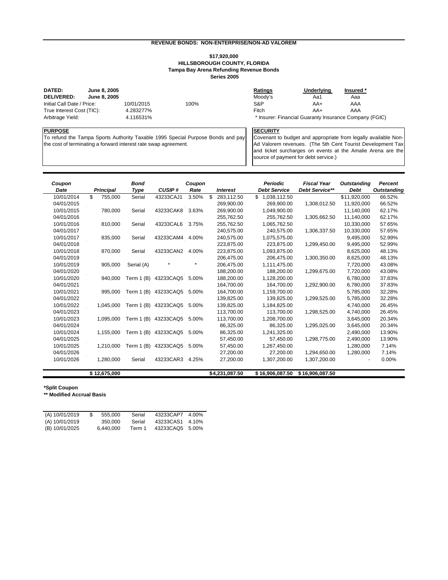#### **\$17,920,000 HILLSBOROUGH COUNTY, FLORIDA Tampa Bay Arena Refunding Revenue Bonds Series 2005**

| <b>DATED:</b><br><b>DELIVERED:</b> | June 8, 2005<br>June 8, 2005 |            |      | Ratings<br>Moody's | <b>Underlying</b><br>Aa1                               | Insured *<br>Aaa |
|------------------------------------|------------------------------|------------|------|--------------------|--------------------------------------------------------|------------------|
| Initial Call Date / Price:         |                              | 10/01/2015 | 100% | S&P                | AA+                                                    | AAA              |
| True Interest Cost (TIC):          |                              | 4.283277%  |      | Fitch              | AA+                                                    | AAA              |
| Arbitrage Yield:                   |                              | 4.116531%  |      |                    | * Insurer: Financial Guaranty Insurance Company (FGIC) |                  |

#### **PURPOSE SECURITY**

To refund the Tampa Sports Authority Taxable 1995 Special Purpose Bonds and pay the cost of terminating a forward interest rate swap agreement.

Covenant to budget and appropriate from legally available Non-Ad Valorem revenues. (The 5th Cent Tourist Development Tax and ticket surcharges on events at the Amalie Arena are the source of payment for debt service.)

| Coupon     |                  | <b>Bond</b>  |                      | Coupon |                  | <b>Periodic</b>     | <b>Fiscal Year</b> | <b>Outstanding</b> | <b>Percent</b>     |
|------------|------------------|--------------|----------------------|--------|------------------|---------------------|--------------------|--------------------|--------------------|
| Date       | <b>Principal</b> | Type         | <b>CUSIP#</b>        | Rate   | <b>Interest</b>  | <b>Debt Service</b> | Debt Service**     | <b>Debt</b>        | <b>Outstanding</b> |
| 10/01/2014 | \$<br>755,000    | Serial       | 43233CAJ1            | 3.50%  | \$<br>283,112.50 | \$1,038,112.50      |                    | \$11.920.000       | 66.52%             |
| 04/01/2015 |                  |              |                      |        | 269,900.00       | 269,900.00          | 1,308,012.50       | 11,920,000         | 66.52%             |
| 10/01/2015 | 780,000          | Serial       | 43233CAK8            | 3.63%  | 269,900.00       | 1,049,900.00        |                    | 11,140,000         | 62.17%             |
| 04/01/2016 |                  |              |                      |        | 255.762.50       | 255.762.50          | 1,305,662.50       | 11.140.000         | 62.17%             |
| 10/01/2016 | 810,000          | Serial       | 43233CAL6            | 3.75%  | 255,762.50       | 1,065,762.50        |                    | 10,330,000         | 57.65%             |
| 04/01/2017 |                  |              |                      |        | 240,575.00       | 240,575.00          | 1,306,337.50       | 10,330,000         | 57.65%             |
| 10/01/2017 | 835,000          | Serial       | 43233CAM4 4.00%      |        | 240.575.00       | 1,075,575.00        |                    | 9.495.000          | 52.99%             |
| 04/01/2018 |                  |              |                      |        | 223,875.00       | 223,875.00          | 1,299,450.00       | 9,495,000          | 52.99%             |
| 10/01/2018 | 870,000          | Serial       | 43233CAN2            | 4.00%  | 223,875.00       | 1,093,875.00        |                    | 8,625,000          | 48.13%             |
| 04/01/2019 |                  |              |                      |        | 206.475.00       | 206.475.00          | 1,300,350.00       | 8,625,000          | 48.13%             |
| 10/01/2019 | 905,000          | Serial (A)   |                      |        | 206,475.00       | 1,111,475.00        |                    | 7,720,000          | 43.08%             |
| 04/01/2020 |                  |              |                      |        | 188.200.00       | 188.200.00          | 1,299,675.00       | 7,720,000          | 43.08%             |
| 10/01/2020 | 940,000          | Term $1$ (B) | 43233CAQ5            | 5.00%  | 188,200.00       | 1,128,200.00        |                    | 6,780,000          | 37.83%             |
| 04/01/2021 |                  |              |                      |        | 164,700.00       | 164,700.00          | 1,292,900.00       | 6,780,000          | 37.83%             |
| 10/01/2021 | 995.000          |              | Term 1 (B) 43233CAQ5 | 5.00%  | 164.700.00       | 1,159,700.00        |                    | 5,785,000          | 32.28%             |
| 04/01/2022 |                  |              |                      |        | 139,825.00       | 139,825.00          | 1,299,525.00       | 5,785,000          | 32.28%             |
| 10/01/2022 | 1,045,000        | Term $1(B)$  | 43233CAQ5 5.00%      |        | 139,825.00       | 1,184,825.00        |                    | 4,740,000          | 26.45%             |
| 04/01/2023 |                  |              |                      |        | 113.700.00       | 113.700.00          | 1,298,525.00       | 4,740,000          | 26.45%             |
| 10/01/2023 | 1.095.000        | Term $1(B)$  | 43233CAQ5            | 5.00%  | 113,700.00       | 1,208,700.00        |                    | 3,645,000          | 20.34%             |
| 04/01/2024 |                  |              |                      |        | 86,325.00        | 86,325.00           | 1,295,025.00       | 3,645,000          | 20.34%             |
| 10/01/2024 | 1,155,000        | Term $1(B)$  | 43233CAQ5            | 5.00%  | 86,325.00        | 1,241,325.00        |                    | 2,490,000          | 13.90%             |
| 04/01/2025 |                  |              |                      |        | 57,450.00        | 57,450.00           | 1,298,775.00       | 2,490,000          | 13.90%             |
| 10/01/2025 | 1.210.000        | Term $1(B)$  | 43233CAQ5 5.00%      |        | 57.450.00        | 1,267,450.00        |                    | 1,280,000          | 7.14%              |
| 04/01/2026 |                  |              |                      |        | 27,200.00        | 27,200.00           | 1,294,650.00       | 1,280,000          | 7.14%              |
| 10/01/2026 | 1,280,000        | Serial       | 43233CAR3 4.25%      |        | 27,200.00        | 1,307,200.00        | 1,307,200.00       |                    | 0.00%              |
|            |                  |              |                      |        |                  |                     |                    |                    |                    |
|            | \$12.675.000     |              |                      |        | \$4,231,087.50   | \$16,906,087.50     | \$16,906,087.50    |                    |                    |

**\*Split Coupon**

| (A) 10/01/2019 | 555.000   | Serial | 43233CAP7       | 4 00% |
|----------------|-----------|--------|-----------------|-------|
| (A) 10/01/2019 | 350.000   | Serial | 43233CAS1 4.10% |       |
| (B) 10/01/2025 | 6.440.000 | Term 1 | 43233CAO5 5.00% |       |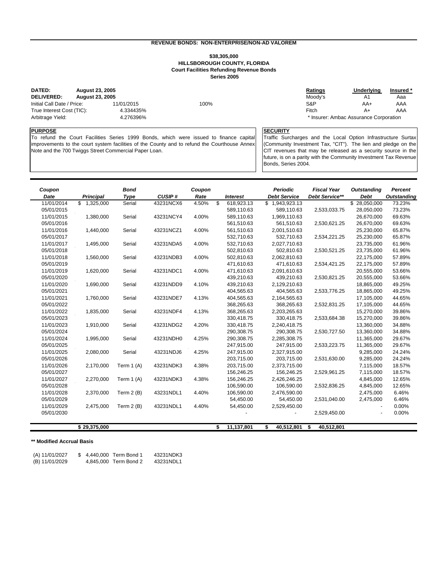#### **\$38,305,000 HILLSBOROUGH COUNTY, FLORIDA Court Facilities Refunding Revenue Bonds Series 2005**

| <b>DATED:</b>              | August 23, 2005        |            |      |                  | Ratings | <b>Underlying</b>                      | Insured * |
|----------------------------|------------------------|------------|------|------------------|---------|----------------------------------------|-----------|
| <b>DELIVERED:</b>          | <b>August 23, 2005</b> |            |      |                  | Moody's | A1                                     | Aaa       |
| Initial Call Date / Price: |                        | 11/01/2015 | 100% |                  | S&P     | AA+                                    | AAA       |
| True Interest Cost (TIC):  |                        | 4.334435%  |      |                  | Fitch   | A+                                     | AAA       |
| Arbitrage Yield:           |                        | 4.276396%  |      |                  |         | * Insurer: Ambac Assurance Corporation |           |
| <b>PURPOSE</b>             |                        |            |      | <b>ISECURITY</b> |         |                                        |           |

To refund the Court Facilities Series 1999 Bonds, which were issued to finance capital improvements to the court system facilities of the County and to refund the Courthouse Annex Note and the 700 Twiggs Street Commercial Paper Loan.

| <b>BUDUNII</b>                                                   |
|------------------------------------------------------------------|
| Traffic Surcharges and the Local Option Infrastructure Surtax    |
| (Community Investment Tax, "CIT"). The lien and pledge on the    |
| CIT revenues that may be released as a security source in the    |
| future, is on a parity with the Community Investment Tax Revenue |
| Bonds, Series 2004.                                              |
|                                                                  |

| Coupon     |                  | <b>Bond</b> |               | Coupon |                  | <b>Periodic</b>     | <b>Fiscal Year</b> | <b>Outstanding</b> | <b>Percent</b>     |
|------------|------------------|-------------|---------------|--------|------------------|---------------------|--------------------|--------------------|--------------------|
| Date       | <b>Principal</b> | Type        | <b>CUSIP#</b> | Rate   | <b>Interest</b>  | <b>Debt Service</b> | Debt Service**     | <b>Debt</b>        | <b>Outstanding</b> |
| 11/01/2014 | \$1,325,000      | Serial      | 43231NCX6     | 4.50%  | \$<br>618,923.13 | \$1,943,923.13      |                    | \$28,050,000       | 73.23%             |
| 05/01/2015 |                  |             |               |        | 589,110.63       | 589,110.63          | 2,533,033.75       | 28,050,000         | 73.23%             |
| 11/01/2015 | 1,380,000        | Serial      | 43231NCY4     | 4.00%  | 589,110.63       | 1,969,110.63        |                    | 26,670,000         | 69.63%             |
| 05/01/2016 |                  |             |               |        | 561,510.63       | 561,510.63          | 2,530,621.25       | 26,670,000         | 69.63%             |
| 11/01/2016 | 1,440,000        | Serial      | 43231NCZ1     | 4.00%  | 561,510.63       | 2,001,510.63        |                    | 25,230,000         | 65.87%             |
| 05/01/2017 |                  |             |               |        | 532,710.63       | 532,710.63          | 2,534,221.25       | 25,230,000         | 65.87%             |
| 11/01/2017 | 1,495,000        | Serial      | 43231NDA5     | 4.00%  | 532,710.63       | 2,027,710.63        |                    | 23,735,000         | 61.96%             |
| 05/01/2018 |                  |             |               |        | 502,810.63       | 502,810.63          | 2,530,521.25       | 23,735,000         | 61.96%             |
| 11/01/2018 | 1,560,000        | Serial      | 43231NDB3     | 4.00%  | 502,810.63       | 2,062,810.63        |                    | 22,175,000         | 57.89%             |
| 05/01/2019 |                  |             |               |        | 471,610.63       | 471,610.63          | 2,534,421.25       | 22,175,000         | 57.89%             |
| 11/01/2019 | 1,620,000        | Serial      | 43231NDC1     | 4.00%  | 471,610.63       | 2,091,610.63        |                    | 20,555,000         | 53.66%             |
| 05/01/2020 |                  |             |               |        | 439,210.63       | 439,210.63          | 2,530,821.25       | 20,555,000         | 53.66%             |
| 11/01/2020 | 1,690,000        | Serial      | 43231NDD9     | 4.10%  | 439.210.63       | 2.129.210.63        |                    | 18,865,000         | 49.25%             |
| 05/01/2021 |                  |             |               |        | 404,565.63       | 404,565.63          | 2,533,776.25       | 18,865,000         | 49.25%             |
| 11/01/2021 | 1,760,000        | Serial      | 43231NDE7     | 4.13%  | 404,565.63       | 2,164,565.63        |                    | 17,105,000         | 44.65%             |
| 05/01/2022 |                  |             |               |        | 368,265.63       | 368,265.63          | 2,532,831.25       | 17,105,000         | 44.65%             |
| 11/01/2022 | 1,835,000        | Serial      | 43231NDF4     | 4.13%  | 368,265.63       | 2,203,265.63        |                    | 15,270,000         | 39.86%             |
| 05/01/2023 |                  |             |               |        | 330,418.75       | 330,418.75          | 2,533,684.38       | 15,270,000         | 39.86%             |
| 11/01/2023 | 1,910,000        | Serial      | 43231NDG2     | 4.20%  | 330,418.75       | 2,240,418.75        |                    | 13,360,000         | 34.88%             |
| 05/01/2024 |                  |             |               |        | 290,308.75       | 290,308.75          | 2,530,727.50       | 13,360,000         | 34.88%             |
| 11/01/2024 | 1,995,000        | Serial      | 43231NDH0     | 4.25%  | 290,308.75       | 2,285,308.75        |                    | 11,365,000         | 29.67%             |
| 05/01/2025 |                  |             |               |        | 247,915.00       | 247,915.00          | 2,533,223.75       | 11,365,000         | 29.67%             |
| 11/01/2025 | 2,080,000        | Serial      | 43231NDJ6     | 4.25%  | 247,915.00       | 2,327,915.00        |                    | 9,285,000          | 24.24%             |
| 05/01/2026 |                  |             |               |        | 203,715.00       | 203,715.00          | 2,531,630.00       | 9,285,000          | 24.24%             |
| 11/01/2026 | 2,170,000        | Term $1(A)$ | 43231NDK3     | 4.38%  | 203,715.00       | 2,373,715.00        |                    | 7,115,000          | 18.57%             |
| 05/01/2027 |                  |             |               |        | 156,246.25       | 156,246.25          | 2,529,961.25       | 7,115,000          | 18.57%             |
| 11/01/2027 | 2,270,000        | Term $1(A)$ | 43231NDK3     | 4.38%  | 156.246.25       | 2,426,246.25        |                    | 4,845,000          | 12.65%             |
| 05/01/2028 |                  |             |               |        | 106,590.00       | 106,590.00          | 2,532,836.25       | 4,845,000          | 12.65%             |
| 11/01/2028 | 2,370,000        | Term $2(B)$ | 43231NDL1     | 4.40%  | 106,590.00       | 2,476,590.00        |                    | 2,475,000          | 6.46%              |
| 05/01/2029 |                  |             |               |        | 54,450.00        | 54,450.00           | 2,531,040.00       | 2,475,000          | 6.46%              |
| 11/01/2029 | 2,475,000        | Term $2(B)$ | 43231NDL1     | 4.40%  | 54,450.00        | 2,529,450.00        |                    |                    | 0.00%              |
| 05/01/2030 |                  |             |               |        |                  |                     | 2,529,450.00       |                    | 0.00%              |
|            | \$29,375,000     |             |               |        | \$<br>11,137,801 | \$<br>40,512,801    | 40,512,801<br>\$   |                    |                    |

| (A) 11/01/2027 |  | \$4.440,000 Term Bond 1 | 43231NDK3 |
|----------------|--|-------------------------|-----------|
| (B) 11/01/2029 |  | 4,845,000 Term Bond 2   | 43231NDL1 |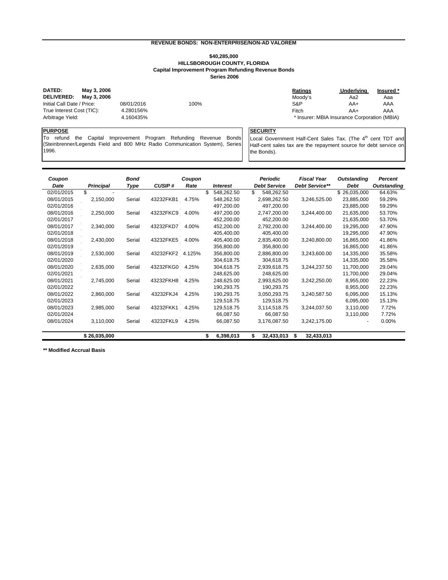#### **\$40,285,000 HILLSBOROUGH COUNTY, FLORIDA Capital Improvement Program Refunding Revenue Bonds Series 2006**

| <b>DATED:</b><br>May 3, 2006     |            |        |                  | Ratings | Underlying                                   | Insured * |
|----------------------------------|------------|--------|------------------|---------|----------------------------------------------|-----------|
| <b>DELIVERED:</b><br>Mav 3, 2006 |            |        |                  | Moody's | Aa2                                          | Aaa       |
| Initial Call Date / Price:       | 08/01/2016 | 100%   |                  | S&P     | AA+                                          | AAA       |
| True Interest Cost (TIC):        | 4.280156%  |        |                  | Fitch   | AA+                                          | AAA       |
| Arbitrage Yield:                 | 4.160435%  |        |                  |         | * Insurer: MBIA Insurance Corporation (MBIA) |           |
|                                  |            |        |                  |         |                                              |           |
| <b>PURPOSE</b>                   |            |        | <b>ISECURITY</b> |         |                                              |           |
|                                  |            | $\sim$ |                  |         | A1.                                          |           |

To refund the Capital Improvement Program Refunding Revenue Bonds (Steinbrenner/Legends Field and 800 MHz Radio Communication System), Series 1996.

| <b>ISECURITY</b>                                                        |
|-------------------------------------------------------------------------|
| Local Government Half-Cent Sales Tax. (The 4 <sup>th</sup> cent TDT and |
| Half-cent sales tax are the repayment source for debt service on        |
| the Bonds).                                                             |

| Coupon     |              | <b>Bond</b> |                  | Coupon |    |                 |    | <b>Periodic</b>     | <b>Fiscal Year</b> | <b>Outstanding</b> | <b>Percent</b>     |
|------------|--------------|-------------|------------------|--------|----|-----------------|----|---------------------|--------------------|--------------------|--------------------|
| Date       | Principal    | Type        | <b>CUSIP#</b>    | Rate   |    | <b>Interest</b> |    | <b>Debt Service</b> | Debt Service**     | <b>Debt</b>        | <b>Outstanding</b> |
| 02/01/2015 | \$           |             |                  |        | \$ | 548,262.50      | \$ | 548,262.50          |                    | \$26,035,000       | 64.63%             |
| 08/01/2015 | 2,150,000    | Serial      | 43232FKB1        | 4.75%  |    | 548,262.50      |    | 2,698,262.50        | 3,246,525.00       | 23,885,000         | 59.29%             |
| 02/01/2016 |              |             |                  |        |    | 497,200.00      |    | 497,200.00          |                    | 23,885,000         | 59.29%             |
| 08/01/2016 | 2,250,000    | Serial      | 43232FKC9        | 4.00%  |    | 497,200.00      |    | 2,747,200.00        | 3,244,400.00       | 21,635,000         | 53.70%             |
| 02/01/2017 |              |             |                  |        |    | 452,200.00      |    | 452,200.00          |                    | 21,635,000         | 53.70%             |
| 08/01/2017 | 2,340,000    | Serial      | 43232FKD7        | 4.00%  |    | 452,200.00      |    | 2,792,200.00        | 3,244,400.00       | 19,295,000         | 47.90%             |
| 02/01/2018 |              |             |                  |        |    | 405,400.00      |    | 405,400.00          |                    | 19,295,000         | 47.90%             |
| 08/01/2018 | 2,430,000    | Serial      | 43232FKE5        | 4.00%  |    | 405,400.00      |    | 2,835,400.00        | 3,240,800.00       | 16,865,000         | 41.86%             |
| 02/01/2019 |              |             |                  |        |    | 356,800.00      |    | 356,800.00          |                    | 16,865,000         | 41.86%             |
| 08/01/2019 | 2,530,000    | Serial      | 43232FKF2 4.125% |        |    | 356,800.00      |    | 2,886,800.00        | 3,243,600.00       | 14,335,000         | 35.58%             |
| 02/01/2020 |              |             |                  |        |    | 304,618.75      |    | 304.618.75          |                    | 14,335,000         | 35.58%             |
| 08/01/2020 | 2,635,000    | Serial      | 43232FKG0        | 4.25%  |    | 304,618.75      |    | 2,939,618.75        | 3,244,237.50       | 11,700,000         | 29.04%             |
| 02/01/2021 |              |             |                  |        |    | 248,625.00      |    | 248,625.00          |                    | 11,700,000         | 29.04%             |
| 08/01/2021 | 2,745,000    | Serial      | 43232FKH8        | 4.25%  |    | 248,625.00      |    | 2,993,625.00        | 3,242,250.00       | 8,955,000          | 22.23%             |
| 02/01/2022 |              |             |                  |        |    | 190,293.75      |    | 190,293.75          |                    | 8,955,000          | 22.23%             |
| 08/01/2022 | 2,860,000    | Serial      | 43232FKJ4        | 4.25%  |    | 190,293.75      |    | 3,050,293.75        | 3,240,587.50       | 6,095,000          | 15.13%             |
| 02/01/2023 |              |             |                  |        |    | 129,518.75      |    | 129,518.75          |                    | 6,095,000          | 15.13%             |
| 08/01/2023 | 2,985,000    | Serial      | 43232FKK1        | 4.25%  |    | 129,518.75      |    | 3,114,518.75        | 3,244,037.50       | 3,110,000          | 7.72%              |
| 02/01/2024 |              |             |                  |        |    | 66,087.50       |    | 66,087.50           |                    | 3,110,000          | 7.72%              |
| 08/01/2024 | 3,110,000    | Serial      | 43232FKL9        | 4.25%  |    | 66,087.50       |    | 3,176,087.50        | 3,242,175.00       |                    | 0.00%              |
|            | \$26,035,000 |             |                  |        | S  | 6,398,013       | S  | 32,433,013          | 32,433,013<br>S    |                    |                    |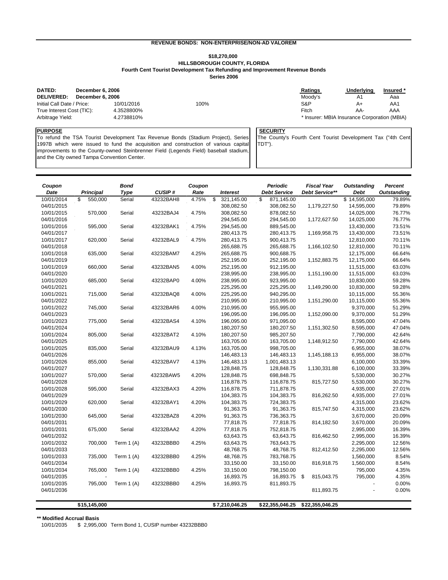#### **\$18,270,000 HILLSBOROUGH COUNTY, FLORIDA Fourth Cent Tourist Development Tax Refunding and Improvement Revenue Bonds Series 2006**

| <b>DATED:</b>              | <b>December 6, 2006</b> |            |      |                 | Ratings | <b>Underlying</b>                            | Insured * |
|----------------------------|-------------------------|------------|------|-----------------|---------|----------------------------------------------|-----------|
| <b>DELIVERED:</b>          | <b>December 6, 2006</b> |            |      |                 | Moody's | A1                                           | Aaa       |
| Initial Call Date / Price: |                         | 10/01/2016 | 100% |                 | S&P     | A+                                           | AA1       |
| True Interest Cost (TIC):  |                         | 4.3528800% |      |                 | Fitch   | AA-                                          | AAA       |
| Arbitrage Yield:           |                         | 4.2738810% |      |                 |         | * Insurer: MBIA Insurance Corporation (MBIA) |           |
| <b>PURPOSE</b>             |                         |            |      | <b>SECURITY</b> |         |                                              |           |

To refund the TSA Tourist Development Tax Revenue Bonds (Stadium Project), Series 1997B which were issued to fund the acquisition and construction of various capital improvements to the County-owned Steinbrenner Field (Legends Field) baseball stadium, and the City owned Tampa Convention Center.

The County's Fourth Cent Tourist Development Tax ("4th Cent TDT").

| Coupon     |                  | <b>Bond</b> |               | Coupon |                  | Periodic            | <b>Fiscal Year</b> | <b>Outstanding</b> | <b>Percent</b>     |
|------------|------------------|-------------|---------------|--------|------------------|---------------------|--------------------|--------------------|--------------------|
| Date       | <b>Principal</b> | Type        | <b>CUSIP#</b> | Rate   | <b>Interest</b>  | <b>Debt Service</b> | Debt Service**     | <b>Debt</b>        | <b>Outstanding</b> |
| 10/01/2014 | \$<br>550,000    | Serial      | 43232BAH8     | 4.75%  | \$<br>321,145.00 | \$<br>871,145.00    |                    | \$14,595,000       | 79.89%             |
| 04/01/2015 |                  |             |               |        | 308,082.50       | 308,082.50          | 1,179,227.50       | 14,595,000         | 79.89%             |
| 10/01/2015 | 570,000          | Serial      | 43232BAJ4     | 4.75%  | 308,082.50       | 878,082.50          |                    | 14,025,000         | 76.77%             |
| 04/01/2016 |                  |             |               |        | 294,545.00       | 294,545.00          | 1,172,627.50       | 14,025,000         | 76.77%             |
| 10/01/2016 | 595,000          | Serial      | 43232BAK1     | 4.75%  | 294,545.00       | 889,545.00          |                    | 13,430,000         | 73.51%             |
| 04/01/2017 |                  |             |               |        | 280,413.75       | 280,413.75          | 1,169,958.75       | 13,430,000         | 73.51%             |
| 10/01/2017 | 620,000          | Serial      | 43232BAL9     | 4.75%  | 280,413.75       | 900,413.75          |                    | 12,810,000         | 70.11%             |
| 04/01/2018 |                  |             |               |        | 265,688.75       | 265,688.75          | 1,166,102.50       | 12,810,000         | 70.11%             |
| 10/01/2018 | 635,000          | Serial      | 43232BAM7     | 4.25%  | 265,688.75       | 900.688.75          |                    | 12,175,000         | 66.64%             |
| 04/01/2019 |                  |             |               |        | 252,195.00       | 252,195.00          | 1,152,883.75       | 12,175,000         | 66.64%             |
| 10/01/2019 | 660,000          | Serial      | 43232BAN5     | 4.00%  | 252,195.00       | 912,195.00          |                    | 11,515,000         | 63.03%             |
| 04/01/2020 |                  |             |               |        | 238,995.00       | 238,995.00          | 1,151,190.00       | 11,515,000         | 63.03%             |
| 10/01/2020 | 685,000          | Serial      | 43232BAP0     | 4.00%  | 238,995.00       | 923,995.00          |                    | 10,830,000         | 59.28%             |
| 04/01/2021 |                  |             |               |        | 225,295.00       | 225,295.00          | 1,149,290.00       | 10,830,000         | 59.28%             |
| 10/01/2021 | 715,000          | Serial      | 43232BAQ8     | 4.00%  | 225,295.00       | 940,295.00          |                    | 10,115,000         | 55.36%             |
| 04/01/2022 |                  |             |               |        | 210,995.00       | 210,995.00          | 1,151,290.00       | 10,115,000         | 55.36%             |
| 10/01/2022 | 745,000          | Serial      | 43232BAR6     | 4.00%  | 210,995.00       | 955.995.00          |                    | 9,370,000          | 51.29%             |
| 04/01/2023 |                  |             |               |        | 196,095.00       | 196,095.00          | 1,152,090.00       | 9,370,000          | 51.29%             |
| 10/01/2023 | 775,000          | Serial      | 43232BAS4     | 4.10%  | 196,095.00       | 971,095.00          |                    | 8,595,000          | 47.04%             |
| 04/01/2024 |                  |             |               |        | 180,207.50       | 180,207.50          | 1,151,302.50       | 8,595,000          | 47.04%             |
| 10/01/2024 | 805,000          | Serial      | 43232BAT2     | 4.10%  | 180,207.50       | 985,207.50          |                    | 7,790,000          | 42.64%             |
| 04/01/2025 |                  |             |               |        | 163,705.00       | 163,705.00          | 1,148,912.50       | 7,790,000          | 42.64%             |
| 10/01/2025 | 835,000          | Serial      | 43232BAU9     | 4.13%  | 163,705.00       | 998,705.00          |                    | 6,955,000          | 38.07%             |
| 04/01/2026 |                  |             |               |        | 146,483.13       | 146,483.13          | 1,145,188.13       | 6,955,000          | 38.07%             |
| 10/01/2026 | 855,000          | Serial      | 43232BAV7     | 4.13%  | 146,483.13       | 1,001,483.13        |                    | 6,100,000          | 33.39%             |
| 04/01/2027 |                  |             |               |        | 128,848.75       | 128,848.75          | 1,130,331.88       | 6,100,000          | 33.39%             |
| 10/01/2027 | 570,000          | Serial      | 43232BAW5     | 4.20%  | 128,848.75       | 698,848.75          |                    | 5,530,000          | 30.27%             |
| 04/01/2028 |                  |             |               |        | 116,878.75       | 116,878.75          | 815,727.50         | 5,530,000          | 30.27%             |
| 10/01/2028 | 595,000          | Serial      | 43232BAX3     | 4.20%  | 116,878.75       | 711,878.75          |                    | 4,935,000          | 27.01%             |
| 04/01/2029 |                  |             |               |        | 104,383.75       | 104,383.75          | 816,262.50         | 4,935,000          | 27.01%             |
| 10/01/2029 | 620,000          | Serial      | 43232BAY1     | 4.20%  | 104,383.75       | 724,383.75          |                    | 4,315,000          | 23.62%             |
| 04/01/2030 |                  |             |               |        | 91,363.75        | 91,363.75           | 815,747.50         | 4,315,000          | 23.62%             |
| 10/01/2030 | 645,000          | Serial      | 43232BAZ8     | 4.20%  | 91,363.75        | 736,363.75          |                    | 3,670,000          | 20.09%             |
| 04/01/2031 |                  |             |               |        | 77,818.75        | 77,818.75           | 814,182.50         | 3,670,000          | 20.09%             |
| 10/01/2031 | 675,000          | Serial      | 43232BAA2     | 4.20%  | 77,818.75        | 752,818.75          |                    | 2,995,000          | 16.39%             |
| 04/01/2032 |                  |             |               |        | 63,643.75        | 63,643.75           | 816,462.50         | 2,995,000          | 16.39%             |
| 10/01/2032 | 700,000          | Term $1(A)$ | 43232BBB0     | 4.25%  | 63,643.75        | 763,643.75          |                    | 2,295,000          | 12.56%             |
| 04/01/2033 |                  |             |               |        | 48,768.75        | 48,768.75           | 812,412.50         | 2,295,000          | 12.56%             |
| 10/01/2033 | 735,000          | Term $1(A)$ | 43232BBB0     | 4.25%  | 48,768.75        | 783,768.75          |                    | 1,560,000          | 8.54%              |
| 04/01/2034 |                  |             |               |        | 33,150.00        | 33,150.00           | 816,918.75         | 1,560,000          | 8.54%              |
| 10/01/2034 | 765,000          | Term $1(A)$ | 43232BBB0     | 4.25%  | 33,150.00        | 798,150.00          |                    | 795,000            | 4.35%              |
| 04/01/2035 |                  |             |               |        | 16,893.75        | 16,893.75           | \$<br>815,043.75   | 795,000            | 4.35%              |
| 10/01/2035 | 795,000          | Term $1(A)$ | 43232BBB0     | 4.25%  | 16,893.75        | 811,893.75          |                    |                    | 0.00%              |
| 04/01/2036 |                  |             |               |        |                  |                     | 811,893.75         |                    | 0.00%              |
|            |                  |             |               |        |                  |                     |                    |                    |                    |
|            | \$15.145.000     |             |               |        | \$7,210,046.25   | \$22.355.046.25     | \$22.355.046.25    |                    |                    |

**\*\* Modified Accrual Basis**

10/01/2035 \$ 2,995,000 Term Bond 1, CUSIP number 43232BBB0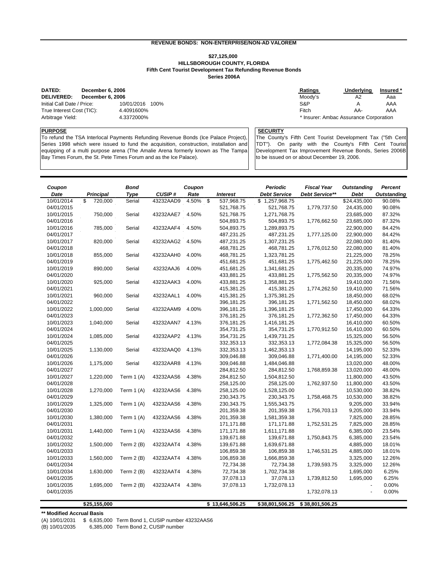#### **\$27,125,000 HILLSBOROUGH COUNTY, FLORIDA Fifth Cent Tourist Development Tax Refunding Revenue Bonds Series 2006A**

| DATED:                     | <b>December 6, 2006</b> | Ratinɑs | Underlvina | Insure |
|----------------------------|-------------------------|---------|------------|--------|
| <b>DELIVERED:</b>          | December 6, 2006        | Moody's | A2         | Ааа    |
| Initial Call Date / Price: | 10/01/2016 100%         | S&P     |            | AAA    |

**Ratings Dinderlying Insured \***<br>Moody's A2 Aaa 10/01/2016 100% S&P A AAA True Interest Cost (TIC): 4.4091600% Fitch AA- AAA Arbitrage Yield: 4.3372000% 4.3372000% Arbitrage Yield: 4.3372000% 4.3372000% 6.5 and 5.5 and 5.5 and 5.5 and 5.5 and 5.5 and 5.5 and 5.5 and 5.5 and 5.5 and 5.5 and 5.5 and 5.5 and 5.5 and 5.5 and 5.5 and 5.5 and 5.5 and

#### **PURPOSE**

To refund the TSA Interlocal Payments Refunding Revenue Bonds (Ice Palace Project), Series 1998 which were issued to fund the acquisition, construction, installation and equipping of a multi purpose arena (The Amalie Arena formerly known as The Tampa Bay Times Forum, the St. Pete Times Forum and as the Ice Palace).

| <b>SECURILY</b> |  |  |                                                             |  |  |
|-----------------|--|--|-------------------------------------------------------------|--|--|
|                 |  |  | The County's Fifth Cent Tourist Development Tax ("5th Cent" |  |  |
|                 |  |  | TDT"). On parity with the County's Fifth Cent Tourist       |  |  |
|                 |  |  | Development Tax Improvement Revenue Bonds, Series 2006B     |  |  |
|                 |  |  | to be issued on or about December 19, 2006.                 |  |  |
|                 |  |  |                                                             |  |  |

| Coupon     |                  | <b>Bond</b> |                 | Coupon |                  | <b>Periodic</b>     | <b>Fiscal Year</b> | <b>Outstanding</b> | <b>Percent</b>     |
|------------|------------------|-------------|-----------------|--------|------------------|---------------------|--------------------|--------------------|--------------------|
| Date       | <b>Principal</b> | <b>Type</b> | <b>CUSIP#</b>   | Rate   | <b>Interest</b>  | <b>Debt Service</b> | Debt Service**     | Debt               | <b>Outstanding</b> |
| 10/01/2014 | \$<br>720,000    | Serial      | 43232AAD9       | 4.50%  | \$<br>537,968.75 | \$1,257,968.75      |                    | \$24.435.000       | 90.08%             |
| 04/01/2015 |                  |             |                 |        | 521,768.75       | 521,768.75          | 1,779,737.50       | 24,435,000         | 90.08%             |
| 10/01/2015 | 750,000          | Serial      | 43232AAE7 4.50% |        | 521,768.75       | 1,271,768.75        |                    | 23,685,000         | 87.32%             |
| 04/01/2016 |                  |             |                 |        | 504,893.75       | 504,893.75          | 1,776,662.50       | 23,685,000         | 87.32%             |
| 10/01/2016 | 785,000          | Serial      | 43232AAF4 4.50% |        | 504,893.75       | 1,289,893.75        |                    | 22,900,000         | 84.42%             |
| 04/01/2017 |                  |             |                 |        | 487,231.25       | 487,231.25          | 1,777,125.00       | 22,900,000         | 84.42%             |
| 10/01/2017 | 820,000          | Serial      | 43232AAG2       | 4.50%  | 487,231.25       | 1,307,231.25        |                    | 22,080,000         | 81.40%             |
| 04/01/2018 |                  |             |                 |        | 468,781.25       | 468,781.25          | 1,776,012.50       | 22,080,000         | 81.40%             |
| 10/01/2018 | 855,000          | Serial      | 43232AAH0       | 4.00%  | 468,781.25       | 1,323,781.25        |                    | 21,225,000         | 78.25%             |
| 04/01/2019 |                  |             |                 |        | 451,681.25       | 451,681.25          | 1,775,462.50       | 21,225,000         | 78.25%             |
| 10/01/2019 | 890,000          | Serial      | 43232AAJ6       | 4.00%  | 451,681.25       | 1,341,681.25        |                    | 20,335,000         | 74.97%             |
| 04/01/2020 |                  |             |                 |        | 433,881.25       | 433,881.25          | 1,775,562.50       | 20,335,000         | 74.97%             |
| 10/01/2020 | 925,000          | Serial      | 43232AAK3       | 4.00%  | 433,881.25       | 1,358,881.25        |                    | 19,410,000         | 71.56%             |
| 04/01/2021 |                  |             |                 |        | 415,381.25       | 415,381.25          | 1,774,262.50       | 19,410,000         | 71.56%             |
| 10/01/2021 | 960,000          | Serial      | 43232AAL1       | 4.00%  | 415,381.25       | 1,375,381.25        |                    | 18,450,000         | 68.02%             |
| 04/01/2022 |                  |             |                 |        | 396,181.25       | 396,181.25          | 1,771,562.50       | 18,450,000         | 68.02%             |
| 10/01/2022 | 1,000,000        | Serial      | 43232AAM9       | 4.00%  | 396,181.25       | 1,396,181.25        |                    | 17,450,000         | 64.33%             |
| 04/01/2023 |                  |             |                 |        | 376,181.25       | 376,181.25          | 1,772,362.50       | 17,450,000         | 64.33%             |
| 10/01/2023 | 1,040,000        | Serial      | 43232AAN7       | 4.13%  | 376,181.25       | 1,416,181.25        |                    | 16,410,000         | 60.50%             |
| 04/01/2024 |                  |             |                 |        | 354,731.25       | 354,731.25          | 1,770,912.50       | 16,410,000         | 60.50%             |
| 10/01/2024 | 1,085,000        | Serial      | 43232AAP2       | 4.13%  | 354,731.25       | 1,439,731.25        |                    | 15,325,000         | 56.50%             |
| 04/01/2025 |                  |             |                 |        | 332,353.13       | 332,353.13          | 1,772,084.38       | 15,325,000         | 56.50%             |
| 10/01/2025 | 1,130,000        | Serial      | 43232AAQ0       | 4.13%  | 332,353.13       | 1,462,353.13        |                    | 14,195,000         | 52.33%             |
| 04/01/2026 |                  |             |                 |        | 309,046.88       | 309,046.88          | 1,771,400.00       | 14,195,000         | 52.33%             |
| 10/01/2026 | 1,175,000        | Serial      | 43232AAR8       | 4.13%  | 309,046.88       | 1,484,046.88        |                    | 13,020,000         | 48.00%             |
| 04/01/2027 |                  |             |                 |        | 284,812.50       | 284,812.50          | 1,768,859.38       | 13,020,000         | 48.00%             |
| 10/01/2027 | 1,220,000        | Term $1(A)$ | 43232AAS6       | 4.38%  | 284,812.50       | 1,504,812.50        |                    | 11,800,000         | 43.50%             |
| 04/01/2028 |                  |             |                 |        | 258,125.00       | 258,125.00          | 1,762,937.50       | 11,800,000         | 43.50%             |
| 10/01/2028 | 1,270,000        | Term $1(A)$ | 43232AAS6       | 4.38%  | 258,125.00       | 1,528,125.00        |                    | 10,530,000         | 38.82%             |
| 04/01/2029 |                  |             |                 |        | 230,343.75       | 230,343.75          | 1,758,468.75       | 10,530,000         | 38.82%             |
| 10/01/2029 | 1,325,000        | Term $1(A)$ | 43232AAS6       | 4.38%  | 230,343.75       | 1,555,343.75        |                    | 9,205,000          | 33.94%             |
| 04/01/2030 |                  |             |                 |        | 201,359.38       | 201,359.38          | 1,756,703.13       | 9,205,000          | 33.94%             |
| 10/01/2030 | 1,380,000        | Term 1 (A)  | 43232AAS6       | 4.38%  | 201,359.38       | 1,581,359.38        |                    | 7,825,000          | 28.85%             |
| 04/01/2031 |                  |             |                 |        | 171,171.88       | 171,171.88          | 1,752,531.25       | 7,825,000          | 28.85%             |
| 10/01/2031 | 1,440,000        | Term $1(A)$ | 43232AAS6       | 4.38%  | 171,171.88       | 1,611,171.88        |                    | 6,385,000          | 23.54%             |
| 04/01/2032 |                  |             |                 |        | 139,671.88       | 139,671.88          | 1,750,843.75       | 6,385,000          | 23.54%             |
| 10/01/2032 | 1,500,000        | Term $2(B)$ | 43232AAT4       | 4.38%  | 139,671.88       | 1,639,671.88        |                    | 4,885,000          | 18.01%             |
| 04/01/2033 |                  |             |                 |        | 106,859.38       | 106,859.38          | 1,746,531.25       | 4,885,000          | 18.01%             |
| 10/01/2033 | 1,560,000        | Term $2(B)$ | 43232AAT4       | 4.38%  | 106,859.38       | 1,666,859.38        |                    | 3,325,000          | 12.26%             |
| 04/01/2034 |                  |             |                 |        | 72,734.38        | 72,734.38           | 1,739,593.75       | 3,325,000          | 12.26%             |
| 10/01/2034 | 1,630,000        | Term $2(B)$ | 43232AAT4       | 4.38%  | 72,734.38        | 1,702,734.38        |                    | 1,695,000          | 6.25%              |
| 04/01/2035 |                  |             |                 |        | 37,078.13        | 37,078.13           | 1,739,812.50       | 1,695,000          | 6.25%              |
| 10/01/2035 | 1,695,000        | Term $2(B)$ | 43232AAT4       | 4.38%  | 37,078.13        | 1,732,078.13        |                    |                    | 0.00%              |
| 04/01/2035 |                  |             |                 |        |                  |                     | 1,732,078.13       | ÷                  | 0.00%              |
|            | \$25,155,000     |             |                 |        | \$13,646,506.25  | \$38,801,506.25     | \$38,801,506.25    |                    |                    |

**\*\* Modified Accrual Basis**

(A)  $10/01/2031$  \$ 6,635,000 Term Bond 1, CUSIP number 43232AAS6 (B)  $10/01/2035$  6,385,000 Term Bond 2, CUSIP number

6,385,000 Term Bond 2, CUSIP number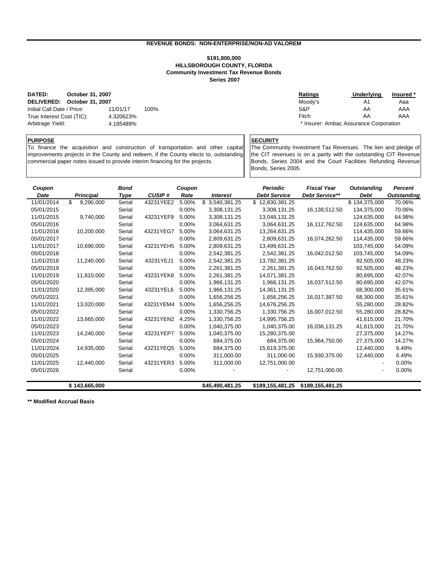### **\$191,800,000 HILLSBOROUGH COUNTY, FLORIDA Community Investment Tax Revenue Bonds Series 2007**

4.320623% 4.185489%

| <b>DATED:</b>               | October 31, 2007 |           |      | <b>Ratings</b> | <b>Underlying</b>                      | Insured * |  |
|-----------------------------|------------------|-----------|------|----------------|----------------------------------------|-----------|--|
| DELIVERED: October 31, 2007 |                  |           |      | Moody's        | Α1                                     | Aaa       |  |
| Initial Call Date / Price:  |                  | 11/01/17  | 100% | S&P            | AA                                     | AAA       |  |
| True Interest Cost (TIC):   |                  | 4.320623% |      | Fitch          | AA                                     | AAA       |  |
| Arbitrage Yield:            |                  | 4.185489% |      |                | * Insurer: Ambac Assurance Corporation |           |  |

To finance the acquisition and construction of transportation and other capital improvements projects in the County and redeem, if the County elects to, outstanding commercial paper notes issued to provide interim financing for the projects.

# **PURPOSE SECURITY**

The Community Investment Tax Revenues. The lien and pledge of the CIT revenues is on a parity with the outstanding CIT Revenue Bonds, Series 2004 and the Court Facilities Refunding Revenue Bonds, Series 2005.

| Coupon     |                  | <b>Bond</b> |               | Coupon |                 | <b>Periodic</b>     | <b>Fiscal Year</b> | <b>Outstanding</b> | <b>Percent</b>     |
|------------|------------------|-------------|---------------|--------|-----------------|---------------------|--------------------|--------------------|--------------------|
| Date       | <b>Principal</b> | Type        | <b>CUSIP#</b> | Rate   | <b>Interest</b> | <b>Debt Service</b> | Debt Service**     | <b>Debt</b>        | <b>Outstanding</b> |
| 11/01/2014 | \$<br>9,290,000  | Serial      | 43231YEE2     | 5.00%  | \$3,540,381.25  | \$12,830,381.25     |                    | \$134,375,000      | 70.06%             |
| 05/01/2015 |                  | Serial      |               | 0.00%  | 3,308,131.25    | 3,308,131.25        | 16,138,512.50      | 134,375,000        | 70.06%             |
| 11/01/2015 | 9,740,000        | Serial      | 43231YEF9     | 5.00%  | 3,308,131.25    | 13,048,131.25       |                    | 124,635,000        | 64.98%             |
| 05/01/2016 |                  | Serial      |               | 0.00%  | 3,064,631.25    | 3.064,631.25        | 16,112,762.50      | 124,635,000        | 64.98%             |
| 11/01/2016 | 10,200,000       | Serial      | 43231YEG7     | 5.00%  | 3,064,631.25    | 13,264,631.25       |                    | 114,435,000        | 59.66%             |
| 05/01/2017 |                  | Serial      |               | 0.00%  | 2,809,631.25    | 2,809,631.25        | 16,074,262.50      | 114,435,000        | 59.66%             |
| 11/01/2017 | 10,690,000       | Serial      | 43231YEH5     | 5.00%  | 2,809,631.25    | 13,499,631.25       |                    | 103,745,000        | 54.09%             |
| 05/01/2018 |                  | Serial      |               | 0.00%  | 2,542,381.25    | 2,542,381.25        | 16,042,012.50      | 103,745,000        | 54.09%             |
| 11/01/2018 | 11,240,000       | Serial      | 43231YEJ1     | 5.00%  | 2,542,381.25    | 13,782,381.25       |                    | 92,505,000         | 48.23%             |
| 05/01/2019 |                  | Serial      |               | 0.00%  | 2,261,381.25    | 2,261,381.25        | 16,043,762.50      | 92,505,000         | 48.23%             |
| 11/01/2019 | 11,810,000       | Serial      | 43231YEK8     | 5.00%  | 2,261,381.25    | 14,071,381.25       |                    | 80,695,000         | 42.07%             |
| 05/01/2020 |                  | Serial      |               | 0.00%  | 1,966,131.25    | 1,966,131.25        | 16,037,512.50      | 80,695,000         | 42.07%             |
| 11/01/2020 | 12,395,000       | Serial      | 43231YEL6     | 5.00%  | 1,966,131.25    | 14,361,131.25       |                    | 68,300,000         | 35.61%             |
| 05/01/2021 |                  | Serial      |               | 0.00%  | 1,656,256.25    | 1,656,256.25        | 16,017,387.50      | 68,300,000         | 35.61%             |
| 11/01/2021 | 13,020,000       | Serial      | 43231YEM4     | 5.00%  | 1,656,256.25    | 14,676,256.25       |                    | 55,280,000         | 28.82%             |
| 05/01/2022 |                  | Serial      |               | 0.00%  | 1,330,756.25    | 1,330,756.25        | 16,007,012.50      | 55,280,000         | 28.82%             |
| 11/01/2022 | 13,665,000       | Serial      | 43231YEN2     | 4.25%  | 1,330,756.25    | 14,995,756.25       |                    | 41,615,000         | 21.70%             |
| 05/01/2023 |                  | Serial      |               | 0.00%  | 1,040,375.00    | 1,040,375.00        | 16,036,131.25      | 41,615,000         | 21.70%             |
| 11/01/2023 | 14,240,000       | Serial      | 43231YEP7     | 5.00%  | 1,040,375.00    | 15,280,375.00       |                    | 27,375,000         | 14.27%             |
| 05/01/2024 |                  | Serial      |               | 0.00%  | 684,375.00      | 684,375.00          | 15,964,750.00      | 27,375,000         | 14.27%             |
| 11/01/2024 | 14,935,000       | Serial      | 43231YEQ5     | 5.00%  | 684,375.00      | 15,619,375.00       |                    | 12,440,000         | 6.49%              |
| 05/01/2025 |                  | Serial      |               | 0.00%  | 311,000.00      | 311,000.00          | 15,930,375.00      | 12,440,000         | 6.49%              |
| 11/01/2025 | 12,440,000       | Serial      | 43231YER3     | 5.00%  | 311,000.00      | 12,751,000.00       |                    |                    | 0.00%              |
| 05/01/2026 |                  | Serial      |               | 0.00%  |                 |                     | 12,751,000.00      |                    | 0.00%              |
|            | \$143,665,000    |             |               |        | \$45,490,481.25 | \$189,155,481.25    | \$189,155,481.25   |                    |                    |

**\*\* Modified Accrual Basis**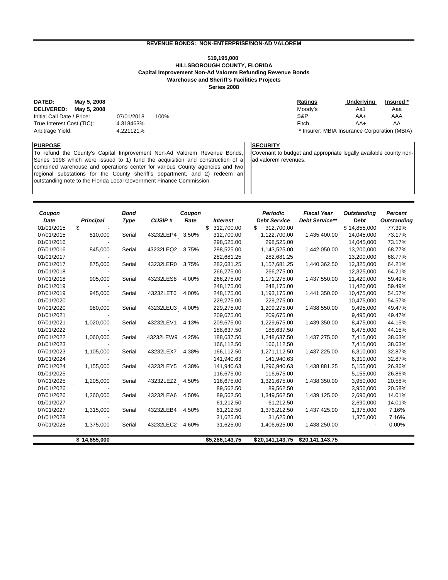### **\$19,195,000 HILLSBOROUGH COUNTY, FLORIDA Capital Improvement Non-Ad Valorem Refunding Revenue Bonds Series 2008 Warehouse and Sheriff's Facilities Projects**

| <b>DATED:</b>              | May 5, 2008 |            |      | <b>Ratings</b>                               | Underlvina | Insured * |
|----------------------------|-------------|------------|------|----------------------------------------------|------------|-----------|
| <b>DELIVERED:</b>          | Mav 5. 2008 |            |      | Moody's                                      | Aa1        | Aaa       |
| Initial Call Date / Price: |             | 07/01/2018 | 100% | S&P                                          | AA+        | AAA       |
| True Interest Cost (TIC):  |             | 4.318463%  |      | Fitch                                        | AA+        | AA        |
| Arbitrage Yield:           |             | 4.221121%  |      | * Insurer: MBIA Insurance Corporation (MBIA) |            |           |

# **PURPOSE SECURITY**

To refund the County's Capital Improvement Non-Ad Valorem Revenue Bonds, Series 1998 which were issued to 1) fund the acquisition and construction of a combined warehouse and operations center for various County agencies and two regional substations for the County sheriff's department, and 2) redeem an outstanding note to the Florida Local Government Finance Commission.

Covenant to budget and appropriate legally available county nonad valorem revenues.

| Coupon     |                  | <b>Bond</b> |               | Coupon |                  | <b>Periodic</b>     | <b>Fiscal Year</b> | <b>Outstanding</b> | <b>Percent</b>     |
|------------|------------------|-------------|---------------|--------|------------------|---------------------|--------------------|--------------------|--------------------|
| Date       | <b>Principal</b> | <b>Type</b> | <b>CUSIP#</b> | Rate   | <b>Interest</b>  | <b>Debt Service</b> | Debt Service**     | <b>Debt</b>        | <b>Outstanding</b> |
| 01/01/2015 | \$               |             |               |        | \$<br>312,700.00 | \$<br>312,700.00    |                    | \$14,855,000       | 77.39%             |
| 07/01/2015 | 810,000          | Serial      | 43232LEP4     | 3.50%  | 312,700.00       | 1,122,700.00        | 1,435,400.00       | 14,045,000         | 73.17%             |
| 01/01/2016 |                  |             |               |        | 298,525.00       | 298,525.00          |                    | 14,045,000         | 73.17%             |
| 07/01/2016 | 845,000          | Serial      | 43232LEQ2     | 3.75%  | 298,525.00       | 1,143,525.00        | 1,442,050.00       | 13,200,000         | 68.77%             |
| 01/01/2017 |                  |             |               |        | 282,681.25       | 282,681.25          |                    | 13,200,000         | 68.77%             |
| 07/01/2017 | 875,000          | Serial      | 43232LER0     | 3.75%  | 282,681.25       | 1,157,681.25        | 1,440,362.50       | 12,325,000         | 64.21%             |
| 01/01/2018 |                  |             |               |        | 266,275.00       | 266,275.00          |                    | 12,325,000         | 64.21%             |
| 07/01/2018 | 905,000          | Serial      | 43232LES8     | 4.00%  | 266,275.00       | 1,171,275.00        | 1,437,550.00       | 11,420,000         | 59.49%             |
| 01/01/2019 |                  |             |               |        | 248,175.00       | 248,175.00          |                    | 11,420,000         | 59.49%             |
| 07/01/2019 | 945,000          | Serial      | 43232LET6     | 4.00%  | 248,175.00       | 1,193,175.00        | 1,441,350.00       | 10,475,000         | 54.57%             |
| 01/01/2020 |                  |             |               |        | 229,275.00       | 229,275.00          |                    | 10,475,000         | 54.57%             |
| 07/01/2020 | 980,000          | Serial      | 43232LEU3     | 4.00%  | 229,275.00       | 1,209,275.00        | 1,438,550.00       | 9,495,000          | 49.47%             |
| 01/01/2021 |                  |             |               |        | 209,675.00       | 209,675.00          |                    | 9,495,000          | 49.47%             |
| 07/01/2021 | 1,020,000        | Serial      | 43232LEV1     | 4.13%  | 209,675.00       | 1,229,675.00        | 1,439,350.00       | 8,475,000          | 44.15%             |
| 01/01/2022 |                  |             |               |        | 188,637.50       | 188,637.50          |                    | 8,475,000          | 44.15%             |
| 07/01/2022 | 1,060,000        | Serial      | 43232LEW9     | 4.25%  | 188,637.50       | 1,248,637.50        | 1,437,275.00       | 7,415,000          | 38.63%             |
| 01/01/2023 |                  |             |               |        | 166,112.50       | 166,112.50          |                    | 7,415,000          | 38.63%             |
| 07/01/2023 | 1,105,000        | Serial      | 43232LEX7     | 4.38%  | 166,112.50       | 1,271,112.50        | 1,437,225.00       | 6,310,000          | 32.87%             |
| 01/01/2024 |                  |             |               |        | 141,940.63       | 141,940.63          |                    | 6,310,000          | 32.87%             |
| 07/01/2024 | 1,155,000        | Serial      | 43232LEY5     | 4.38%  | 141,940.63       | 1,296,940.63        | 1,438,881.25       | 5,155,000          | 26.86%             |
| 01/01/2025 |                  |             |               |        | 116,675.00       | 116,675.00          |                    | 5,155,000          | 26.86%             |
| 07/01/2025 | 1,205,000        | Serial      | 43232LEZ2     | 4.50%  | 116,675.00       | 1,321,675.00        | 1,438,350.00       | 3,950,000          | 20.58%             |
| 01/01/2026 |                  |             |               |        | 89.562.50        | 89.562.50           |                    | 3.950.000          | 20.58%             |
| 07/01/2026 | 1,260,000        | Serial      | 43232LEA6     | 4.50%  | 89,562.50        | 1,349,562.50        | 1,439,125.00       | 2,690,000          | 14.01%             |
| 01/01/2027 |                  |             |               |        | 61,212.50        | 61,212.50           |                    | 2,690,000          | 14.01%             |
| 07/01/2027 | 1,315,000        | Serial      | 43232LEB4     | 4.50%  | 61,212.50        | 1,376,212.50        | 1,437,425.00       | 1,375,000          | 7.16%              |
| 01/01/2028 |                  |             |               |        | 31,625.00        | 31,625.00           |                    | 1,375,000          | 7.16%              |
| 07/01/2028 | 1,375,000        | Serial      | 43232LEC2     | 4.60%  | 31,625.00        | 1,406,625.00        | 1,438,250.00       |                    | 0.00%              |
|            | \$14,855,000     |             |               |        | \$5,286,143.75   | \$20,141,143.75     | \$20,141,143.75    |                    |                    |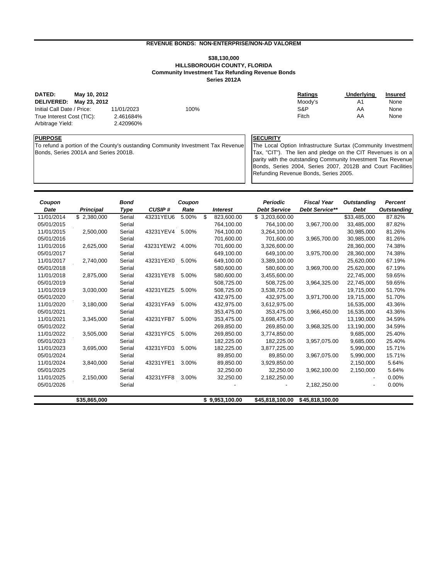### **\$38,130,000 HILLSBOROUGH COUNTY, FLORIDA Community Investment Tax Refunding Revenue Bonds Series 2012A**

| <b>DATED:</b>              | May 10, 2012 |            |      | Ratings | Underlving | Insured |
|----------------------------|--------------|------------|------|---------|------------|---------|
| <b>DELIVERED:</b>          | Mav 23. 2012 |            |      | Moody's | A1         | None    |
| Initial Call Date / Price: |              | 11/01/2023 | 100% | S&P     | AA         | None    |
| True Interest Cost (TIC):  |              | 2.461684%  |      | Fitch   | AA         | None    |
| Arbitrage Yield:           |              | 2.420960%  |      |         |            |         |

To refund a portion of the County's oustanding Community Investment Tax Revenue Bonds, Series 2001A and Series 2001B.

## **PURPOSE SECURITY**

The Local Option Infrastructure Surtax (Community Investment Tax, "CIT"). The lien and pledge on the CIT Revenues is on a parity with the outstanding Community Investment Tax Revenue Bonds, Series 2004, Series 2007, 2012B and Court Facilities Refunding Revenue Bonds, Series 2005.

| Coupon      |                  | <b>Bond</b> |               | Coupon |                  | <b>Periodic</b>     | <b>Fiscal Year</b> | <b>Outstanding</b> | <b>Percent</b>     |
|-------------|------------------|-------------|---------------|--------|------------------|---------------------|--------------------|--------------------|--------------------|
| <b>Date</b> | <b>Principal</b> | <b>Type</b> | <b>CUSIP#</b> | Rate   | <b>Interest</b>  | <b>Debt Service</b> | Debt Service**     | <b>Debt</b>        | <b>Outstanding</b> |
| 11/01/2014  | \$2,380,000      | Serial      | 43231YEU6     | 5.00%  | \$<br>823,600.00 | \$3,203,600.00      |                    | \$33,485,000       | 87.82%             |
| 05/01/2015  |                  | Serial      |               |        | 764,100.00       | 764,100.00          | 3,967,700.00       | 33,485,000         | 87.82%             |
| 11/01/2015  | 2,500,000        | Serial      | 43231YEV4     | 5.00%  | 764.100.00       | 3,264,100.00        |                    | 30.985.000         | 81.26%             |
| 05/01/2016  |                  | Serial      |               |        | 701,600.00       | 701,600.00          | 3,965,700.00       | 30,985,000         | 81.26%             |
| 11/01/2016  | 2,625,000        | Serial      | 43231YEW2     | 4.00%  | 701,600.00       | 3,326,600.00        |                    | 28,360,000         | 74.38%             |
| 05/01/2017  |                  | Serial      |               |        | 649,100.00       | 649,100.00          | 3,975,700.00       | 28,360,000         | 74.38%             |
| 11/01/2017  | 2,740,000        | Serial      | 43231YEX0     | 5.00%  | 649,100.00       | 3,389,100.00        |                    | 25,620,000         | 67.19%             |
| 05/01/2018  |                  | Serial      |               |        | 580,600.00       | 580,600.00          | 3,969,700.00       | 25,620,000         | 67.19%             |
| 11/01/2018  | 2,875,000        | Serial      | 43231YEY8     | 5.00%  | 580.600.00       | 3,455,600.00        |                    | 22,745,000         | 59.65%             |
| 05/01/2019  |                  | Serial      |               |        | 508,725.00       | 508,725.00          | 3,964,325.00       | 22,745,000         | 59.65%             |
| 11/01/2019  | 3,030,000        | Serial      | 43231YEZ5     | 5.00%  | 508,725.00       | 3,538,725.00        |                    | 19,715,000         | 51.70%             |
| 05/01/2020  |                  | Serial      |               |        | 432.975.00       | 432.975.00          | 3,971,700.00       | 19.715.000         | 51.70%             |
| 11/01/2020  | 3,180,000        | Serial      | 43231YFA9     | 5.00%  | 432,975.00       | 3,612,975.00        |                    | 16,535,000         | 43.36%             |
| 05/01/2021  |                  | Serial      |               |        | 353,475.00       | 353,475.00          | 3,966,450.00       | 16,535,000         | 43.36%             |
| 11/01/2021  | 3,345,000        | Serial      | 43231YFB7     | 5.00%  | 353,475.00       | 3,698,475.00        |                    | 13,190,000         | 34.59%             |
| 05/01/2022  |                  | Serial      |               |        | 269,850.00       | 269,850.00          | 3,968,325.00       | 13,190,000         | 34.59%             |
| 11/01/2022  | 3,505,000        | Serial      | 43231YFC5     | 5.00%  | 269,850.00       | 3,774,850.00        |                    | 9,685,000          | 25.40%             |
| 05/01/2023  |                  | Serial      |               |        | 182,225.00       | 182,225.00          | 3,957,075.00       | 9,685,000          | 25.40%             |
| 11/01/2023  | 3,695,000        | Serial      | 43231YFD3     | 5.00%  | 182,225.00       | 3,877,225.00        |                    | 5,990,000          | 15.71%             |
| 05/01/2024  |                  | Serial      |               |        | 89,850.00        | 89,850.00           | 3,967,075.00       | 5,990,000          | 15.71%             |
| 11/01/2024  | 3,840,000        | Serial      | 43231YFE1     | 3.00%  | 89,850.00        | 3,929,850.00        |                    | 2,150,000          | 5.64%              |
| 05/01/2025  |                  | Serial      |               |        | 32,250.00        | 32,250.00           | 3,962,100.00       | 2,150,000          | 5.64%              |
| 11/01/2025  | 2,150,000        | Serial      | 43231YFF8     | 3.00%  | 32,250.00        | 2,182,250.00        |                    |                    | 0.00%              |
| 05/01/2026  |                  | Serial      |               |        |                  |                     | 2,182,250.00       |                    | 0.00%              |
|             |                  |             |               |        |                  |                     |                    |                    |                    |
|             | \$35,865,000     |             |               |        | \$9,953,100.00   | \$45,818,100.00     | \$45.818.100.00    |                    |                    |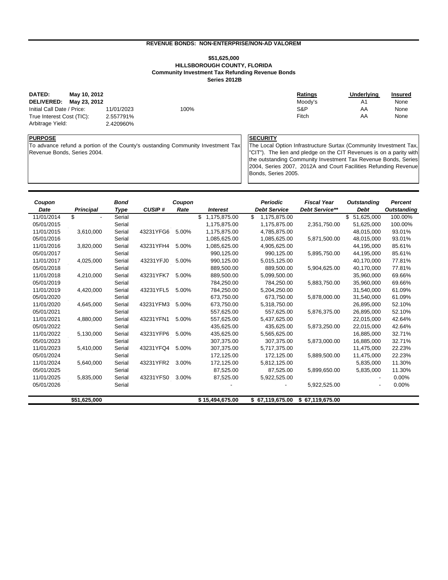### **\$51,625,000 HILLSBOROUGH COUNTY, FLORIDA Community Investment Tax Refunding Revenue Bonds Series 2012B**

| <b>DATED:</b>              | May 10, 2012 |            |      | <b>Ratings</b> | <b>Underlying</b> | <b>Insured</b> |
|----------------------------|--------------|------------|------|----------------|-------------------|----------------|
| <b>DELIVERED:</b>          | Mav 23, 2012 |            |      | Moody's        | A1                | None           |
| Initial Call Date / Price: |              | 11/01/2023 | 100% | S&P            | AA                | None           |
| True Interest Cost (TIC):  |              | 2.557791%  |      | Fitch          | AA                | None           |
| Arbitrage Yield:           |              | 2.420960%  |      |                |                   |                |

## **PURPOSE SECURITY**

To advance refund a portion of the County's oustanding Community Investment Tax Revenue Bonds, Series 2004.

The Local Option Infrastructure Surtax (Community Investment Tax, "CIT"). The lien and pledge on the CIT Revenues is on a parity with the outstanding Community Investment Tax Revenue Bonds, Series 2004, Series 2007, 2012A and Court Facilities Refunding Revenue Bonds, Series 2005.

| Coupon     |                  | <b>Bond</b> |               | Coupon |                    | <b>Periodic</b>     | <b>Fiscal Year</b> | <b>Outstanding</b> | <b>Percent</b>     |
|------------|------------------|-------------|---------------|--------|--------------------|---------------------|--------------------|--------------------|--------------------|
| Date       | <b>Principal</b> | <b>Type</b> | <b>CUSIP#</b> | Rate   | <b>Interest</b>    | <b>Debt Service</b> | Debt Service**     | <b>Debt</b>        | <b>Outstanding</b> |
| 11/01/2014 | \$               | Serial      |               |        | \$<br>1,175,875.00 | \$<br>1,175,875.00  |                    | \$51,625,000       | 100.00%            |
| 05/01/2015 |                  | Serial      |               |        | 1,175,875.00       | 1,175,875.00        | 2,351,750.00       | 51,625,000         | 100.00%            |
| 11/01/2015 | 3,610,000        | Serial      | 43231YFG6     | 5.00%  | 1,175,875.00       | 4,785,875.00        |                    | 48,015,000         | 93.01%             |
| 05/01/2016 |                  | Serial      |               |        | 1,085,625.00       | 1,085,625.00        | 5,871,500.00       | 48,015,000         | 93.01%             |
| 11/01/2016 | 3,820,000        | Serial      | 43231YFH4     | 5.00%  | 1,085,625.00       | 4,905,625.00        |                    | 44,195,000         | 85.61%             |
| 05/01/2017 |                  | Serial      |               |        | 990,125.00         | 990,125.00          | 5,895,750.00       | 44,195,000         | 85.61%             |
| 11/01/2017 | 4,025,000        | Serial      | 43231YFJ0     | 5.00%  | 990.125.00         | 5,015,125.00        |                    | 40,170,000         | 77.81%             |
| 05/01/2018 |                  | Serial      |               |        | 889,500.00         | 889,500.00          | 5,904,625.00       | 40,170,000         | 77.81%             |
| 11/01/2018 | 4,210,000        | Serial      | 43231YFK7     | 5.00%  | 889,500.00         | 5,099,500.00        |                    | 35,960,000         | 69.66%             |
| 05/01/2019 |                  | Serial      |               |        | 784,250.00         | 784,250.00          | 5,883,750.00       | 35,960,000         | 69.66%             |
| 11/01/2019 | 4,420,000        | Serial      | 43231YFL5     | 5.00%  | 784,250.00         | 5,204,250.00        |                    | 31,540,000         | 61.09%             |
| 05/01/2020 |                  | Serial      |               |        | 673,750.00         | 673,750.00          | 5,878,000.00       | 31,540,000         | 61.09%             |
| 11/01/2020 | 4,645,000        | Serial      | 43231YFM3     | 5.00%  | 673,750.00         | 5,318,750.00        |                    | 26,895,000         | 52.10%             |
| 05/01/2021 |                  | Serial      |               |        | 557,625.00         | 557.625.00          | 5,876,375.00       | 26.895.000         | 52.10%             |
| 11/01/2021 | 4,880,000        | Serial      | 43231YFN1     | 5.00%  | 557,625.00         | 5,437,625.00        |                    | 22,015,000         | 42.64%             |
| 05/01/2022 |                  | Serial      |               |        | 435,625.00         | 435,625.00          | 5,873,250.00       | 22,015,000         | 42.64%             |
| 11/01/2022 | 5,130,000        | Serial      | 43231YFP6     | 5.00%  | 435,625.00         | 5,565,625.00        |                    | 16,885,000         | 32.71%             |
| 05/01/2023 |                  | Serial      |               |        | 307,375.00         | 307,375.00          | 5,873,000.00       | 16,885,000         | 32.71%             |
| 11/01/2023 | 5,410,000        | Serial      | 43231YFQ4     | 5.00%  | 307,375.00         | 5,717,375.00        |                    | 11,475,000         | 22.23%             |
| 05/01/2024 |                  | Serial      |               |        | 172,125.00         | 172,125.00          | 5,889,500.00       | 11,475,000         | 22.23%             |
| 11/01/2024 | 5,640,000        | Serial      | 43231YFR2     | 3.00%  | 172,125.00         | 5,812,125.00        |                    | 5,835,000          | 11.30%             |
| 05/01/2025 |                  | Serial      |               |        | 87,525.00          | 87,525.00           | 5,899,650.00       | 5,835,000          | 11.30%             |
| 11/01/2025 | 5,835,000        | Serial      | 43231YFS0     | 3.00%  | 87,525.00          | 5,922,525.00        |                    |                    | 0.00%              |
| 05/01/2026 |                  | Serial      |               |        |                    |                     | 5,922,525.00       |                    | 0.00%              |
|            | \$51,625,000     |             |               |        | \$15,494,675.00    | \$67,119,675.00     | \$67,119,675.00    |                    |                    |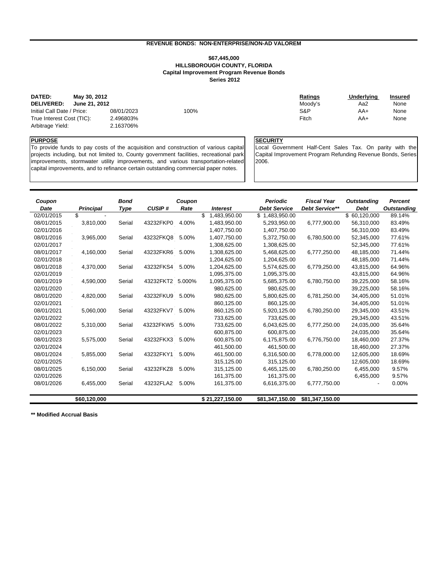### **\$67,445,000 HILLSBOROUGH COUNTY, FLORIDA Capital Improvement Program Revenue Bonds Series 2012**

| DATED:                     | May 30, 2012  |            |      | <b>Ratings</b> | Underlvina | Insured |
|----------------------------|---------------|------------|------|----------------|------------|---------|
| <b>DELIVERED:</b>          | June 21, 2012 |            |      | Moodv's        | Aa2        | None    |
| Initial Call Date / Price: |               | 08/01/2023 | 100% | S&P            | AA+        | None    |
| True Interest Cost (TIC):  |               | 2.496803%  |      | Fitch          | AA+        | None    |
| Arbitrage Yield:           |               | 2.163706%  |      |                |            |         |

# **PURPOSE SECURITY**

To provide funds to pay costs of the acquisition and construction of various capital projects including, but not limited to, County government facilities, recreational park improvements, stormwater utility improvements, and various transportation-related capital improvements, and to refinance certain outstanding commercial paper notes.

Local Government Half-Cent Sales Tax. On parity with the Capital Improvement Program Refunding Revenue Bonds, Series 2006.

| Coupon     |                  | <b>Bond</b> |                  | Coupon |     |                 | <b>Periodic</b>     | <b>Fiscal Year</b> | <b>Outstanding</b> | <b>Percent</b>     |
|------------|------------------|-------------|------------------|--------|-----|-----------------|---------------------|--------------------|--------------------|--------------------|
| Date       | <b>Principal</b> | <b>Type</b> | <b>CUSIP#</b>    | Rate   |     | <b>Interest</b> | <b>Debt Service</b> | Debt Service**     | <b>Debt</b>        | <b>Outstanding</b> |
| 02/01/2015 | \$.              |             |                  |        | \$. | 1,483,950.00    | \$1,483,950.00      |                    | \$60,120,000       | 89.14%             |
| 08/01/2015 | 3,810,000        | Serial      | 43232FKP0        | 4.00%  |     | 1,483,950.00    | 5,293,950.00        | 6,777,900.00       | 56,310,000         | 83.49%             |
| 02/01/2016 |                  |             |                  |        |     | 1.407.750.00    | 1,407,750.00        |                    | 56.310.000         | 83.49%             |
| 08/01/2016 | 3,965,000        | Serial      | 43232FKQ8        | 5.00%  |     | 1,407,750.00    | 5,372,750.00        | 6,780,500.00       | 52,345,000         | 77.61%             |
| 02/01/2017 |                  |             |                  |        |     | 1,308,625.00    | 1,308,625.00        |                    | 52,345,000         | 77.61%             |
| 08/01/2017 | 4,160,000        | Serial      | 43232FKR6        | 5.00%  |     | 1,308,625.00    | 5,468,625.00        | 6,777,250.00       | 48,185,000         | 71.44%             |
| 02/01/2018 |                  |             |                  |        |     | 1.204.625.00    | 1,204,625.00        |                    | 48,185,000         | 71.44%             |
| 08/01/2018 | 4,370,000        | Serial      | 43232FKS4        | 5.00%  |     | 1,204,625.00    | 5,574,625.00        | 6,779,250.00       | 43,815,000         | 64.96%             |
| 02/01/2019 |                  |             |                  |        |     | 1,095,375.00    | 1,095,375.00        |                    | 43,815,000         | 64.96%             |
| 08/01/2019 | 4,590,000        | Serial      | 43232FKT2 5.000% |        |     | 1,095,375.00    | 5,685,375.00        | 6,780,750.00       | 39,225,000         | 58.16%             |
| 02/01/2020 |                  |             |                  |        |     | 980,625.00      | 980.625.00          |                    | 39,225,000         | 58.16%             |
| 08/01/2020 | 4,820,000        | Serial      | 43232FKU9        | 5.00%  |     | 980,625.00      | 5,800,625.00        | 6,781,250.00       | 34,405,000         | 51.01%             |
| 02/01/2021 |                  |             |                  |        |     | 860,125.00      | 860,125.00          |                    | 34,405,000         | 51.01%             |
| 08/01/2021 | 5,060,000        | Serial      | 43232FKV7        | 5.00%  |     | 860,125.00      | 5,920,125.00        | 6,780,250.00       | 29,345,000         | 43.51%             |
| 02/01/2022 |                  |             |                  |        |     | 733,625.00      | 733,625.00          |                    | 29,345,000         | 43.51%             |
| 08/01/2022 | 5,310,000        | Serial      | 43232FKW5 5.00%  |        |     | 733.625.00      | 6.043.625.00        | 6,777,250.00       | 24.035.000         | 35.64%             |
| 02/01/2023 |                  |             |                  |        |     | 600,875.00      | 600,875.00          |                    | 24,035,000         | 35.64%             |
| 08/01/2023 | 5,575,000        | Serial      | 43232FKX3        | 5.00%  |     | 600,875.00      | 6,175,875.00        | 6,776,750.00       | 18,460,000         | 27.37%             |
| 02/01/2024 |                  |             |                  |        |     | 461.500.00      | 461.500.00          |                    | 18.460.000         | 27.37%             |
| 08/01/2024 | 5,855,000        | Serial      | 43232FKY1        | 5.00%  |     | 461,500.00      | 6,316,500.00        | 6,778,000.00       | 12,605,000         | 18.69%             |
| 02/01/2025 |                  |             |                  |        |     | 315,125.00      | 315,125.00          |                    | 12,605,000         | 18.69%             |
| 08/01/2025 | 6,150,000        | Serial      | 43232FKZ8        | 5.00%  |     | 315,125.00      | 6,465,125.00        | 6,780,250.00       | 6,455,000          | 9.57%              |
| 02/01/2026 |                  |             |                  |        |     | 161,375.00      | 161,375.00          |                    | 6,455,000          | 9.57%              |
| 08/01/2026 | 6,455,000        | Serial      | 43232FLA2        | 5.00%  |     | 161,375.00      | 6,616,375.00        | 6,777,750.00       |                    | 0.00%              |
|            | \$60.120.000     |             |                  |        |     | \$21,227,150.00 | \$81,347,150.00     | \$81,347,150.00    |                    |                    |

**\*\* Modified Accrual Basis**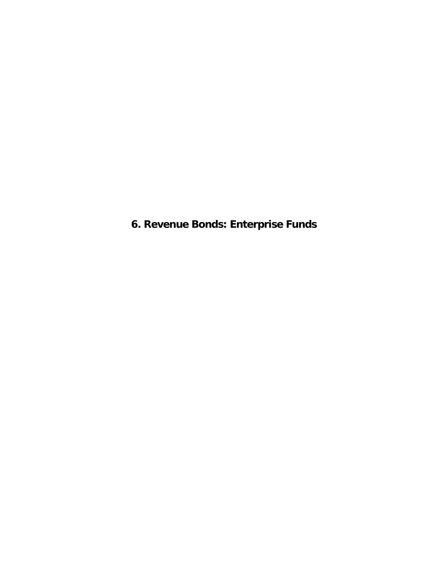**6. Revenue Bonds: Enterprise Funds**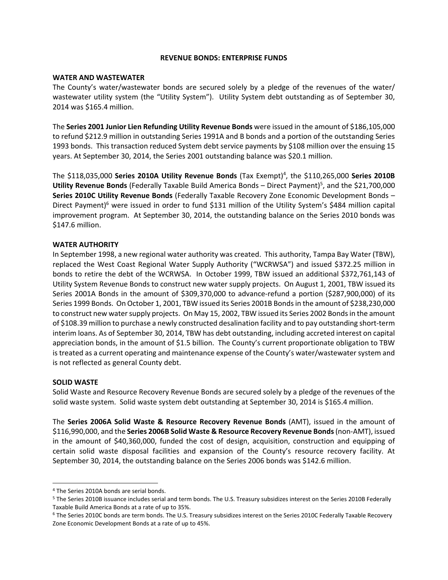# **WATER AND WASTEWATER**

The County's water/wastewater bonds are secured solely by a pledge of the revenues of the water/ wastewater utility system (the "Utility System"). Utility System debt outstanding as of September 30, 2014 was \$165.4 million.

The **Series 2001 Junior Lien Refunding Utility Revenue Bonds** were issued in the amount of \$186,105,000 to refund \$212.9 million in outstanding Series 1991A and B bonds and a portion of the outstanding Series 1993 bonds. This transaction reduced System debt service payments by \$108 million over the ensuing 15 years. At September 30, 2014, the Series 2001 outstanding balance was \$20.1 million.

The \$118,035,000 **Series 2010A Utility Revenue Bonds** (Tax Exempt)4 , the \$110,265,000 **Series 2010B** Utility Revenue Bonds (Federally Taxable Build America Bonds - Direct Payment)<sup>5</sup>, and the \$21,700,000 **Series 2010C Utility Revenue Bonds** (Federally Taxable Recovery Zone Economic Development Bonds – Direct Payment)<sup>6</sup> were issued in order to fund \$131 million of the Utility System's \$484 million capital improvement program. At September 30, 2014, the outstanding balance on the Series 2010 bonds was \$147.6 million.

# **WATER AUTHORITY**

In September 1998, a new regional water authority was created. This authority, Tampa Bay Water (TBW), replaced the West Coast Regional Water Supply Authority ("WCRWSA") and issued \$372.25 million in bonds to retire the debt of the WCRWSA. In October 1999, TBW issued an additional \$372,761,143 of Utility System Revenue Bonds to construct new water supply projects. On August 1, 2001, TBW issued its Series 2001A Bonds in the amount of \$309,370,000 to advance-refund a portion (\$287,900,000) of its Series 1999 Bonds. On October 1, 2001, TBW issued its Series 2001B Bondsin the amount of \$238,230,000 to construct new water supply projects. On May 15, 2002, TBW issued its Series 2002 Bonds in the amount of \$108.39 million to purchase a newly constructed desalination facility and to pay outstanding short‐term interim loans. As of September 30, 2014, TBW has debt outstanding, including accreted interest on capital appreciation bonds, in the amount of \$1.5 billion. The County's current proportionate obligation to TBW is treated as a current operating and maintenance expense of the County's water/wastewater system and is not reflected as general County debt.

# **SOLID WASTE**

Solid Waste and Resource Recovery Revenue Bonds are secured solely by a pledge of the revenues of the solid waste system. Solid waste system debt outstanding at September 30, 2014 is \$165.4 million.

The **Series 2006A Solid Waste & Resource Recovery Revenue Bonds** (AMT), issued in the amount of \$116,990,000, and the **Series 2006B Solid Waste & Resource Recovery Revenue Bonds**(non‐AMT), issued in the amount of \$40,360,000, funded the cost of design, acquisition, construction and equipping of certain solid waste disposal facilities and expansion of the County's resource recovery facility. At September 30, 2014, the outstanding balance on the Series 2006 bonds was \$142.6 million.

 <sup>4</sup> The Series 2010A bonds are serial bonds.

<sup>5</sup> The Series 2010B issuance includes serial and term bonds. The U.S. Treasury subsidizes interest on the Series 2010B Federally Taxable Build America Bonds at a rate of up to 35%.

<sup>6</sup> The Series 2010C bonds are term bonds. The U.S. Treasury subsidizes interest on the Series 2010C Federally Taxable Recovery Zone Economic Development Bonds at a rate of up to 45%.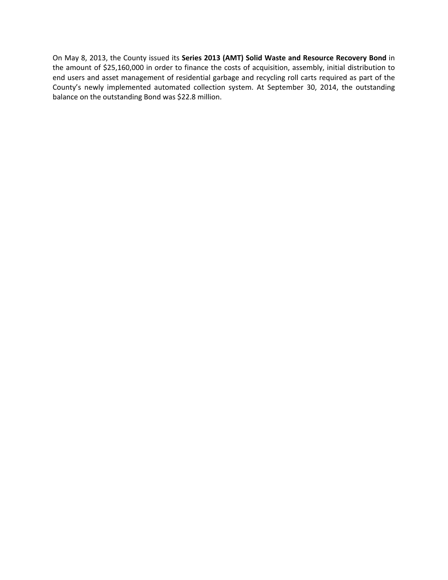On May 8, 2013, the County issued its **Series 2013 (AMT) Solid Waste and Resource Recovery Bond** in the amount of \$25,160,000 in order to finance the costs of acquisition, assembly, initial distribution to end users and asset management of residential garbage and recycling roll carts required as part of the County's newly implemented automated collection system. At September 30, 2014, the outstanding balance on the outstanding Bond was \$22.8 million.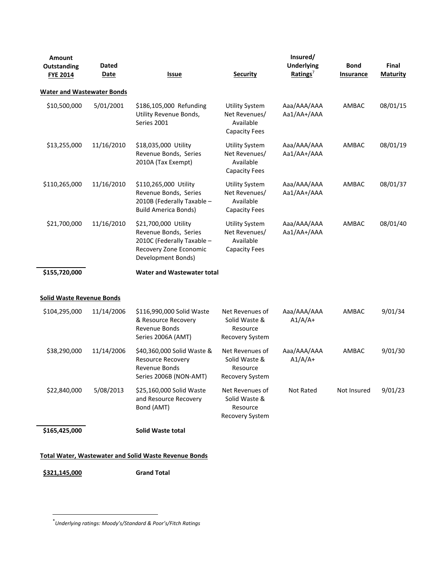|                                   |            | <b>Issue</b>                                                                                                                | <b>Security</b>                                                             | Ratings <sup>7</sup>       | Insurance   | <b>Maturity</b> |
|-----------------------------------|------------|-----------------------------------------------------------------------------------------------------------------------------|-----------------------------------------------------------------------------|----------------------------|-------------|-----------------|
| <b>Water and Wastewater Bonds</b> |            |                                                                                                                             |                                                                             |                            |             |                 |
| \$10,500,000                      | 5/01/2001  | \$186,105,000 Refunding<br>Utility Revenue Bonds,<br>Series 2001                                                            | <b>Utility System</b><br>Net Revenues/<br>Available<br><b>Capacity Fees</b> | Aaa/AAA/AAA<br>Aa1/AA+/AAA | AMBAC       | 08/01/15        |
| \$13,255,000                      | 11/16/2010 | \$18,035,000 Utility<br>Revenue Bonds, Series<br>2010A (Tax Exempt)                                                         | <b>Utility System</b><br>Net Revenues/<br>Available<br><b>Capacity Fees</b> | Aaa/AAA/AAA<br>Aa1/AA+/AAA | AMBAC       | 08/01/19        |
| \$110,265,000                     | 11/16/2010 | \$110,265,000 Utility<br>Revenue Bonds, Series<br>2010B (Federally Taxable -<br><b>Build America Bonds)</b>                 | <b>Utility System</b><br>Net Revenues/<br>Available<br><b>Capacity Fees</b> | Aaa/AAA/AAA<br>Aa1/AA+/AAA | AMBAC       | 08/01/37        |
| \$21,700,000                      | 11/16/2010 | \$21,700,000 Utility<br>Revenue Bonds, Series<br>2010C (Federally Taxable -<br>Recovery Zone Economic<br>Development Bonds) | <b>Utility System</b><br>Net Revenues/<br>Available<br>Capacity Fees        | Aaa/AAA/AAA<br>Aa1/AA+/AAA | AMBAC       | 08/01/40        |
| \$155,720,000                     |            | <b>Water and Wastewater total</b>                                                                                           |                                                                             |                            |             |                 |
| <b>Solid Waste Revenue Bonds</b>  |            |                                                                                                                             |                                                                             |                            |             |                 |
| \$104,295,000                     | 11/14/2006 | \$116,990,000 Solid Waste<br>& Resource Recovery<br>Revenue Bonds<br>Series 2006A (AMT)                                     | Net Revenues of<br>Solid Waste &<br>Resource<br>Recovery System             | Aaa/AAA/AAA<br>$A1/A/A+$   | AMBAC       | 9/01/34         |
| \$38,290,000                      | 11/14/2006 | \$40,360,000 Solid Waste &<br><b>Resource Recovery</b><br>Revenue Bonds<br>Series 2006B (NON-AMT)                           | Net Revenues of<br>Solid Waste &<br>Resource<br>Recovery System             | Aaa/AAA/AAA<br>$A1/A/A+$   | AMBAC       | 9/01/30         |
| \$22,840,000                      | 5/08/2013  | \$25,160,000 Solid Waste<br>and Resource Recovery<br>Bond (AMT)                                                             | Net Revenues of<br>Solid Waste &<br>Resource<br><b>Recovery System</b>      | Not Rated                  | Not Insured | 9/01/23         |
| \$165,425,000                     |            | <b>Solid Waste total</b>                                                                                                    |                                                                             |                            |             |                 |

**\$321,145,000 Grand Total**

<sup>\*</sup> *Underlying ratings: Moody's/Standard & Poor's/Fitch Ratings*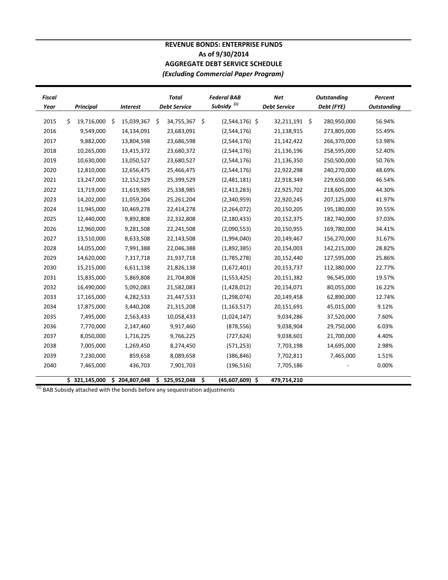# **REVENUE BONDS: ENTERPRISE FUNDS As of 9/30/2014 AGGREGATE DEBT SERVICE SCHEDULE** *(Excluding Commercial Paper Program)*

| <b>Fiscal</b> |                  |                  | <b>Total</b>        | <b>Federal BAB</b>      | <b>Net</b>          | <b>Outstanding</b> | Percent            |
|---------------|------------------|------------------|---------------------|-------------------------|---------------------|--------------------|--------------------|
| Year          | <b>Principal</b> | <b>Interest</b>  | <b>Debt Service</b> | Subsidy <sup>(1)</sup>  | <b>Debt Service</b> | Debt (FYE)         | <b>Outstanding</b> |
| 2015          | \$<br>19,716,000 | \$<br>15,039,367 | \$<br>34,755,367    | \$<br>$(2,544,176)$ \$  | 32,211,191 \$       | 280,950,000        | 56.94%             |
| 2016          | 9,549,000        | 14,134,091       | 23,683,091          | (2,544,176)             | 21,138,915          | 273,805,000        | 55.49%             |
| 2017          |                  |                  |                     |                         |                     | 266,370,000        | 53.98%             |
|               | 9,882,000        | 13,804,598       | 23,686,598          | (2,544,176)             | 21,142,422          |                    |                    |
| 2018          | 10,265,000       | 13,415,372       | 23,680,372          | (2,544,176)             | 21,136,196          | 258,595,000        | 52.40%             |
| 2019          | 10,630,000       | 13,050,527       | 23,680,527          | (2,544,176)             | 21,136,350          | 250,500,000        | 50.76%             |
| 2020          | 12,810,000       | 12,656,475       | 25,466,475          | (2,544,176)             | 22,922,298          | 240,270,000        | 48.69%             |
| 2021          | 13,247,000       | 12,152,529       | 25,399,529          | (2,481,181)             | 22,918,349          | 229,650,000        | 46.54%             |
| 2022          | 13,719,000       | 11,619,985       | 25,338,985          | (2,413,283)             | 22,925,702          | 218,605,000        | 44.30%             |
| 2023          | 14,202,000       | 11,059,204       | 25,261,204          | (2,340,959)             | 22,920,245          | 207,125,000        | 41.97%             |
| 2024          | 11,945,000       | 10,469,278       | 22,414,278          | (2, 264, 072)           | 20,150,205          | 195,180,000        | 39.55%             |
| 2025          | 12,440,000       | 9,892,808        | 22,332,808          | (2, 180, 433)           | 20,152,375          | 182,740,000        | 37.03%             |
| 2026          | 12,960,000       | 9,281,508        | 22,241,508          | (2,090,553)             | 20,150,955          | 169,780,000        | 34.41%             |
| 2027          | 13,510,000       | 8,633,508        | 22,143,508          | (1,994,040)             | 20,149,467          | 156,270,000        | 31.67%             |
| 2028          | 14,055,000       | 7,991,388        | 22,046,388          | (1,892,385)             | 20,154,003          | 142,215,000        | 28.82%             |
| 2029          | 14,620,000       | 7,317,718        | 21,937,718          | (1,785,278)             | 20,152,440          | 127,595,000        | 25.86%             |
| 2030          | 15,215,000       | 6,611,138        | 21,826,138          | (1,672,401)             | 20,153,737          | 112,380,000        | 22.77%             |
| 2031          | 15,835,000       | 5,869,808        | 21,704,808          | (1,553,425)             | 20,151,382          | 96,545,000         | 19.57%             |
| 2032          | 16,490,000       | 5,092,083        | 21,582,083          | (1,428,012)             | 20,154,071          | 80,055,000         | 16.22%             |
| 2033          | 17,165,000       | 4,282,533        | 21,447,533          | (1, 298, 074)           | 20,149,458          | 62,890,000         | 12.74%             |
| 2034          | 17,875,000       | 3,440,208        | 21,315,208          | (1, 163, 517)           | 20,151,691          | 45,015,000         | 9.12%              |
| 2035          | 7,495,000        | 2,563,433        | 10,058,433          | (1,024,147)             | 9,034,286           | 37,520,000         | 7.60%              |
| 2036          | 7,770,000        | 2,147,460        | 9,917,460           | (878, 556)              | 9,038,904           | 29,750,000         | 6.03%              |
| 2037          | 8,050,000        | 1,716,225        | 9,766,225           | (727, 624)              | 9,038,601           | 21,700,000         | 4.40%              |
| 2038          | 7,005,000        | 1,269,450        | 8,274,450           | (571, 253)              | 7,703,198           | 14,695,000         | 2.98%              |
| 2039          | 7,230,000        | 859,658          | 8,089,658           | (386, 846)              | 7,702,811           | 7,465,000          | 1.51%              |
| 2040          | 7,465,000        | 436,703          | 7,901,703           | (196, 516)              | 7,705,186           |                    | 0.00%              |
|               | \$321,145,000    | \$204,807,048    | \$<br>525,952,048   | \$<br>$(45,607,609)$ \$ | 479,714,210         |                    |                    |

 $^{(1)}$  BAB Subsidy attached with the bonds before any sequestration adjustments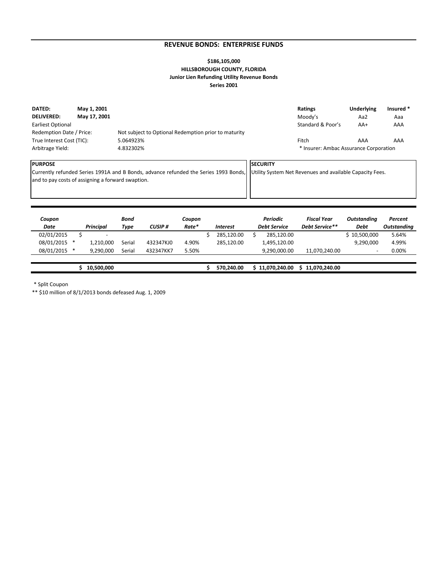## **\$186,105,000 HILLSBOROUGH COUNTY, FLORIDA Junior Lien Refunding Utility Revenue Bonds Series 2001**

| <b>DATED:</b>             | May 1, 2001  |                                                      |                 | Ratings                                | <b>Underlying</b> | Insured * |
|---------------------------|--------------|------------------------------------------------------|-----------------|----------------------------------------|-------------------|-----------|
| <b>DELIVERED:</b>         | May 17, 2001 |                                                      |                 | Moody's                                | Aa2               | Aaa       |
| <b>Earliest Optional</b>  |              |                                                      |                 | Standard & Poor's                      | AA+               | AAA       |
| Redemption Date / Price:  |              | Not subject to Optional Redemption prior to maturity |                 |                                        |                   |           |
| True Interest Cost (TIC): |              | 5.064923%                                            |                 | Fitch                                  | AAA               | AAA       |
| Arbitrage Yield:          |              | 4.832302%                                            |                 | * Insurer: Ambac Assurance Corporation |                   |           |
| <b>PURPOSE</b>            |              |                                                      | <b>SECURITY</b> |                                        |                   |           |
|                           |              |                                                      |                 |                                        |                   |           |

| Currently refunded Series 1991A and B Bonds, advance refunded the Series 1993 Bonds, Utility System Net Revenues and available Capacity Fees. |  |
|-----------------------------------------------------------------------------------------------------------------------------------------------|--|
| and to pay costs of assigning a forward swaption.                                                                                             |  |
|                                                                                                                                               |  |
|                                                                                                                                               |  |

| Coupon     |   |                  | Bond   |               | Coupon |                 | Periodic            | <b>Fiscal Year</b> | <b>Outstanding</b> | Percent     |
|------------|---|------------------|--------|---------------|--------|-----------------|---------------------|--------------------|--------------------|-------------|
| Date       |   | <b>Principal</b> | Type   | <b>CUSIP#</b> | Rate*  | <b>Interest</b> | <b>Debt Service</b> | Debt Service**     | Debt               | Outstandina |
| 02/01/2015 |   |                  |        |               |        | 285.120.00      | 285.120.00          |                    | \$10,500,000       | 5.64%       |
| 08/01/2015 | * | 1.210.000        | Serial | 432347KJ0     | 4.90%  | 285.120.00      | 1.495.120.00        |                    | 9.290.000          | 4.99%       |
| 08/01/2015 | ∗ | 9.290.000        | Serial | 432347KK7     | 5.50%  |                 | 9,290,000.00        | 11.070.240.00      |                    | 0.00%       |
|            |   |                  |        |               |        |                 |                     |                    |                    |             |
|            |   | 10.500.000       |        |               |        | 570.240.00      | \$11.070.240.00     | \$11.070.240.00    |                    |             |

\* Split Coupon

\*\* \$10 million of 8/1/2013 bonds defeased Aug. 1, 2009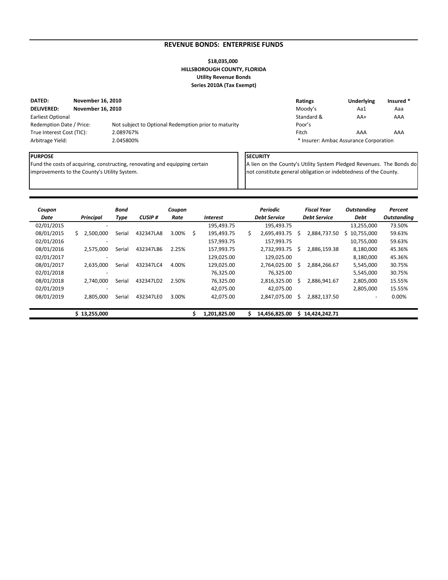## **\$18,035,000 HILLSBOROUGH COUNTY, FLORIDA Utility Revenue Bonds Series 2010A (Tax Exempt)**

| <b>DATED:</b>             | November 16, 2010 |                                                      | Ratings    | Underlying                             | Insured * |
|---------------------------|-------------------|------------------------------------------------------|------------|----------------------------------------|-----------|
| <b>DELIVERED:</b>         | November 16, 2010 |                                                      | Moody's    | Aa1                                    | Aaa       |
| Earliest Optional         |                   |                                                      | Standard & | AA+                                    | AAA       |
| Redemption Date / Price:  |                   | Not subject to Optional Redemption prior to maturity | Poor's     |                                        |           |
| True Interest Cost (TIC): |                   | 2.089767%                                            | Fitch      | AAA                                    | AAA       |
| Arbitrage Yield:          |                   | 2.045800%                                            |            | * Insurer: Ambac Assurance Corporation |           |
|                           |                   |                                                      |            |                                        |           |

# **PURPOSE SECURITY**

Fund the costs of acquiring, constructing, renovating and equipping certain improvements to the County's Utility System.

A lien on the County's Utility System Pledged Revenues. The Bonds do not constitute general obligation or indebtedness of the County.

| Coupon     |                 | Bond        |               | Coupon |   |              |    | Periodic            |   | <b>Fiscal Year</b>  | <b>Outstandina</b>       | Percent     |
|------------|-----------------|-------------|---------------|--------|---|--------------|----|---------------------|---|---------------------|--------------------------|-------------|
| Date       | Principal       | <b>Type</b> | <b>CUSIP#</b> | Rate   |   | Interest     |    | <b>Debt Service</b> |   | <b>Debt Service</b> | <b>Debt</b>              | Outstanding |
| 02/01/2015 |                 |             |               |        |   | 195,493.75   |    | 195.493.75          |   |                     | 13,255,000               | 73.50%      |
| 08/01/2015 | 2,500,000<br>Ś. | Serial      | 432347LA8     | 3.00%  | Ś | 195,493.75   | \$ | 2,695,493.75        |   | 2,884,737.50        | \$10,755,000             | 59.63%      |
| 02/01/2016 |                 |             |               |        |   | 157.993.75   |    | 157.993.75          |   |                     | 10,755,000               | 59.63%      |
| 08/01/2016 | 2,575,000       | Serial      | 432347LB6     | 2.25%  |   | 157,993.75   |    | 2,732,993.75        |   | 2,886,159.38        | 8,180,000                | 45.36%      |
| 02/01/2017 |                 |             |               |        |   | 129,025.00   |    | 129.025.00          |   |                     | 8,180,000                | 45.36%      |
| 08/01/2017 | 2,635,000       | Serial      | 432347LC4     | 4.00%  |   | 129,025.00   |    | 2,764,025.00        | S | 2,884,266.67        | 5,545,000                | 30.75%      |
| 02/01/2018 |                 |             |               |        |   | 76.325.00    |    | 76.325.00           |   |                     | 5,545,000                | 30.75%      |
| 08/01/2018 | 2.740.000       | Serial      | 432347LD2     | 2.50%  |   | 76,325.00    |    | 2.816.325.00        | S | 2,886,941.67        | 2,805,000                | 15.55%      |
| 02/01/2019 |                 |             |               |        |   | 42.075.00    |    | 42.075.00           |   |                     | 2,805,000                | 15.55%      |
| 08/01/2019 | 2.805.000       | Serial      | 432347LE0     | 3.00%  |   | 42.075.00    |    | 2.847.075.00        | s | 2,882,137.50        | $\overline{\phantom{0}}$ | 0.00%       |
|            |                 |             |               |        |   |              |    |                     |   |                     |                          |             |
|            | \$13.255.000    |             |               |        | Ś | 1.201.825.00 | Ś. | 14.456.825.00       |   | 14.424.242.71       |                          |             |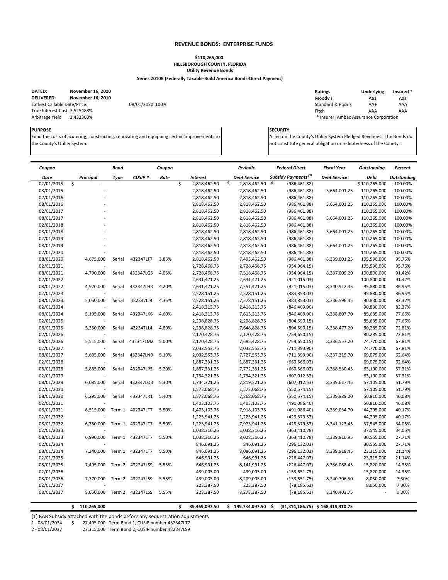**\$110,265,000 HILLSBOROUGH COUNTY, FLORIDA**

**Utility Revenue Bonds Series 2010B (Federally Taxable‐Build America Bonds‐Direct Payment)**

# **November 16, 2010**

True Interest Cost 3.525488% Arbitrage Yield 3.433300% **\*** Insurer: Ambac Assurance Corporation 3.433300% \* Insurer: Ambac Assurance Corp

### **PURPOSE SECURITY**

Fund the costs of acquiring, constructing, renovating and equipping certain improvements to the County's Utility System.

| <b>DATED:</b>                 | November 16, 2010     |                 | <b>Ratings</b>                         | <b>Underlying</b> | lnsured * |
|-------------------------------|-----------------------|-----------------|----------------------------------------|-------------------|-----------|
| <b>DELIVERED:</b>             | November 16, 2010     |                 | Moody's                                | Aa1               | Aaa       |
| Earliest Callable Date/Price: |                       | 08/01/2020 100% | Standard & Poor's                      | AA-               | AAA       |
| True Interest Cost 3.525488%  |                       |                 | Fitch                                  | AAA               | AAA       |
| اطمiY Arhitra                 | 3 133300 <sup>o</sup> |                 | * Insurer: Ambac Assurance Cornoration |                   |           |

A lien on the County's Utility System Pledged Revenues. The Bonds do not constitute general obligation or indebtedness of the County.

| Coupon      |                  | <b>Bond</b> |                            | Coupon |                    |                    | <b>Periodic</b>     | <b>Federal Direct</b>           | <b>Fiscal Year</b>  | <b>Outstanding</b> | Percent            |
|-------------|------------------|-------------|----------------------------|--------|--------------------|--------------------|---------------------|---------------------------------|---------------------|--------------------|--------------------|
| <b>Date</b> | <b>Principal</b> | <b>Type</b> | <b>CUSIP#</b>              | Rate   | <b>Interest</b>    |                    | <b>Debt Service</b> | Subsidy Payments <sup>(1)</sup> | <b>Debt Service</b> | Debt               | <b>Outstanding</b> |
| 02/01/2015  | \$               |             |                            |        | \$<br>2,818,462.50 | $\mathsf{\hat{S}}$ | 2,818,462.50        | \$<br>(986, 461.88)             |                     | \$110,265,000      | 100.00%            |
| 08/01/2015  |                  |             |                            |        | 2,818,462.50       |                    | 2,818,462.50        | (986, 461.88)                   | 3,664,001.25        | 110,265,000        | 100.00%            |
| 02/01/2016  |                  |             |                            |        | 2,818,462.50       |                    | 2,818,462.50        | (986, 461.88)                   |                     | 110,265,000        | 100.00%            |
| 08/01/2016  |                  |             |                            |        | 2,818,462.50       |                    | 2,818,462.50        | (986, 461.88)                   | 3,664,001.25        | 110,265,000        | 100.00%            |
| 02/01/2017  |                  |             |                            |        | 2,818,462.50       |                    | 2,818,462.50        | (986, 461.88)                   |                     | 110,265,000        | 100.00%            |
| 08/01/2017  |                  |             |                            |        | 2,818,462.50       |                    | 2,818,462.50        | (986, 461.88)                   | 3,664,001.25        | 110,265,000        | 100.00%            |
| 02/01/2018  |                  |             |                            |        | 2,818,462.50       |                    | 2,818,462.50        | (986, 461.88)                   |                     | 110,265,000        | 100.00%            |
| 08/01/2018  |                  |             |                            |        | 2,818,462.50       |                    | 2,818,462.50        | (986, 461.88)                   | 3,664,001.25        | 110,265,000        | 100.00%            |
| 02/01/2019  |                  |             |                            |        | 2,818,462.50       |                    | 2,818,462.50        | (986, 461.88)                   |                     | 110,265,000        | 100.00%            |
| 08/01/2019  |                  |             |                            |        | 2,818,462.50       |                    | 2,818,462.50        | (986, 461.88)                   | 3,664,001.25        | 110,265,000        | 100.00%            |
| 02/01/2020  |                  |             |                            |        | 2,818,462.50       |                    | 2,818,462.50        | (986, 461.88)                   |                     | 110,265,000        | 100.00%            |
| 08/01/2020  | 4,675,000        | Serial      | 432347LF7                  | 3.85%  | 2,818,462.50       |                    | 7,493,462.50        | (986, 461.88)                   | 8,339,001.25        | 105,590,000        | 95.76%             |
| 02/01/2021  |                  |             |                            |        | 2,728,468.75       |                    | 2,728,468.75        | (954, 964.15)                   |                     | 105,590,000        | 95.76%             |
| 08/01/2021  | 4,790,000        | Serial      | 432347LG5                  | 4.05%  | 2,728,468.75       |                    | 7,518,468.75        | (954, 964.15)                   | 8,337,009.20        | 100,800,000        | 91.42%             |
| 02/01/2022  |                  |             |                            |        | 2,631,471.25       |                    | 2,631,471.25        | (921, 015.03)                   |                     | 100,800,000        | 91.42%             |
| 08/01/2022  | 4,920,000        | Serial      | 432347LH3                  | 4.20%  | 2,631,471.25       |                    | 7,551,471.25        | (921, 015.03)                   | 8,340,912.45        | 95,880,000         | 86.95%             |
| 02/01/2023  |                  |             |                            |        | 2,528,151.25       |                    | 2,528,151.25        | (884, 853.03)                   |                     | 95,880,000         | 86.95%             |
| 08/01/2023  | 5,050,000        | Serial      | 432347LJ9                  | 4.35%  | 2,528,151.25       |                    | 7,578,151.25        | (884, 853.03)                   | 8,336,596.45        | 90,830,000         | 82.37%             |
| 02/01/2024  |                  |             |                            |        | 2,418,313.75       |                    | 2,418,313.75        | (846, 409.90)                   |                     | 90,830,000         | 82.37%             |
| 08/01/2024  | 5,195,000        | Serial      | 432347LK6                  | 4.60%  | 2,418,313.75       |                    | 7,613,313.75        | (846, 409.90)                   | 8,338,807.70        | 85,635,000         | 77.66%             |
| 02/01/2025  |                  |             |                            |        | 2,298,828.75       |                    | 2,298,828.75        | (804, 590.15)                   |                     | 85,635,000         | 77.66%             |
| 08/01/2025  | 5,350,000        | Serial      | 432347LL4                  | 4.80%  | 2,298,828.75       |                    | 7,648,828.75        | (804, 590.15)                   | 8,338,477.20        | 80,285,000         | 72.81%             |
| 02/01/2026  |                  |             |                            |        | 2,170,428.75       |                    | 2,170,428.75        | (759, 650.15)                   |                     | 80,285,000         | 72.81%             |
| 08/01/2026  | 5,515,000        | Serial      | 432347LM2                  | 5.00%  | 2,170,428.75       |                    | 7,685,428.75        | (759, 650.15)                   | 8,336,557.20        | 74,770,000         | 67.81%             |
| 02/01/2027  |                  |             |                            |        | 2,032,553.75       |                    | 2,032,553.75        | (711, 393.90)                   |                     | 74,770,000         | 67.81%             |
| 08/01/2027  | 5,695,000        | Serial      | 432347LN0                  | 5.10%  | 2,032,553.75       |                    | 7,727,553.75        | (711, 393.90)                   | 8,337,319.70        | 69,075,000         | 62.64%             |
| 02/01/2028  |                  |             |                            |        | 1,887,331.25       |                    | 1,887,331.25        | (660, 566.03)                   |                     | 69,075,000         | 62.64%             |
| 08/01/2028  | 5,885,000        | Serial      | 432347LP5                  | 5.20%  | 1,887,331.25       |                    | 7,772,331.25        | (660, 566.03)                   | 8,338,530.45        | 63,190,000         | 57.31%             |
| 02/01/2029  |                  |             |                            |        | 1,734,321.25       |                    | 1,734,321.25        | (607, 012.53)                   |                     | 63,190,000         | 57.31%             |
| 08/01/2029  | 6,085,000        | Serial      | 432347LQ3                  | 5.30%  | 1,734,321.25       |                    | 7,819,321.25        | (607, 012.53)                   | 8,339,617.45        | 57,105,000         | 51.79%             |
| 02/01/2030  |                  |             |                            |        | 1,573,068.75       |                    | 1,573,068.75        | (550, 574.15)                   |                     | 57,105,000         | 51.79%             |
| 08/01/2030  | 6,295,000        | Serial      | 432347LR1                  | 5.40%  | 1,573,068.75       |                    | 7,868,068.75        | (550, 574.15)                   | 8,339,989.20        | 50,810,000         | 46.08%             |
| 02/01/2031  |                  |             |                            |        | 1,403,103.75       |                    | 1,403,103.75        | (491,086.40)                    |                     | 50,810,000         | 46.08%             |
| 08/01/2031  | 6,515,000        |             | Term 1 432347LT7           | 5.50%  | 1,403,103.75       |                    | 7,918,103.75        | (491,086.40)                    | 8,339,034.70        | 44,295,000         | 40.17%             |
| 02/01/2032  |                  |             |                            |        | 1,223,941.25       |                    | 1,223,941.25        | (428, 379.53)                   |                     | 44,295,000         | 40.17%             |
| 08/01/2032  | 6,750,000        |             | Term 1 432347LT7           | 5.50%  | 1,223,941.25       |                    | 7,973,941.25        | (428, 379.53)                   | 8,341,123.45        | 37,545,000         | 34.05%             |
| 02/01/2033  |                  |             |                            |        | 1,038,316.25       |                    | 1,038,316.25        | (363, 410.78)                   |                     | 37,545,000         | 34.05%             |
| 08/01/2033  | 6,990,000        |             | Term 1 432347LT7           | 5.50%  | 1,038,316.25       |                    | 8,028,316.25        | (363, 410.78)                   | 8,339,810.95        | 30,555,000         | 27.71%             |
| 02/01/2034  |                  |             |                            |        | 846,091.25         |                    | 846,091.25          | (296, 132.03)                   |                     | 30,555,000         | 27.71%             |
| 08/01/2034  | 7,240,000        |             | Term 1 432347LT7           | 5.50%  | 846,091.25         |                    | 8,086,091.25        | (296, 132.03)                   | 8,339,918.45        | 23,315,000         | 21.14%             |
| 02/01/2035  |                  |             |                            |        | 646,991.25         |                    | 646,991.25          | (226, 447.03)                   |                     | 23,315,000         | 21.14%             |
| 08/01/2035  | 7,495,000        |             | Term 2 432347LS9           | 5.55%  | 646,991.25         |                    | 8,141,991.25        | (226, 447.03)                   | 8,336,088.45        | 15,820,000         | 14.35%             |
| 02/01/2036  |                  |             |                            |        | 439,005.00         |                    | 439,005.00          | (153, 651.75)                   |                     | 15,820,000         | 14.35%             |
| 08/01/2036  | 7,770,000        |             | Term 2 432347LS9           | 5.55%  | 439,005.00         |                    | 8,209,005.00        | (153, 651.75)                   | 8,340,706.50        | 8,050,000          | 7.30%              |
| 02/01/2037  |                  |             |                            |        | 223,387.50         |                    | 223,387.50          | (78, 185.63)                    |                     | 8,050,000          | 7.30%              |
| 08/01/2037  |                  |             | 8,050,000 Term 2 432347LS9 | 5.55%  | 223,387.50         |                    | 8,273,387.50        | (78, 185.63)                    | 8,340,403.75        |                    | 0.00%              |
|             |                  |             |                            |        |                    |                    |                     |                                 |                     |                    |                    |

**\$ 110,265,000 \$ 89,469,097.50 \$ 199,734,097.50 \$ (31,314,186.75) \$ 168,419,910.75**

(1) BAB Subsidy attached with the bonds before any sequestration adjustments 1 - 08/01/2034  $\$$  27,495,000 Term Bond 1, CUSIP number 432347LT7

\$ 27,495,000 Term Bond 1, CUSIP number 432347LT7

2 ‐ 08/01/2037 23,315,000 Term Bond 2, CUSIP number 432347LS9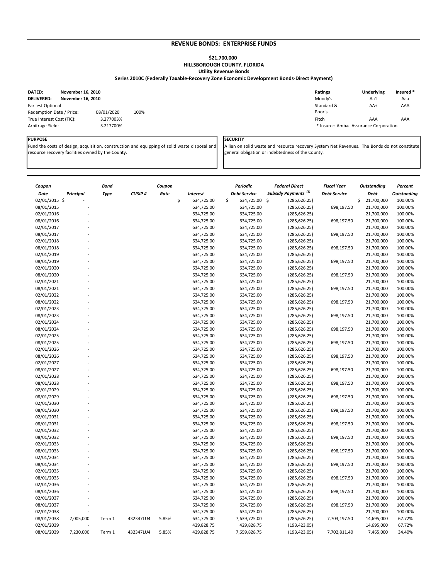### **\$21,700,000**

**HILLSBOROUGH COUNTY, FLORIDA**

**Utility Revenue Bonds**

**Series 2010C (Federally Taxable‐Recovery Zone Economic Development Bonds‐Direct Payment)**

| DATED:                    | November 16, 2010 |            |      | Ratings    | Underlying                             | Insured * |
|---------------------------|-------------------|------------|------|------------|----------------------------------------|-----------|
| <b>DELIVERED:</b>         | November 16, 2010 |            |      | Moody's    | Aa1                                    | Aaa       |
| Earliest Optional         |                   |            |      | Standard & | AA+                                    | AAA       |
| Redemption Date / Price:  |                   | 08/01/2020 | 100% | Poor's     |                                        |           |
| True Interest Cost (TIC): |                   | 3.277003%  |      | Fitch      | AAA                                    | AAA       |
| Arbitrage Yield:          |                   | 3.217700%  |      |            | * Insurer: Ambac Assurance Corporation |           |
|                           |                   |            |      |            |                                        |           |

### **PURPOSE SECURITY**

Fund the costs of design, acquisition, construction and equipping of solid waste disposal and resource recovery facilities owned by the County.

A lien on solid waste and resource recovery System Net Revenues. The Bonds do not constitute general obligation or indebtedness of the County.

| Coupon        |           | Bond        |               | Coupon |                  | Periodic                 | <b>Federal Direct</b>                  | <b>Fiscal Year</b>  | Outstanding      | Percent            |
|---------------|-----------|-------------|---------------|--------|------------------|--------------------------|----------------------------------------|---------------------|------------------|--------------------|
| <b>Date</b>   | Principal | <b>Type</b> | <b>CUSIP#</b> | Rate   | <b>Interest</b>  | <b>Debt Service</b>      | <b>Subsidy Payments</b> <sup>(1)</sup> | <b>Debt Service</b> | <b>Debt</b>      | <b>Outstanding</b> |
| 02/01/2015 \$ |           |             |               |        | \$<br>634,725.00 | \$<br>634,725.00         | \$<br>(285, 626.25)                    |                     | \$<br>21,700,000 | 100.00%            |
| 08/01/2015    |           |             |               |        | 634,725.00       | 634,725.00               | (285, 626.25)                          | 698,197.50          | 21,700,000       | 100.00%            |
| 02/01/2016    |           |             |               |        | 634,725.00       | 634,725.00               | (285, 626.25)                          |                     | 21,700,000       | 100.00%            |
| 08/01/2016    |           |             |               |        | 634,725.00       | 634,725.00               | (285, 626.25)                          | 698,197.50          | 21,700,000       | 100.00%            |
| 02/01/2017    |           |             |               |        | 634,725.00       | 634,725.00               | (285, 626.25)                          |                     | 21,700,000       | 100.00%            |
| 08/01/2017    |           |             |               |        | 634,725.00       | 634,725.00               | (285, 626.25)                          | 698,197.50          | 21,700,000       | 100.00%            |
| 02/01/2018    |           |             |               |        | 634,725.00       | 634,725.00               | (285, 626.25)                          |                     | 21,700,000       | 100.00%            |
| 08/01/2018    |           |             |               |        | 634,725.00       | 634,725.00               | (285, 626.25)                          | 698,197.50          | 21,700,000       | 100.00%            |
| 02/01/2019    |           |             |               |        | 634,725.00       | 634,725.00               | (285, 626.25)                          |                     | 21,700,000       | 100.00%            |
| 08/01/2019    |           |             |               |        | 634,725.00       | 634,725.00               | (285, 626.25)                          | 698,197.50          | 21,700,000       | 100.00%            |
| 02/01/2020    |           |             |               |        | 634,725.00       | 634,725.00               | (285, 626.25)                          |                     | 21,700,000       | 100.00%            |
| 08/01/2020    |           |             |               |        | 634,725.00       | 634,725.00               | (285, 626.25)                          | 698,197.50          | 21,700,000       | 100.00%            |
| 02/01/2021    |           |             |               |        | 634,725.00       | 634,725.00               | (285, 626.25)                          |                     | 21,700,000       | 100.00%            |
| 08/01/2021    |           |             |               |        | 634,725.00       | 634,725.00               | (285, 626.25)                          | 698,197.50          | 21,700,000       | 100.00%            |
| 02/01/2022    |           |             |               |        |                  |                          |                                        |                     | 21,700,000       | 100.00%            |
| 08/01/2022    |           |             |               |        | 634,725.00       | 634,725.00<br>634,725.00 | (285, 626.25)                          |                     | 21,700,000       | 100.00%            |
|               |           |             |               |        | 634,725.00       |                          | (285, 626.25)                          | 698,197.50          |                  |                    |
| 02/01/2023    |           |             |               |        | 634,725.00       | 634,725.00               | (285, 626.25)                          |                     | 21,700,000       | 100.00%            |
| 08/01/2023    |           |             |               |        | 634,725.00       | 634,725.00               | (285, 626.25)                          | 698,197.50          | 21,700,000       | 100.00%            |
| 02/01/2024    |           |             |               |        | 634,725.00       | 634,725.00               | (285, 626.25)                          |                     | 21,700,000       | 100.00%            |
| 08/01/2024    |           |             |               |        | 634,725.00       | 634,725.00               | (285, 626.25)                          | 698,197.50          | 21,700,000       | 100.00%            |
| 02/01/2025    |           |             |               |        | 634,725.00       | 634,725.00               | (285, 626.25)                          |                     | 21,700,000       | 100.00%            |
| 08/01/2025    |           |             |               |        | 634,725.00       | 634,725.00               | (285, 626.25)                          | 698,197.50          | 21,700,000       | 100.00%            |
| 02/01/2026    |           |             |               |        | 634,725.00       | 634,725.00               | (285, 626.25)                          |                     | 21,700,000       | 100.00%            |
| 08/01/2026    |           |             |               |        | 634,725.00       | 634,725.00               | (285, 626.25)                          | 698,197.50          | 21,700,000       | 100.00%            |
| 02/01/2027    |           |             |               |        | 634,725.00       | 634,725.00               | (285, 626.25)                          |                     | 21,700,000       | 100.00%            |
| 08/01/2027    |           |             |               |        | 634,725.00       | 634,725.00               | (285, 626.25)                          | 698,197.50          | 21,700,000       | 100.00%            |
| 02/01/2028    |           |             |               |        | 634,725.00       | 634,725.00               | (285, 626.25)                          |                     | 21,700,000       | 100.00%            |
| 08/01/2028    |           |             |               |        | 634,725.00       | 634,725.00               | (285, 626.25)                          | 698,197.50          | 21,700,000       | 100.00%            |
| 02/01/2029    |           |             |               |        | 634,725.00       | 634,725.00               | (285, 626.25)                          |                     | 21,700,000       | 100.00%            |
| 08/01/2029    |           |             |               |        | 634,725.00       | 634,725.00               | (285, 626.25)                          | 698,197.50          | 21,700,000       | 100.00%            |
| 02/01/2030    |           |             |               |        | 634,725.00       | 634,725.00               | (285, 626.25)                          |                     | 21,700,000       | 100.00%            |
| 08/01/2030    |           |             |               |        | 634,725.00       | 634,725.00               | (285, 626.25)                          | 698,197.50          | 21,700,000       | 100.00%            |
| 02/01/2031    |           |             |               |        | 634,725.00       | 634,725.00               | (285, 626.25)                          |                     | 21,700,000       | 100.00%            |
| 08/01/2031    |           |             |               |        | 634,725.00       | 634,725.00               | (285, 626.25)                          | 698,197.50          | 21,700,000       | 100.00%            |
| 02/01/2032    |           |             |               |        | 634,725.00       | 634,725.00               | (285, 626.25)                          |                     | 21,700,000       | 100.00%            |
| 08/01/2032    |           |             |               |        | 634,725.00       | 634,725.00               | (285, 626.25)                          | 698,197.50          | 21,700,000       | 100.00%            |
| 02/01/2033    |           |             |               |        | 634,725.00       | 634,725.00               | (285, 626.25)                          |                     | 21,700,000       | 100.00%            |
| 08/01/2033    |           |             |               |        | 634,725.00       | 634,725.00               | (285, 626.25)                          | 698,197.50          | 21,700,000       | 100.00%            |
| 02/01/2034    |           |             |               |        | 634,725.00       | 634,725.00               | (285, 626.25)                          |                     | 21,700,000       | 100.00%            |
| 08/01/2034    |           |             |               |        | 634,725.00       | 634,725.00               | (285, 626.25)                          | 698,197.50          | 21,700,000       | 100.00%            |
| 02/01/2035    |           |             |               |        | 634,725.00       | 634,725.00               | (285, 626.25)                          |                     | 21,700,000       | 100.00%            |
| 08/01/2035    |           |             |               |        | 634,725.00       | 634,725.00               | (285, 626.25)                          | 698,197.50          | 21,700,000       | 100.00%            |
| 02/01/2036    |           |             |               |        | 634,725.00       | 634,725.00               | (285, 626.25)                          |                     | 21,700,000       | 100.00%            |
| 08/01/2036    |           |             |               |        | 634,725.00       | 634,725.00               | (285, 626.25)                          | 698,197.50          | 21,700,000       | 100.00%            |
| 02/01/2037    |           |             |               |        | 634,725.00       | 634,725.00               | (285, 626.25)                          |                     | 21,700,000       | 100.00%            |
| 08/01/2037    |           |             |               |        | 634,725.00       | 634,725.00               | (285, 626.25)                          | 698,197.50          | 21,700,000       | 100.00%            |
| 02/01/2038    |           |             |               |        | 634,725.00       | 634,725.00               | (285, 626.25)                          |                     | 21,700,000       | 100.00%            |
| 08/01/2038    | 7,005,000 | Term 1      | 432347LU4     | 5.85%  | 634,725.00       | 7,639,725.00             | (285, 626.25)                          | 7,703,197.50        | 14,695,000       | 67.72%             |
| 02/01/2039    |           |             |               |        | 429,828.75       | 429,828.75               | (193, 423.05)                          |                     | 14,695,000       | 67.72%             |
| 08/01/2039    | 7,230,000 | Term 1      | 432347LU4     | 5.85%  | 429,828.75       | 7,659,828.75             | (193, 423.05)                          | 7,702,811.40        | 7,465,000        | 34.40%             |
|               |           |             |               |        |                  |                          |                                        |                     |                  |                    |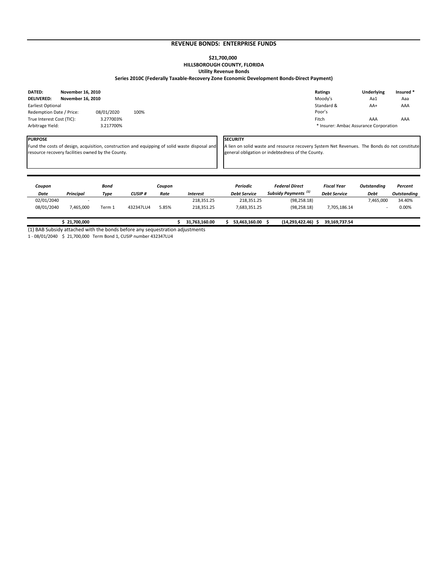# **\$21,700,000**

### **HILLSBOROUGH COUNTY, FLORIDA Utility Revenue Bonds**

### **Series 2010C (Federally Taxable‐Recovery Zone Economic Development Bonds‐Direct Payment)**

| DATED:                    | November 16, 2010 |                                                   |                                                                                               | Ratings                                                                                      | Underlying                             | Insured * |
|---------------------------|-------------------|---------------------------------------------------|-----------------------------------------------------------------------------------------------|----------------------------------------------------------------------------------------------|----------------------------------------|-----------|
| <b>DELIVERED:</b>         | November 16, 2010 |                                                   |                                                                                               | Moody's                                                                                      | Aa1                                    | Aaa       |
| Earliest Optional         |                   |                                                   |                                                                                               | Standard &                                                                                   | AA+                                    | AAA       |
| Redemption Date / Price:  |                   | 08/01/2020                                        | 100%                                                                                          | Poor's                                                                                       |                                        |           |
| True Interest Cost (TIC): |                   | 3.277003%                                         |                                                                                               | Fitch                                                                                        | AAA                                    | AAA       |
| Arbitrage Yield:          |                   | 3.217700%                                         |                                                                                               |                                                                                              | * Insurer: Ambac Assurance Corporation |           |
| <b>PURPOSE</b>            |                   |                                                   |                                                                                               | <b>SECURITY</b>                                                                              |                                        |           |
|                           |                   |                                                   | Fund the costs of design, acquisition, construction and equipping of solid waste disposal and | A lien on solid waste and resource recovery System Net Revenues. The Bonds do not constitute |                                        |           |
|                           |                   | resource recovery facilities owned by the County. |                                                                                               | general obligation or indebtedness of the County.                                            |                                        |           |

| Coupon<br>Date | Principal                | Bond<br>Type | <b>CUSIP#</b> | Coupon<br>Rate | <b>Interest</b> | Periodic<br><b>Debt Service</b> | <b>Federal Direct</b><br>Subsidy Payments <sup>(1)</sup> | <b>Fiscal Year</b><br><b>Debt Service</b> | Outstandina<br>Debt | Percent<br>Outstanding |
|----------------|--------------------------|--------------|---------------|----------------|-----------------|---------------------------------|----------------------------------------------------------|-------------------------------------------|---------------------|------------------------|
| 02/01/2040     | $\overline{\phantom{a}}$ |              |               |                | 218,351.25      | 218.351.25                      | (98, 258.18)                                             |                                           | 7.465.000           | 34.40%                 |
| 08/01/2040     | 7.465.000                | Term 1       | 432347LU4     | 5.85%          | 218.351.25      | 7.683.351.25                    | (98, 258.18)                                             | 7.705.186.14                              |                     | 0.00%                  |
|                | 21.700.000               |              |               |                | 31.763.160.00   | 53.463.160.00                   | (14, 293, 422.46)                                        | 39,169,737.54                             |                     |                        |

(1) BAB Subsidy attached with the bonds before any sequestration adjustments

1 - 08/01/2040 \$ 21,700,000 Term Bond 1, CUSIP number 432347LU4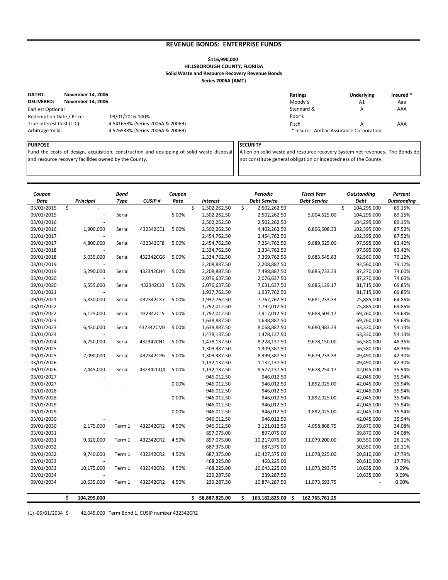### **\$116,990,000 HILLSBOROUGH COUNTY, FLORIDA Solid Waste and Resource Recovery Revenue Bonds Series 2006A (AMT)**

| DATED:                    | November 14, 2006 |                                  | Ratings                                | <b>Underlying</b> | Insured <sup>*</sup> |
|---------------------------|-------------------|----------------------------------|----------------------------------------|-------------------|----------------------|
| <b>DELIVERED:</b>         | November 14, 2006 |                                  | Moody's                                | A1                | Aaa                  |
| <b>Earliest Optional</b>  |                   |                                  | Standard &                             | A                 | AAA                  |
| Redemption Date / Price:  |                   | 09/01/2016 100%                  | Poor's                                 |                   |                      |
| True Interest Cost (TIC): |                   | 4.541658% (Series 2006A & 2006B) | Fitch                                  |                   | AAA                  |
| Arbitrage Yield:          |                   | 4.576538% (Series 2006A & 2006B) | * Insurer: Ambac Assurance Corporation |                   |                      |
|                           |                   |                                  |                                        |                   |                      |

### **PURPOSE SECURITY**

Fund the costs of design, acquisition, construction and equipping of solid waste disposal and resource recovery facilities owned by the County.

A lien on solid waste and resource recovery System net revenues. The Bonds do not constitute general obligation or indebtedness of the County.

| Coupon      |                   | Bond        |               | Coupon |                           |                 | Periodic                | <b>Fiscal Year</b>  |   | <b>Outstanding</b> | Percent            |
|-------------|-------------------|-------------|---------------|--------|---------------------------|-----------------|-------------------------|---------------------|---|--------------------|--------------------|
| <b>Date</b> | <b>Principal</b>  | <b>Type</b> | <b>CUSIP#</b> | Rate   |                           | <b>Interest</b> | <b>Debt Service</b>     | <b>Debt Service</b> |   | <b>Debt</b>        | <b>Outstanding</b> |
| 03/01/2015  | \$                |             |               |        | $\boldsymbol{\mathsf{S}}$ | 2,502,262.50    | \$<br>2,502,262.50      |                     | Ś | 104,295,000        | 89.15%             |
| 09/01/2015  |                   | Serial      |               | 5.00%  |                           | 2,502,262.50    | 2,502,262.50            | 5,004,525.00        |   | 104,295,000        | 89.15%             |
| 03/01/2016  |                   |             |               |        |                           | 2,502,262.50    | 2,502,262.50            |                     |   | 104,295,000        | 89.15%             |
| 09/01/2016  | 1,900,000         | Serial      | 432342CE1     | 5.00%  |                           | 2,502,262.50    | 4,402,262.50            | 6,896,608.33        |   | 102,395,000        | 87.52%             |
| 03/01/2017  |                   |             |               |        |                           | 2,454,762.50    | 2,454,762.50            |                     |   | 102,395,000        | 87.52%             |
| 09/01/2017  | 4,800,000         | Serial      | 432342CF8     | 5.00%  |                           | 2,454,762.50    | 7,254,762.50            | 9,689,525.00        |   | 97,595,000         | 83.42%             |
| 03/01/2018  |                   |             |               |        |                           | 2,334,762.50    | 2,334,762.50            |                     |   | 97,595,000         | 83.42%             |
| 09/01/2018  | 5,035,000         | Serial      | 432342CG6     | 5.00%  |                           | 2,334,762.50    | 7,369,762.50            | 9,683,545.83        |   | 92,560,000         | 79.12%             |
| 03/01/2019  |                   |             |               |        |                           | 2,208,887.50    | 2,208,887.50            |                     |   | 92,560,000         | 79.12%             |
| 09/01/2019  | 5,290,000         | Serial      | 432342CH4     | 5.00%  |                           | 2,208,887.50    | 7,498,887.50            | 9,685,733.33        |   | 87,270,000         | 74.60%             |
| 03/01/2020  |                   |             |               |        |                           | 2,076,637.50    | 2,076,637.50            |                     |   | 87,270,000         | 74.60%             |
| 09/01/2020  | 5,555,000         | Serial      | 432342CJ0     | 5.00%  |                           | 2,076,637.50    | 7,631,637.50            | 9,685,129.17        |   | 81,715,000         | 69.85%             |
| 03/01/2021  |                   |             |               |        |                           | 1,937,762.50    | 1,937,762.50            |                     |   | 81,715,000         | 69.85%             |
| 09/01/2021  | 5,830,000         | Serial      | 432342CK7     | 5.00%  |                           | 1,937,762.50    | 7,767,762.50            | 9,681,233.33        |   | 75,885,000         | 64.86%             |
| 03/01/2022  |                   |             |               |        |                           | 1,792,012.50    | 1,792,012.50            |                     |   | 75,885,000         | 64.86%             |
| 09/01/2022  | 6,125,000         | Serial      | 432342CL5     | 5.00%  |                           | 1,792,012.50    | 7,917,012.50            | 9,683,504.17        |   | 69,760,000         | 59.63%             |
| 03/01/2023  |                   |             |               |        |                           | 1,638,887.50    | 1,638,887.50            |                     |   | 69,760,000         | 59.63%             |
| 09/01/2023  | 6,430,000         | Serial      | 432342CM3     | 5.00%  |                           | 1,638,887.50    | 8,068,887.50            | 9,680,983.33        |   | 63,330,000         | 54.13%             |
| 03/01/2024  |                   |             |               |        |                           | 1,478,137.50    | 1,478,137.50            |                     |   | 63,330,000         | 54.13%             |
| 09/01/2024  | 6,750,000         | Serial      | 432342CN1     | 5.00%  |                           | 1,478,137.50    | 8,228,137.50            | 9,678,150.00        |   | 56,580,000         | 48.36%             |
| 03/01/2025  |                   |             |               |        |                           | 1,309,387.50    | 1,309,387.50            |                     |   | 56,580,000         | 48.36%             |
| 09/01/2025  | 7,090,000         | Serial      | 432342CP6     | 5.00%  |                           | 1,309,387.50    | 8,399,387.50            | 9,679,233.33        |   | 49,490,000         | 42.30%             |
| 03/01/2026  |                   |             |               |        |                           | 1,132,137.50    | 1,132,137.50            |                     |   | 49,490,000         | 42.30%             |
| 09/01/2026  | 7,445,000         | Serial      | 432342CQ4     | 5.00%  |                           | 1,132,137.50    | 8,577,137.50            | 9,678,254.17        |   | 42,045,000         | 35.94%             |
| 03/01/2027  |                   |             |               |        |                           | 946,012.50      | 946,012.50              |                     |   | 42,045,000         | 35.94%             |
| 09/01/2027  |                   |             |               | 0.00%  |                           | 946,012.50      | 946,012.50              | 1,892,025.00        |   | 42,045,000         | 35.94%             |
| 03/01/2028  |                   |             |               |        |                           | 946,012.50      | 946,012.50              |                     |   | 42,045,000         | 35.94%             |
| 09/01/2028  |                   |             |               | 0.00%  |                           | 946,012.50      | 946,012.50              | 1,892,025.00        |   | 42,045,000         | 35.94%             |
| 03/01/2029  |                   |             |               |        |                           | 946,012.50      | 946,012.50              |                     |   | 42,045,000         | 35.94%             |
| 09/01/2029  |                   |             |               | 0.00%  |                           | 946,012.50      | 946,012.50              | 1,892,025.00        |   | 42,045,000         | 35.94%             |
| 03/01/2030  |                   |             |               |        |                           | 946,012.50      | 946,012.50              |                     |   | 42,045,000         | 35.94%             |
| 09/01/2030  | 2,175,000         | Term 1      | 432342CR2     | 4.50%  |                           | 946,012.50      | 3,121,012.50            | 4,058,868.75        |   | 39,870,000         | 34.08%             |
| 03/01/2031  |                   |             |               |        |                           | 897,075.00      | 897,075.00              |                     |   | 39,870,000         | 34.08%             |
| 09/01/2031  | 9,320,000         | Term 1      | 432342CR2     | 4.50%  |                           | 897,075.00      | 10,217,075.00           | 11,079,200.00       |   | 30,550,000         | 26.11%             |
| 03/01/2032  |                   |             |               |        |                           | 687,375.00      | 687,375.00              |                     |   | 30,550,000         | 26.11%             |
| 09/01/2032  | 9,740,000         | Term 1      | 432342CR2     | 4.50%  |                           | 687,375.00      | 10,427,375.00           | 11,078,225.00       |   | 20,810,000         | 17.79%             |
| 03/01/2033  |                   |             |               |        |                           | 468,225.00      | 468,225.00              |                     |   | 20,810,000         | 17.79%             |
| 09/01/2033  | 10,175,000        | Term 1      | 432342CR2     | 4.50%  |                           | 468,225.00      | 10,643,225.00           | 11,073,293.75       |   | 10,635,000         | 9.09%              |
| 03/01/2034  |                   |             |               |        |                           | 239,287.50      | 239,287.50              |                     |   | 10,635,000         | 9.09%              |
| 09/01/2034  | 10,635,000        | Term 1      | 432342CR2     | 4.50%  |                           | 239,287.50      | 10,874,287.50           | 11,073,693.75       |   | ä,                 | 0.00%              |
|             |                   |             |               |        |                           |                 |                         |                     |   |                    |                    |
|             | \$<br>104,295,000 |             |               |        | \$                        | 58,887,825.00   | \$<br>163,182,825.00 \$ | 162,765,781.25      |   |                    |                    |

(1) ‐09/01/2034 42,045,000 \$ Term Bond 1, CUSIP number 432342CR2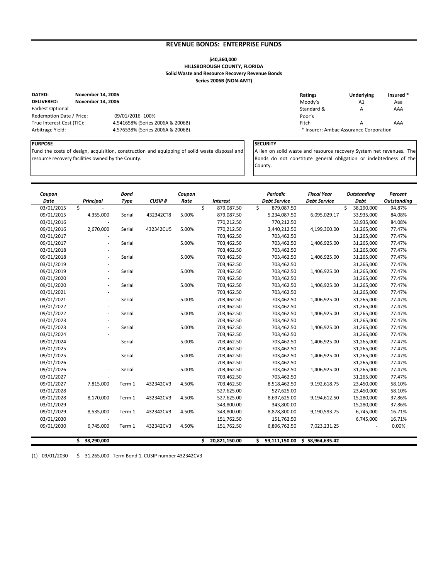### **\$40,360,000 HILLSBOROUGH COUNTY, FLORIDA Solid Waste and Resource Recovery Revenue Bonds Series 2006B (NON‐AMT)**

Earliest Optional Redemption Date / Price:

09/01/2016 100%

### **DATED: Ratings Underlying Insured \* November 14, 2006 DELIVERED:** Moody's A1 Aaa **November 14, 2006** Standard & Poor's A AAA True Interest Cost (TIC): 4.541658% (Series 2006A & 2006B) Fitch A AAA Arbitrage Yield: 4.576538% (Series 2006A & 2006B) 4.576538% (Series 2006B) 4.576538% (Series 2006A & 2006B)

### **PURPOSE SECURITY**

Fund the costs of design, acquisition, construction and equipping of solid waste disposal and resource recovery facilities owned by the County.

A lien on solid waste and resource recovery System net revenues. The Bonds do not constitute general obligation or indebtedness of the County.

| Coupon     |                          | <b>Bond</b> |               | Coupon |                     |    | <b>Periodic</b>     | <b>Fiscal Year</b>             | <b>Outstanding</b> | Percent            |
|------------|--------------------------|-------------|---------------|--------|---------------------|----|---------------------|--------------------------------|--------------------|--------------------|
| Date       | <b>Principal</b>         | <b>Type</b> | <b>CUSIP#</b> | Rate   | <b>Interest</b>     |    | <b>Debt Service</b> | <b>Debt Service</b>            | <b>Debt</b>        | <b>Outstanding</b> |
| 03/01/2015 | \$                       |             |               |        | \$<br>879,087.50    | \$ | 879,087.50          |                                | Ś.<br>38,290,000   | 94.87%             |
| 09/01/2015 | 4,355,000                | Serial      | 432342CT8     | 5.00%  | 879,087.50          |    | 5,234,087.50        | 6,095,029.17                   | 33,935,000         | 84.08%             |
| 03/01/2016 |                          |             |               |        | 770,212.50          |    | 770,212.50          |                                | 33,935,000         | 84.08%             |
| 09/01/2016 | 2,670,000                | Serial      | 432342CU5     | 5.00%  | 770,212.50          |    | 3,440,212.50        | 4,199,300.00                   | 31,265,000         | 77.47%             |
| 03/01/2017 |                          |             |               |        | 703.462.50          |    | 703.462.50          |                                | 31,265,000         | 77.47%             |
| 09/01/2017 | $\overline{\phantom{a}}$ | Serial      |               | 5.00%  | 703,462.50          |    | 703,462.50          | 1,406,925.00                   | 31,265,000         | 77.47%             |
| 03/01/2018 | ٠                        |             |               |        | 703.462.50          |    | 703.462.50          |                                | 31,265,000         | 77.47%             |
| 09/01/2018 | ٠                        | Serial      |               | 5.00%  | 703,462.50          |    | 703,462.50          | 1,406,925.00                   | 31,265,000         | 77.47%             |
| 03/01/2019 | ٠                        |             |               |        | 703,462.50          |    | 703,462.50          |                                | 31,265,000         | 77.47%             |
| 09/01/2019 | $\overline{\phantom{a}}$ | Serial      |               | 5.00%  | 703,462.50          |    | 703,462.50          | 1,406,925.00                   | 31,265,000         | 77.47%             |
| 03/01/2020 |                          |             |               |        | 703,462.50          |    | 703,462.50          |                                | 31,265,000         | 77.47%             |
| 09/01/2020 | $\overline{\phantom{a}}$ | Serial      |               | 5.00%  | 703,462.50          |    | 703,462.50          | 1,406,925.00                   | 31,265,000         | 77.47%             |
| 03/01/2021 | $\overline{\phantom{a}}$ |             |               |        | 703,462.50          |    | 703,462.50          |                                | 31,265,000         | 77.47%             |
| 09/01/2021 | $\overline{\phantom{a}}$ | Serial      |               | 5.00%  | 703,462.50          |    | 703,462.50          | 1,406,925.00                   | 31,265,000         | 77.47%             |
| 03/01/2022 |                          |             |               |        | 703,462.50          |    | 703,462.50          |                                | 31,265,000         | 77.47%             |
| 09/01/2022 | $\overline{\phantom{a}}$ | Serial      |               | 5.00%  | 703,462.50          |    | 703,462.50          | 1,406,925.00                   | 31,265,000         | 77.47%             |
| 03/01/2023 |                          |             |               |        | 703,462.50          |    | 703,462.50          |                                | 31,265,000         | 77.47%             |
| 09/01/2023 | $\overline{\phantom{a}}$ | Serial      |               | 5.00%  | 703,462.50          |    | 703,462.50          | 1,406,925.00                   | 31,265,000         | 77.47%             |
| 03/01/2024 |                          |             |               |        | 703,462.50          |    | 703,462.50          |                                | 31,265,000         | 77.47%             |
| 09/01/2024 | $\overline{\phantom{a}}$ | Serial      |               | 5.00%  | 703,462.50          |    | 703,462.50          | 1,406,925.00                   | 31,265,000         | 77.47%             |
| 03/01/2025 |                          |             |               |        | 703,462.50          |    | 703,462.50          |                                | 31,265,000         | 77.47%             |
| 09/01/2025 | $\overline{\phantom{a}}$ | Serial      |               | 5.00%  | 703,462.50          |    | 703,462.50          | 1,406,925.00                   | 31,265,000         | 77.47%             |
| 03/01/2026 |                          |             |               |        | 703,462.50          |    | 703,462.50          |                                | 31,265,000         | 77.47%             |
| 09/01/2026 | ä,                       | Serial      |               | 5.00%  | 703,462.50          |    | 703,462.50          | 1,406,925.00                   | 31,265,000         | 77.47%             |
| 03/01/2027 |                          |             |               |        | 703,462.50          |    | 703,462.50          |                                | 31,265,000         | 77.47%             |
| 09/01/2027 | 7,815,000                | Term 1      | 432342CV3     | 4.50%  | 703,462.50          |    | 8,518,462.50        | 9,192,618.75                   | 23,450,000         | 58.10%             |
| 03/01/2028 |                          |             |               |        | 527,625.00          |    | 527.625.00          |                                | 23,450,000         | 58.10%             |
| 09/01/2028 | 8,170,000                | Term 1      | 432342CV3     | 4.50%  | 527,625.00          |    | 8,697,625.00        | 9,194,612.50                   | 15,280,000         | 37.86%             |
| 03/01/2029 |                          |             |               |        | 343,800.00          |    | 343,800.00          |                                | 15,280,000         | 37.86%             |
| 09/01/2029 | 8,535,000                | Term 1      | 432342CV3     | 4.50%  | 343,800.00          |    | 8,878,800.00        | 9,190,593.75                   | 6,745,000          | 16.71%             |
| 03/01/2030 |                          |             |               |        | 151,762.50          |    | 151,762.50          |                                | 6,745,000          | 16.71%             |
| 09/01/2030 | 6,745,000                | Term 1      | 432342CV3     | 4.50%  | 151,762.50          |    | 6,896,762.50        | 7,023,231.25                   |                    | 0.00%              |
|            |                          |             |               |        |                     |    |                     |                                |                    |                    |
|            | Ŝ.<br>38,290,000         |             |               |        | \$<br>20,821,150.00 | Ŝ. |                     | 59,111,150.00 \$ 58,964,635.42 |                    |                    |

(1) ‐ 09/01/2030 31,265,000 \$ Term Bond 1, CUSIP number 432342CV3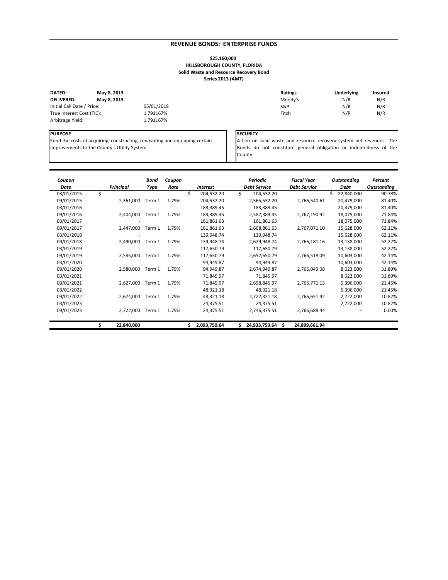### **\$25,160,000 HILLSBOROUGH COUNTY, FLORIDA Solid Waste and Resource Recovery Bond Series 2013 (AMT)**

| <b>DATED:</b>              | May 8, 2013 |            | Ratings | Underlying | <b>Insured</b> |
|----------------------------|-------------|------------|---------|------------|----------------|
| <b>DELIVERED:</b>          | May 8, 2013 |            | Moody's | N/R        | N/R            |
| Initial Call Date / Price: |             | 05/01/2018 | S&P     | N/R        | N/R            |
| True Interest Cost (TIC):  |             | 1.791167%  | Fitch   | N/R        | N/R            |
| Arbitrage Yield:           |             | 1.791167%  |         |            |                |
|                            |             |            |         |            |                |

**PURPOSE** SECURITY

Fund the costs of acquiring, constructing, renovating and equipping certain improvements to the County's Utility System.

A lien on solid waste and resource recovery system net revenues. The Bonds do not constitute general obligation or indebtedness of the County.

| Coupon     |    |                          | Bond   | Coupon |    |                 |    | Periodic            | <b>Fiscal Year</b>  |    | Outstanding | Percent            |
|------------|----|--------------------------|--------|--------|----|-----------------|----|---------------------|---------------------|----|-------------|--------------------|
| Date       |    | Principal                | Type   | Rate   |    | <b>Interest</b> |    | <b>Debt Service</b> | <b>Debt Service</b> |    | Debt        | <b>Outstanding</b> |
| 03/01/2015 | Ś. | $\overline{\phantom{a}}$ |        |        | Ś  | 204,532.20      | Š. | 204,532.20          |                     | ς. | 22,840,000  | 90.78%             |
| 09/01/2015 |    | 2,361,000                | Term 1 | 1.79%  |    | 204,532.20      |    | 2,565,532.20        | 2,766,540.61        |    | 20,479,000  | 81.40%             |
| 03/01/2016 |    |                          |        |        |    | 183,389.45      |    | 183,389.45          |                     |    | 20,479,000  | 81.40%             |
| 09/01/2016 |    | 2,404,000                | Term 1 | 1.79%  |    | 183,389.45      |    | 2,587,389.45        | 2,767,190.92        |    | 18,075,000  | 71.84%             |
| 03/01/2017 |    |                          |        |        |    | 161,861.63      |    | 161,861.63          |                     |    | 18,075,000  | 71.84%             |
| 09/01/2017 |    | 2,447,000                | Term 1 | 1.79%  |    | 161,861.63      |    | 2,608,861.63        | 2,767,071.10        |    | 15,628,000  | 62.11%             |
| 03/01/2018 |    |                          |        |        |    | 139,948.74      |    | 139,948.74          |                     |    | 15,628,000  | 62.11%             |
| 09/01/2018 |    | 2,490,000                | Term 1 | 1.79%  |    | 139,948.74      |    | 2,629,948.74        | 2,766,181.16        |    | 13,138,000  | 52.22%             |
| 03/01/2019 |    |                          |        |        |    | 117,650.79      |    | 117,650.79          |                     |    | 13,138,000  | 52.22%             |
| 09/01/2019 |    | 2,535,000                | Term 1 | 1.79%  |    | 117,650.79      |    | 2,652,650.79        | 2,766,518.09        |    | 10,603,000  | 42.14%             |
| 03/01/2020 |    |                          |        |        |    | 94,949.87       |    | 94,949.87           |                     |    | 10,603,000  | 42.14%             |
| 09/01/2020 |    | 2,580,000                | Term 1 | 1.79%  |    | 94,949.87       |    | 2,674,949.87        | 2,766,049.08        |    | 8,023,000   | 31.89%             |
| 03/01/2021 |    |                          |        |        |    | 71,845.97       |    | 71.845.97           |                     |    | 8,023,000   | 31.89%             |
| 09/01/2021 |    | 2,627,000                | Term 1 | 1.79%  |    | 71,845.97       |    | 2,698,845.97        | 2,766,771.13        |    | 5,396,000   | 21.45%             |
| 03/01/2022 |    |                          |        |        |    | 48,321.18       |    | 48,321.18           |                     |    | 5,396,000   | 21.45%             |
| 09/01/2022 |    | 2,674,000                | Term 1 | 1.79%  |    | 48,321.18       |    | 2,722,321.18        | 2,766,651.42        |    | 2,722,000   | 10.82%             |
| 03/01/2023 |    |                          |        |        |    | 24.375.51       |    | 24,375.51           |                     |    | 2,722,000   | 10.82%             |
| 09/01/2023 |    | 2,722,000                | Term 1 | 1.79%  |    | 24,375.51       |    | 2,746,375.51        | 2,766,688.44        |    |             | 0.00%              |
|            | Ś. | 22,840,000               |        |        | S. | 2,093,750.64    | Ś. | 24,933,750.64       | Ŝ<br>24,899,661.94  |    |             |                    |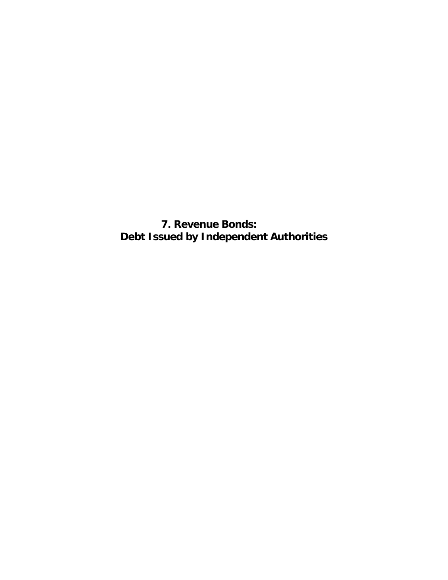**7. Revenue Bonds: Debt Issued by Independent Authorities**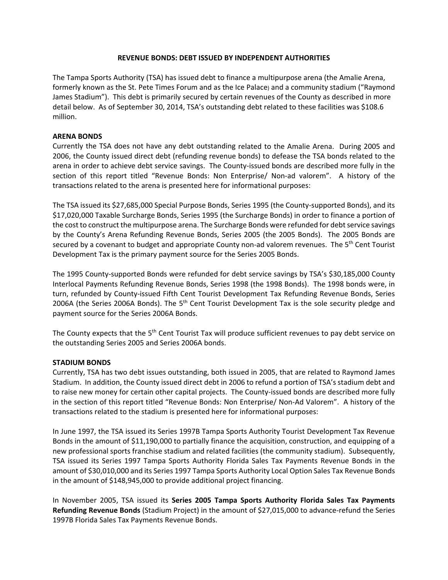# **REVENUE BONDS: DEBT ISSUED BY INDEPENDENT AUTHORITIES**

The Tampa Sports Authority (TSA) has issued debt to finance a multipurpose arena (the Amalie Arena, formerly known as the St. Pete Times Forum and as the Ice Palace) and a community stadium ("Raymond James Stadium"). This debt is primarily secured by certain revenues of the County as described in more detail below. As of September 30, 2014, TSA's outstanding debt related to these facilities was \$108.6 million.

# **ARENA BONDS**

Currently the TSA does not have any debt outstanding related to the Amalie Arena. During 2005 and 2006, the County issued direct debt (refunding revenue bonds) to defease the TSA bonds related to the arena in order to achieve debt service savings. The County‐issued bonds are described more fully in the section of this report titled "Revenue Bonds: Non Enterprise/ Non-ad valorem". A history of the transactions related to the arena is presented here for informational purposes:

The TSA issued its \$27,685,000 Special Purpose Bonds, Series 1995 (the County‐supported Bonds), and its \$17,020,000 Taxable Surcharge Bonds, Series 1995 (the Surcharge Bonds) in order to finance a portion of the cost to construct the multipurpose arena. The Surcharge Bonds were refunded for debt service savings by the County's Arena Refunding Revenue Bonds, Series 2005 (the 2005 Bonds). The 2005 Bonds are secured by a covenant to budget and appropriate County non-ad valorem revenues. The 5<sup>th</sup> Cent Tourist Development Tax is the primary payment source for the Series 2005 Bonds.

The 1995 County‐supported Bonds were refunded for debt service savings by TSA's \$30,185,000 County Interlocal Payments Refunding Revenue Bonds, Series 1998 (the 1998 Bonds). The 1998 bonds were, in turn, refunded by County‐issued Fifth Cent Tourist Development Tax Refunding Revenue Bonds, Series 2006A (the Series 2006A Bonds). The 5<sup>th</sup> Cent Tourist Development Tax is the sole security pledge and payment source for the Series 2006A Bonds.

The County expects that the 5<sup>th</sup> Cent Tourist Tax will produce sufficient revenues to pay debt service on the outstanding Series 2005 and Series 2006A bonds.

# **STADIUM BONDS**

Currently, TSA has two debt issues outstanding, both issued in 2005, that are related to Raymond James Stadium. In addition, the County issued direct debt in 2006 to refund a portion of TSA's stadium debt and to raise new money for certain other capital projects. The County‐issued bonds are described more fully in the section of this report titled "Revenue Bonds: Non Enterprise/ Non‐Ad Valorem". A history of the transactions related to the stadium is presented here for informational purposes:

In June 1997, the TSA issued its Series 1997B Tampa Sports Authority Tourist Development Tax Revenue Bonds in the amount of \$11,190,000 to partially finance the acquisition, construction, and equipping of a new professional sports franchise stadium and related facilities (the community stadium). Subsequently, TSA issued its Series 1997 Tampa Sports Authority Florida Sales Tax Payments Revenue Bonds in the amount of \$30,010,000 and its Series 1997 Tampa Sports Authority Local Option Sales Tax Revenue Bonds in the amount of \$148,945,000 to provide additional project financing.

In November 2005, TSA issued its **Series 2005 Tampa Sports Authority Florida Sales Tax Payments Refunding Revenue Bonds** (Stadium Project) in the amount of \$27,015,000 to advance‐refund the Series 1997B Florida Sales Tax Payments Revenue Bonds.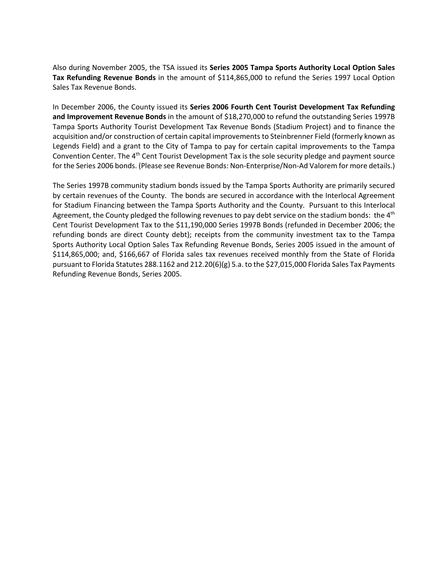Also during November 2005, the TSA issued its **Series 2005 Tampa Sports Authority Local Option Sales Tax Refunding Revenue Bonds** in the amount of \$114,865,000 to refund the Series 1997 Local Option Sales Tax Revenue Bonds.

In December 2006, the County issued its **Series 2006 Fourth Cent Tourist Development Tax Refunding and Improvement Revenue Bonds** in the amount of \$18,270,000 to refund the outstanding Series 1997B Tampa Sports Authority Tourist Development Tax Revenue Bonds (Stadium Project) and to finance the acquisition and/or construction of certain capital improvements to Steinbrenner Field (formerly known as Legends Field) and a grant to the City of Tampa to pay for certain capital improvements to the Tampa Convention Center. The 4<sup>th</sup> Cent Tourist Development Tax is the sole security pledge and payment source for the Series 2006 bonds. (Please see Revenue Bonds: Non-Enterprise/Non-Ad Valorem for more details.)

The Series 1997B community stadium bonds issued by the Tampa Sports Authority are primarily secured by certain revenues of the County. The bonds are secured in accordance with the Interlocal Agreement for Stadium Financing between the Tampa Sports Authority and the County. Pursuant to this Interlocal Agreement, the County pledged the following revenues to pay debt service on the stadium bonds: the  $4<sup>th</sup>$ Cent Tourist Development Tax to the \$11,190,000 Series 1997B Bonds (refunded in December 2006; the refunding bonds are direct County debt); receipts from the community investment tax to the Tampa Sports Authority Local Option Sales Tax Refunding Revenue Bonds, Series 2005 issued in the amount of \$114,865,000; and, \$166,667 of Florida sales tax revenues received monthly from the State of Florida pursuant to Florida Statutes 288.1162 and 212.20(6)(g) 5.a. to the \$27,015,000 Florida Sales Tax Payments Refunding Revenue Bonds, Series 2005.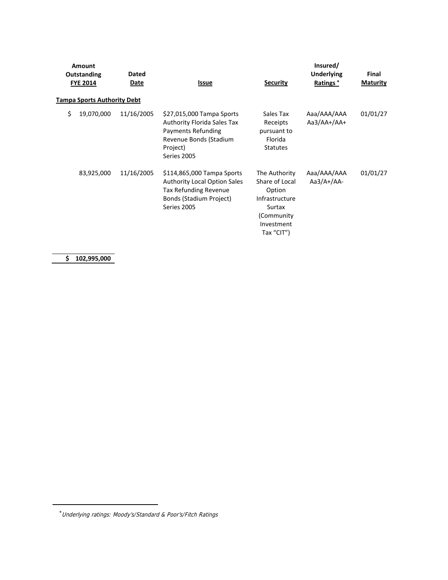| <b>Amount</b><br>Dated<br>Outstanding<br>FYE 2014<br>Date |            | Issue                                                                                                                                       | Insured/<br><b>Underlying</b><br>Ratings <sup>*</sup>                                                           | <b>Final</b><br><b>Maturity</b> |          |
|-----------------------------------------------------------|------------|---------------------------------------------------------------------------------------------------------------------------------------------|-----------------------------------------------------------------------------------------------------------------|---------------------------------|----------|
| Tampa Sports Authority Debt                               |            |                                                                                                                                             |                                                                                                                 |                                 |          |
| \$<br>19,070,000                                          | 11/16/2005 | \$27,015,000 Tampa Sports<br>Authority Florida Sales Tax<br>Payments Refunding<br>Revenue Bonds (Stadium<br>Project)<br>Series 2005         | Sales Tax<br>Receipts<br>pursuant to<br>Florida<br><b>Statutes</b>                                              | Aaa/AAA/AAA<br>$Aa3/AA+/AA+$    | 01/01/27 |
| 83,925,000                                                | 11/16/2005 | \$114,865,000 Tampa Sports<br><b>Authority Local Option Sales</b><br><b>Tax Refunding Revenue</b><br>Bonds (Stadium Project)<br>Series 2005 | The Authority<br>Share of Local<br>Option<br>Infrastructure<br>Surtax<br>(Community<br>Investment<br>Tax "CIT") | Aaa/AAA/AAA<br>$Aa3/A+/AA-$     | 01/01/27 |

**\$ 102,995,000**

Underlying ratings: Moody's/Standard & Poor's/Fitch Ratings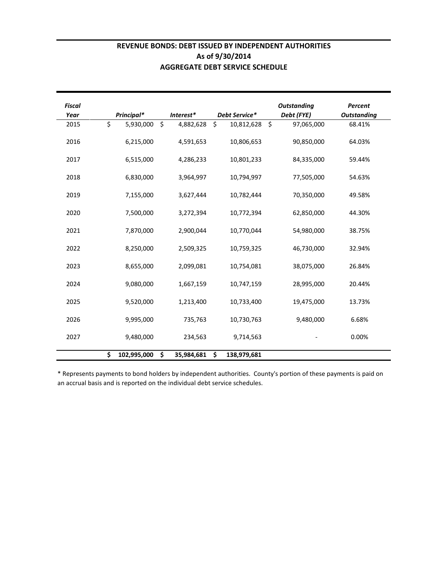# **REVENUE BONDS: DEBT ISSUED BY INDEPENDENT AUTHORITIES As of 9/30/2014 AGGREGATE DEBT SERVICE SCHEDULE**

| <b>Fiscal</b><br>Year | Principal* |                   | Interest*  | Debt Service*     | <b>Outstanding</b><br>Debt (FYE) | Percent<br><b>Outstanding</b> |
|-----------------------|------------|-------------------|------------|-------------------|----------------------------------|-------------------------------|
| 2015                  | \$         | \$<br>5,930,000   | 4,882,628  | \$<br>10,812,628  | \$<br>97,065,000                 | 68.41%                        |
| 2016                  |            | 6,215,000         | 4,591,653  | 10,806,653        | 90,850,000                       | 64.03%                        |
| 2017                  |            | 6,515,000         | 4,286,233  | 10,801,233        | 84,335,000                       | 59.44%                        |
| 2018                  |            | 6,830,000         | 3,964,997  | 10,794,997        | 77,505,000                       | 54.63%                        |
| 2019                  |            | 7,155,000         | 3,627,444  | 10,782,444        | 70,350,000                       | 49.58%                        |
| 2020                  |            | 7,500,000         | 3,272,394  | 10,772,394        | 62,850,000                       | 44.30%                        |
| 2021                  |            | 7,870,000         | 2,900,044  | 10,770,044        | 54,980,000                       | 38.75%                        |
| 2022                  |            | 8,250,000         | 2,509,325  | 10,759,325        | 46,730,000                       | 32.94%                        |
| 2023                  |            | 8,655,000         | 2,099,081  | 10,754,081        | 38,075,000                       | 26.84%                        |
| 2024                  |            | 9,080,000         | 1,667,159  | 10,747,159        | 28,995,000                       | 20.44%                        |
| 2025                  |            | 9,520,000         | 1,213,400  | 10,733,400        | 19,475,000                       | 13.73%                        |
| 2026                  |            | 9,995,000         | 735,763    | 10,730,763        | 9,480,000                        | 6.68%                         |
| 2027                  |            | 9,480,000         | 234,563    | 9,714,563         |                                  | 0.00%                         |
|                       | \$         | \$<br>102,995,000 | 35,984,681 | \$<br>138,979,681 |                                  |                               |

\* Represents payments to bond holders by independent authorities. County's portion of these payments is paid on an accrual basis and is reported on the individual debt service schedules.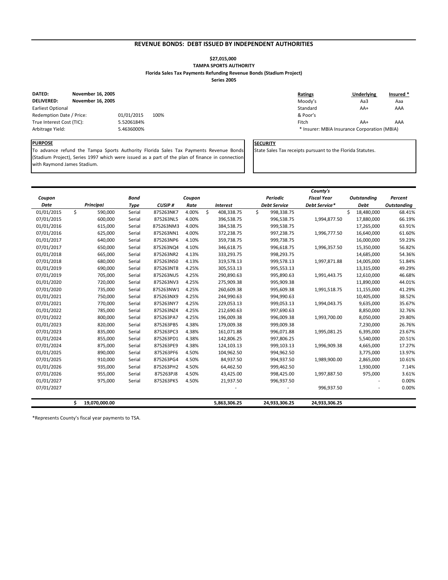# **REVENUE BONDS: DEBT ISSUED BY INDEPENDENT AUTHORITIES**

# **\$27,015,000 TAMPA SPORTS AUTHORITY Florida Sales Tax Payments Refunding Revenue Bonds (Stadium Project)**

**Series 2005**

| DATED:                    | November 16, 2005 |            |      | Ratings                                      | <b>Underlying</b> | Insured * |
|---------------------------|-------------------|------------|------|----------------------------------------------|-------------------|-----------|
| <b>DELIVERED:</b>         | November 16, 2005 |            |      | Moody's                                      | Aa3               | Aaa       |
| Earliest Optional         |                   |            |      | Standard                                     | AA+               | AAA       |
| Redemption Date / Price:  |                   | 01/01/2015 | 100% | & Poor's                                     |                   |           |
| True Interest Cost (TIC): |                   | 5.5206184% |      | Fitch                                        | $AA+$             | AAA       |
| Arbitrage Yield:          |                   | 5.4636000% |      | * Insurer: MBIA Insurance Corporation (MBIA) |                   |           |
|                           |                   |            |      |                                              |                   |           |

### **PURPOSE SECURITY**

To advance refund the Tampa Sports Authority Florida Sales Tax Payments Revenue Bonds (Stadium Project), Series 1997 which were issued as a part of the plan of finance in connection with Raymond James Stadium.

State Sales Tax receipts pursuant to the Florida Statutes.

|             |                     |        |               |        |    |                 |    |                     | County's           |   |                    |             |
|-------------|---------------------|--------|---------------|--------|----|-----------------|----|---------------------|--------------------|---|--------------------|-------------|
| Coupon      |                     | Bond   |               | Coupon |    |                 |    | <b>Periodic</b>     | <b>Fiscal Year</b> |   | <b>Outstanding</b> | Percent     |
| <b>Date</b> | Principal           | Type   | <b>CUSIP#</b> | Rate   |    | <b>Interest</b> |    | <b>Debt Service</b> | Debt Service*      |   | <b>Debt</b>        | Outstanding |
| 01/01/2015  | \$<br>590,000       | Serial | 875263NK7     | 4.00%  | Ŝ. | 408,338.75      | Ś. | 998,338.75          |                    | Ś | 18,480,000         | 68.41%      |
| 07/01/2015  | 600,000             | Serial | 875263NL5     | 4.00%  |    | 396,538.75      |    | 996,538.75          | 1,994,877.50       |   | 17,880,000         | 66.19%      |
| 01/01/2016  | 615,000             | Serial | 875263NM3     | 4.00%  |    | 384,538.75      |    | 999,538.75          |                    |   | 17,265,000         | 63.91%      |
| 07/01/2016  | 625,000             | Serial | 875263NN1     | 4.00%  |    | 372,238.75      |    | 997,238.75          | 1,996,777.50       |   | 16,640,000         | 61.60%      |
| 01/01/2017  | 640,000             | Serial | 875263NP6     | 4.10%  |    | 359,738.75      |    | 999,738.75          |                    |   | 16,000,000         | 59.23%      |
| 07/01/2017  | 650,000             | Serial | 875263NQ4     | 4.10%  |    | 346,618.75      |    | 996,618.75          | 1,996,357.50       |   | 15,350,000         | 56.82%      |
| 01/01/2018  | 665,000             | Serial | 875263NR2     | 4.13%  |    | 333,293.75      |    | 998,293.75          |                    |   | 14,685,000         | 54.36%      |
| 07/01/2018  | 680,000             | Serial | 875263NS0     | 4.13%  |    | 319,578.13      |    | 999,578.13          | 1,997,871.88       |   | 14,005,000         | 51.84%      |
| 01/01/2019  | 690,000             | Serial | 875263NT8     | 4.25%  |    | 305,553.13      |    | 995,553.13          |                    |   | 13,315,000         | 49.29%      |
| 07/01/2019  | 705,000             | Serial | 875263NU5     | 4.25%  |    | 290,890.63      |    | 995,890.63          | 1,991,443.75       |   | 12,610,000         | 46.68%      |
| 01/01/2020  | 720,000             | Serial | 875263NV3     | 4.25%  |    | 275,909.38      |    | 995,909.38          |                    |   | 11,890,000         | 44.01%      |
| 07/01/2020  | 735,000             | Serial | 875263NW1     | 4.25%  |    | 260,609.38      |    | 995,609.38          | 1,991,518.75       |   | 11,155,000         | 41.29%      |
| 01/01/2021  | 750,000             | Serial | 875263NX9     | 4.25%  |    | 244,990.63      |    | 994,990.63          |                    |   | 10,405,000         | 38.52%      |
| 07/01/2021  | 770,000             | Serial | 875263NY7     | 4.25%  |    | 229,053.13      |    | 999,053.13          | 1,994,043.75       |   | 9,635,000          | 35.67%      |
| 01/01/2022  | 785,000             | Serial | 875263NZ4     | 4.25%  |    | 212,690.63      |    | 997,690.63          |                    |   | 8,850,000          | 32.76%      |
| 07/01/2022  | 800,000             | Serial | 875263PA7     | 4.25%  |    | 196,009.38      |    | 996,009.38          | 1,993,700.00       |   | 8,050,000          | 29.80%      |
| 01/01/2023  | 820,000             | Serial | 875263PB5     | 4.38%  |    | 179,009.38      |    | 999,009.38          |                    |   | 7,230,000          | 26.76%      |
| 07/01/2023  | 835,000             | Serial | 875263PC3     | 4.38%  |    | 161,071.88      |    | 996,071.88          | 1,995,081.25       |   | 6,395,000          | 23.67%      |
| 01/01/2024  | 855,000             | Serial | 875263PD1     | 4.38%  |    | 142,806.25      |    | 997,806.25          |                    |   | 5,540,000          | 20.51%      |
| 07/01/2024  | 875,000             | Serial | 875263PE9     | 4.38%  |    | 124,103.13      |    | 999,103.13          | 1,996,909.38       |   | 4,665,000          | 17.27%      |
| 01/01/2025  | 890,000             | Serial | 875263PF6     | 4.50%  |    | 104,962.50      |    | 994,962.50          |                    |   | 3,775,000          | 13.97%      |
| 07/01/2025  | 910,000             | Serial | 875263PG4     | 4.50%  |    | 84,937.50       |    | 994,937.50          | 1,989,900.00       |   | 2,865,000          | 10.61%      |
| 01/01/2026  | 935,000             | Serial | 875263PH2     | 4.50%  |    | 64,462.50       |    | 999,462.50          |                    |   | 1,930,000          | 7.14%       |
| 07/01/2026  | 955,000             | Serial | 875263PJ8     | 4.50%  |    | 43,425.00       |    | 998,425.00          | 1,997,887.50       |   | 975,000            | 3.61%       |
| 01/01/2027  | 975,000             | Serial | 875263PK5     | 4.50%  |    | 21,937.50       |    | 996,937.50          |                    |   |                    | 0.00%       |
| 07/01/2027  |                     |        |               |        |    |                 |    |                     | 996,937.50         |   |                    | 0.00%       |
|             | \$<br>19,070,000.00 |        |               |        |    | 5,863,306.25    |    | 24,933,306.25       | 24,933,306.25      |   |                    |             |

\*Represents County's fiscal year payments to TSA.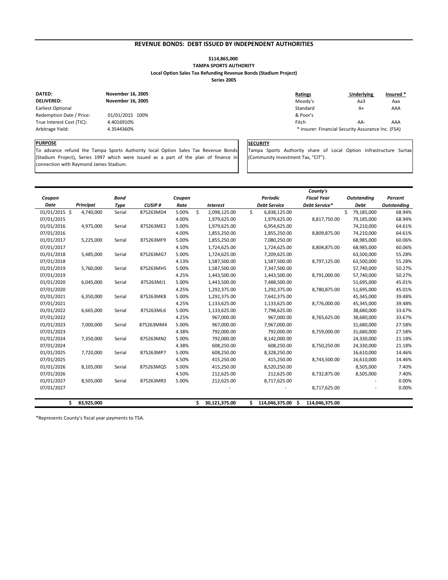# **REVENUE BONDS: DEBT ISSUED BY INDEPENDENT AUTHORITIES**

### **\$114,865,000**

### **TAMPA SPORTS AUTHORITY**

### **Local Option Sales Tax Refunding Revenue Bonds (Stadium Project)**

**Series 2005**

| November 16, 2005 | Ratings  | <b>Underlying</b> | Insured *                                          |
|-------------------|----------|-------------------|----------------------------------------------------|
| November 16, 2005 | Moody's  | Aa3               | Aaa                                                |
|                   | Standard | A+                | AAA                                                |
| 01/01/2015 100%   | & Poor's |                   |                                                    |
| 4.4016910%        | Fitch    | AA-               | AAA                                                |
| 4.3544360%        |          |                   |                                                    |
|                   |          |                   | * Insurer: Financial Security Assurance Inc. (FSA) |

### **PURPOSE SECURITY**

To advance refund the Tampa Sports Authority local Option Sales Tax Revenue Bonds (Stadium Project), Series 1997 which were issued as a part of the plan of finance in connection with Raymond James Stadium.

Tampa Sports Authority share of Local Option Infrastructure Surtax (Community Investment Tax, "CIT").

|               |            |             |               |        |     |                 |    |                     | County's              |                    |                    |
|---------------|------------|-------------|---------------|--------|-----|-----------------|----|---------------------|-----------------------|--------------------|--------------------|
| Coupon        |            | <b>Bond</b> |               | Coupon |     |                 |    | <b>Periodic</b>     | <b>Fiscal Year</b>    | <b>Outstanding</b> | Percent            |
| <b>Date</b>   | Principal  | <b>Type</b> | <b>CUSIP#</b> | Rate   |     | <b>Interest</b> |    | <b>Debt Service</b> | Debt Service*         | <b>Debt</b>        | <b>Outstanding</b> |
| 01/01/2015 \$ | 4,740,000  | Serial      | 875263MD4     | 5.00%  | \$  | 2,098,125.00    | Ŝ. | 6,838,125.00        |                       | Ś<br>79,185,000    | 68.94%             |
| 07/01/2015    |            |             |               | 4.00%  |     | 1,979,625.00    |    | 1,979,625.00        | 8,817,750.00          | 79,185,000         | 68.94%             |
| 01/01/2016    | 4,975,000  | Serial      | 875263ME2     | 5.00%  |     | 1,979,625.00    |    | 6,954,625.00        |                       | 74,210,000         | 64.61%             |
| 07/01/2016    |            |             |               | 4.00%  |     | 1,855,250.00    |    | 1,855,250.00        | 8,809,875.00          | 74,210,000         | 64.61%             |
| 01/01/2017    | 5,225,000  | Serial      | 875263MF9     | 5.00%  |     | 1,855,250.00    |    | 7,080,250.00        |                       | 68,985,000         | 60.06%             |
| 07/01/2017    |            |             |               | 4.10%  |     | 1,724,625.00    |    | 1,724,625.00        | 8,804,875.00          | 68,985,000         | 60.06%             |
| 01/01/2018    | 5,485,000  | Serial      | 875263MG7     | 5.00%  |     | 1,724,625.00    |    | 7,209,625.00        |                       | 63,500,000         | 55.28%             |
| 07/01/2018    |            |             |               | 4.13%  |     | 1,587,500.00    |    | 1,587,500.00        | 8,797,125.00          | 63,500,000         | 55.28%             |
| 01/01/2019    | 5,760,000  | Serial      | 875263MH5     | 5.00%  |     | 1,587,500.00    |    | 7,347,500.00        |                       | 57,740,000         | 50.27%             |
| 07/01/2019    |            |             |               | 4.25%  |     | 1,443,500.00    |    | 1,443,500.00        | 8,791,000.00          | 57,740,000         | 50.27%             |
| 01/01/2020    | 6,045,000  | Serial      | 875263MJ1     | 5.00%  |     | 1,443,500.00    |    | 7,488,500.00        |                       | 51,695,000         | 45.01%             |
| 07/01/2020    |            |             |               | 4.25%  |     | 1,292,375.00    |    | 1,292,375.00        | 8,780,875.00          | 51,695,000         | 45.01%             |
| 01/01/2021    | 6,350,000  | Serial      | 875263MK8     | 5.00%  |     | 1,292,375.00    |    | 7,642,375.00        |                       | 45,345,000         | 39.48%             |
| 07/01/2021    |            |             |               | 4.25%  |     | 1,133,625.00    |    | 1,133,625.00        | 8,776,000.00          | 45,345,000         | 39.48%             |
| 01/01/2022    | 6,665,000  | Serial      | 875263ML6     | 5.00%  |     | 1,133,625.00    |    | 7,798,625.00        |                       | 38,680,000         | 33.67%             |
| 07/01/2022    |            |             |               | 4.25%  |     | 967,000.00      |    | 967,000.00          | 8,765,625.00          | 38,680,000         | 33.67%             |
| 01/01/2023    | 7,000,000  | Serial      | 875263MM4     | 5.00%  |     | 967,000.00      |    | 7,967,000.00        |                       | 31,680,000         | 27.58%             |
| 07/01/2023    |            |             |               | 4.38%  |     | 792,000.00      |    | 792,000.00          | 8,759,000.00          | 31,680,000         | 27.58%             |
| 01/01/2024    | 7,350,000  | Serial      | 875263MN2     | 5.00%  |     | 792,000.00      |    | 8,142,000.00        |                       | 24,330,000         | 21.18%             |
| 07/01/2024    |            |             |               | 4.38%  |     | 608,250.00      |    | 608,250.00          | 8,750,250.00          | 24,330,000         | 21.18%             |
| 01/01/2025    | 7,720,000  | Serial      | 875263MP7     | 5.00%  |     | 608,250.00      |    | 8,328,250.00        |                       | 16,610,000         | 14.46%             |
| 07/01/2025    |            |             |               | 4.50%  |     | 415,250.00      |    | 415,250.00          | 8,743,500.00          | 16,610,000         | 14.46%             |
| 01/01/2026    | 8,105,000  | Serial      | 875263MQ5     | 5.00%  |     | 415,250.00      |    | 8,520,250.00        |                       | 8,505,000          | 7.40%              |
| 07/01/2026    |            |             |               | 4.50%  |     | 212,625.00      |    | 212,625.00          | 8,732,875.00          | 8,505,000          | 7.40%              |
| 01/01/2027    | 8,505,000  | Serial      | 875263MR3     | 5.00%  |     | 212,625.00      |    | 8,717,625.00        |                       |                    | 0.00%              |
| 07/01/2027    |            |             |               |        |     |                 |    |                     | 8,717,625.00          |                    | 0.00%              |
|               |            |             |               |        |     |                 |    |                     |                       |                    |                    |
| \$.           | 83,925,000 |             |               |        | \$. | 30,121,375.00   | Ś. | 114,046,375.00      | 114,046,375.00<br>\$. |                    |                    |

\*Represents County's fiscal year payments to TSA.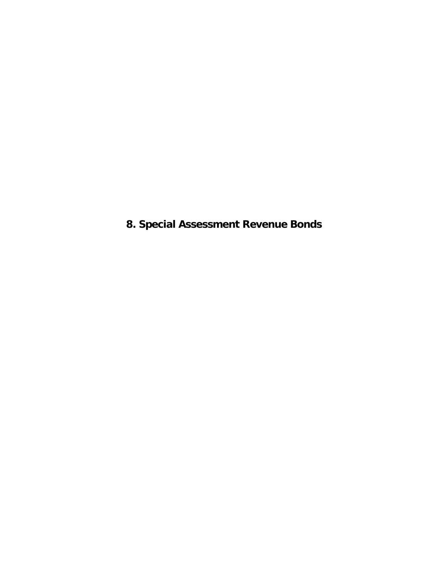**8. Special Assessment Revenue Bonds**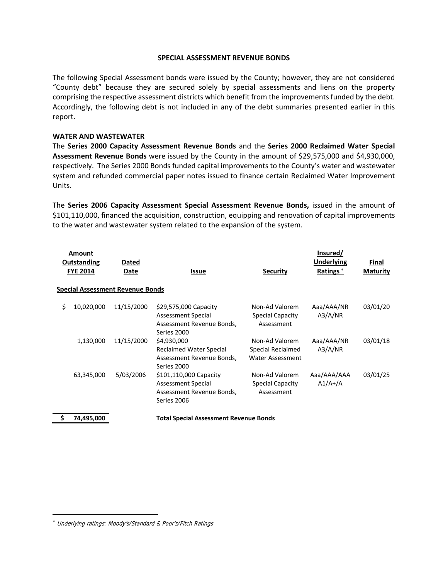# **SPECIAL ASSESSMENT REVENUE BONDS**

The following Special Assessment bonds were issued by the County; however, they are not considered "County debt" because they are secured solely by special assessments and liens on the property comprising the respective assessment districts which benefit from the improvements funded by the debt. Accordingly, the following debt is not included in any of the debt summaries presented earlier in this report.

# **WATER AND WASTEWATER**

The **Series 2000 Capacity Assessment Revenue Bonds** and the **Series 2000 Reclaimed Water Special Assessment Revenue Bonds** were issued by the County in the amount of \$29,575,000 and \$4,930,000, respectively. The Series 2000 Bonds funded capital improvements to the County's water and wastewater system and refunded commercial paper notes issued to finance certain Reclaimed Water Improvement Units.

The **Series 2006 Capacity Assessment Special Assessment Revenue Bonds,** issued in the amount of \$101,110,000, financed the acquisition, construction, equipping and renovation of capital improvements to the water and wastewater system related to the expansion of the system.

| <b>Amount</b><br>Outstanding<br>Dated<br><b>FYE 2014</b><br>Date |            |                                         | Issue                                                                                     | <b>Security</b>                                                | Insured/<br>Underlying<br>Ratings <sup>*</sup> | Final<br><b>Maturity</b> |
|------------------------------------------------------------------|------------|-----------------------------------------|-------------------------------------------------------------------------------------------|----------------------------------------------------------------|------------------------------------------------|--------------------------|
|                                                                  |            | <b>Special Assessment Revenue Bonds</b> |                                                                                           |                                                                |                                                |                          |
| \$                                                               | 10,020,000 | 11/15/2000                              | \$29,575,000 Capacity<br>Assessment Special<br>Assessment Revenue Bonds,<br>Series 2000   | Non-Ad Valorem<br>Special Capacity<br>Assessment               | Aaa/AAA/NR<br>A3/A/NR                          | 03/01/20                 |
|                                                                  | 1,130,000  | 11/15/2000                              | \$4,930,000<br><b>Reclaimed Water Special</b><br>Assessment Revenue Bonds,<br>Series 2000 | Non-Ad Valorem<br>Special Reclaimed<br><b>Water Assessment</b> | Aaa/AAA/NR<br>A3/A/NR                          | 03/01/18                 |
|                                                                  | 63,345,000 | 5/03/2006                               | \$101,110,000 Capacity<br>Assessment Special<br>Assessment Revenue Bonds,<br>Series 2006  | Non-Ad Valorem<br>Special Capacity<br>Assessment               | Aaa/AAA/AAA<br>$A1/A+/A$                       | 03/01/25                 |
| \$                                                               | 74,495,000 |                                         | Total Special Assessment Revenue Bonds                                                    |                                                                |                                                |                          |

Underlying ratings: Moody's/Standard & Poor's/Fitch Ratings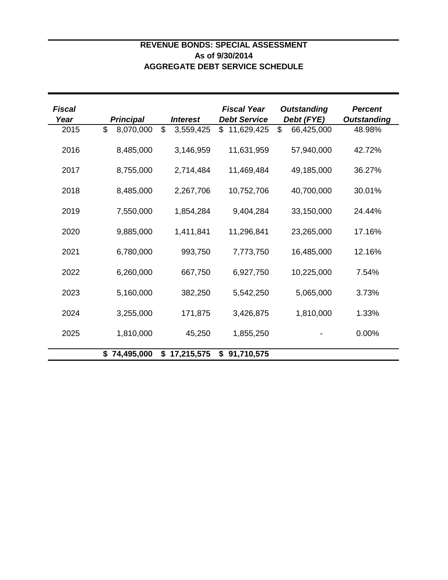# **REVENUE BONDS: SPECIAL ASSESSMENT As of 9/30/2014 AGGREGATE DEBT SERVICE SCHEDULE**

| <b>Fiscal</b><br>Year | <b>Principal</b> | <b>Interest</b>  | <b>Fiscal Year</b><br><b>Debt Service</b> | <b>Outstanding</b><br>Debt (FYE) | <b>Percent</b><br><b>Outstanding</b> |
|-----------------------|------------------|------------------|-------------------------------------------|----------------------------------|--------------------------------------|
| 2015                  | \$<br>8,070,000  | \$<br>3,559,425  | 11,629,425<br>S.                          | \$<br>66,425,000                 | 48.98%                               |
| 2016                  | 8,485,000        | 3,146,959        | 11,631,959                                | 57,940,000                       | 42.72%                               |
| 2017                  | 8,755,000        | 2,714,484        | 11,469,484                                | 49,185,000                       | 36.27%                               |
| 2018                  | 8,485,000        | 2,267,706        | 10,752,706                                | 40,700,000                       | 30.01%                               |
| 2019                  | 7,550,000        | 1,854,284        | 9,404,284                                 | 33,150,000                       | 24.44%                               |
| 2020                  | 9,885,000        | 1,411,841        | 11,296,841                                | 23,265,000                       | 17.16%                               |
| 2021                  | 6,780,000        | 993,750          | 7,773,750                                 | 16,485,000                       | 12.16%                               |
| 2022                  | 6,260,000        | 667,750          | 6,927,750                                 | 10,225,000                       | 7.54%                                |
| 2023                  | 5,160,000        | 382,250          | 5,542,250                                 | 5,065,000                        | 3.73%                                |
| 2024                  | 3,255,000        | 171,875          | 3,426,875                                 | 1,810,000                        | 1.33%                                |
| 2025                  | 1,810,000        | 45,250           | 1,855,250                                 |                                  | 0.00%                                |
|                       | 74,495,000<br>S. | 17,215,575<br>S. | 91,710,575<br>S                           |                                  |                                      |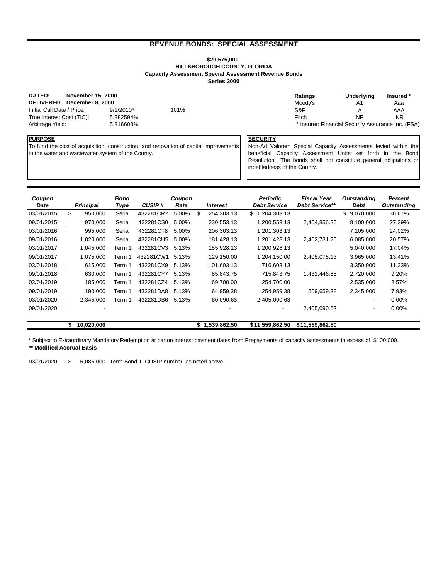# **REVENUE BONDS: SPECIAL ASSESSMENT**

### **\$29,575,000 HILLSBOROUGH COUNTY, FLORIDA Capacity Assessment Special Assessment Revenue Bonds Series 2000**

| <b>DATED:</b>              | November 15, 2000           |             |      | Ratings                                            | Underlving | <b>Insured</b> * |
|----------------------------|-----------------------------|-------------|------|----------------------------------------------------|------------|------------------|
|                            | DELIVERED: December 8, 2000 |             |      | Moodv's                                            | A1         | Aaa              |
| Initial Call Date / Price: |                             | $9/1/2010*$ | 101% | S&P                                                |            | AAA              |
| True Interest Cost (TIC):  |                             | 5.382594%   |      | Fitch                                              | ΝR         | NR               |
| Arbitrage Yield:           |                             | 5.316603%   |      | * Insurer: Financial Security Assurance Inc. (FSA) |            |                  |

### **PURPOSE** SECURITY

To fund the cost of acquisition, construction, and renovation of capital improvements to the water and wastewater system of the County.

Non-Ad Valorem Special Capacity Assessments levied within the beneficial Capacity Assessment Units set forth in the Bond Resolution. The bonds shall not constitute general obligations or indebtedness of the County.

| Coupon<br>Date | <b>Bond</b><br><b>CUSIP#</b><br><b>Principal</b><br>Rate<br><b>Type</b> |        | Coupon    | Interest |    | <b>Periodic</b><br><b>Debt Service</b> | <b>Fiscal Year</b><br>Debt Service** | <b>Outstanding</b><br><b>Debt</b> | <b>Percent</b><br><b>Outstanding</b> |          |
|----------------|-------------------------------------------------------------------------|--------|-----------|----------|----|----------------------------------------|--------------------------------------|-----------------------------------|--------------------------------------|----------|
| 03/01/2015     | \$<br>950,000                                                           | Serial | 432281CR2 | 5.00%    | \$ | 254,303.13                             | \$1<br>,204,303.13                   |                                   | \$<br>9,070,000                      | 30.67%   |
| 09/01/2015     | 970,000                                                                 | Serial | 432281CS0 | 5.00%    |    | 230,553.13                             | 1,200,553.13                         | 2,404,856.25                      | 8,100,000                            | 27.39%   |
| 03/01/2016     | 995,000                                                                 | Serial | 432281CT8 | 5.00%    |    | 206,303.13                             | 1,201,303.13                         |                                   | 7,105,000                            | 24.02%   |
| 09/01/2016     | 1,020,000                                                               | Serial | 432281CU5 | 5.00%    |    | 181,428.13                             | 1,201,428.13                         | 2,402,731.25                      | 6,085,000                            | 20.57%   |
| 03/01/2017     | 1,045,000                                                               | Term 1 | 432281CV3 | 5.13%    |    | 155,928.13                             | 1,200,928.13                         |                                   | 5,040,000                            | 17.04%   |
| 09/01/2017     | 1,075,000                                                               | Term 1 | 432281CW1 | 5.13%    |    | 129.150.00                             | 1,204,150.00                         | 2,405,078.13                      | 3,965,000                            | 13.41%   |
| 03/01/2018     | 615,000                                                                 | Term 1 | 432281CX9 | 5.13%    |    | 101,603.13                             | 716,603.13                           |                                   | 3,350,000                            | 11.33%   |
| 09/01/2018     | 630,000                                                                 | Term 1 | 432281CY7 | 5.13%    |    | 85,843.75                              | 715,843.75                           | 1,432,446.88                      | 2,720,000                            | 9.20%    |
| 03/01/2019     | 185,000                                                                 | Term 1 | 432281CZ4 | 5.13%    |    | 69,700.00                              | 254,700.00                           |                                   | 2,535,000                            | 8.57%    |
| 09/01/2019     | 190.000                                                                 | Term 1 | 432281DA8 | 5.13%    |    | 64.959.38                              | 254,959.38                           | 509,659.38                        | 2,345,000                            | 7.93%    |
| 03/01/2020     | 2,345,000                                                               | Term 1 | 432281DB6 | 5.13%    |    | 60,090.63                              | 2,405,090.63                         |                                   | $\overline{\phantom{a}}$             | 0.00%    |
| 09/01/2020     |                                                                         |        |           |          |    |                                        |                                      | 2,405,090.63                      | ٠                                    | $0.00\%$ |
|                | \$<br>10,020,000                                                        |        |           |          |    | \$1,539,862.50                         | \$11,559,862.50                      | \$11,559,862.50                   |                                      |          |

**\*\* Modified Accrual Basis** \* Subject to Extraordinary Mandatory Redemption at par on interest payment dates from Prepayments of capacity assessments in excess of \$100,000.

03/01/2020 \$ 6,085,000 Term Bond 1, CUSIP number as noted above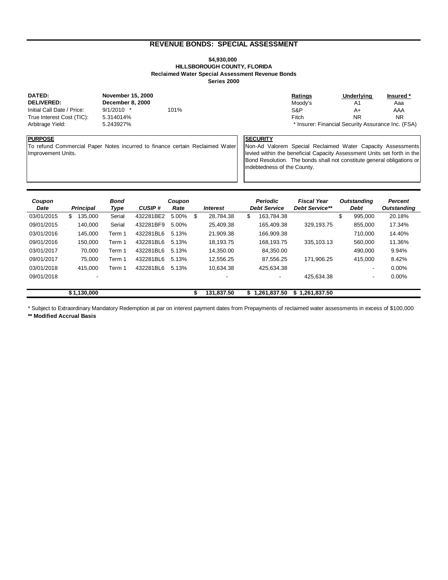# **REVENUE BONDS: SPECIAL ASSESSMENT**

### **\$4,930,000 HILLSBOROUGH COUNTY, FLORIDA Reclaimed Water Special Assessment Revenue Bonds Series 2000**

| <b>DATED:</b><br><b>DELIVERED:</b><br>Initial Call Date / Price:<br>True Interest Cost (TIC):<br>Arbitrage Yield: | November 15, 2000<br>December 8, 2000<br>$9/1/2010$ *<br>5.314014%<br>5.243927% | 101%                       |                                                | Ratings<br>Moody's<br>S&P<br>Fitch                                                                                                                                                                                | Underlying<br>A1<br>$A+$<br>ΝR<br>* Insurer: Financial Security Assurance Inc. (FSA) | Insured *<br>Aaa<br>AAA<br>NR. |
|-------------------------------------------------------------------------------------------------------------------|---------------------------------------------------------------------------------|----------------------------|------------------------------------------------|-------------------------------------------------------------------------------------------------------------------------------------------------------------------------------------------------------------------|--------------------------------------------------------------------------------------|--------------------------------|
| <b>PURPOSE</b><br>Improvement Units.                                                                              | To refund Commercial Paper Notes incurred to finance certain Reclaimed Water    |                            | <b>SECURITY</b><br>indebtedness of the County. | Non-Ad Valorem Special Reclaimed Water Capacity Assessments<br>llevied within the beneficial Capacity Assessment Units set forth in the<br>Bond Resolution. The bonds shall not constitute general obligations or |                                                                                      |                                |
| Coupon<br><b>Principal</b><br>Date                                                                                | Bond<br><b>CUSIP#</b><br>Type                                                   | Coupon<br>Rate<br>Interest | <b>Periodic</b><br><b>Debt Service</b>         | <b>Fiscal Year</b><br><b>Debt Service**</b>                                                                                                                                                                       | <b>Outstanding</b><br>Debt                                                           | Percent<br>Outstanding         |

| vale       | rmcipal        | ı ype  | GUSIF #   | rale  |     | merest     | <i>Dent Service</i> |                          | <i>Dept Service</i> |        | vevi                     | vuisianumy |
|------------|----------------|--------|-----------|-------|-----|------------|---------------------|--------------------------|---------------------|--------|--------------------------|------------|
| 03/01/2015 | \$.<br>135,000 | Serial | 432281BE2 | 5.00% | -\$ | 28.784.38  | \$                  | 163.784.38               |                     | σ<br>จ | 995.000                  | 20.18%     |
| 09/01/2015 | 140,000        | Serial | 432281BF9 | 5.00% |     | 25,409.38  |                     | 165,409.38               | 329,193.75          |        | 855,000                  | 17.34%     |
| 03/01/2016 | 145.000        | Term 1 | 432281BL6 | 5.13% |     | 21.909.38  |                     | 166.909.38               |                     |        | 710.000                  | 14.40%     |
| 09/01/2016 | 150,000        | Term 1 | 432281BL6 | 5.13% |     | 18.193.75  |                     | 168.193.75               | 335.103.13          |        | 560,000                  | 11.36%     |
| 03/01/2017 | 70.000         | Term 1 | 432281BL6 | 5.13% |     | 14.350.00  |                     | 84.350.00                |                     |        | 490.000                  | 9.94%      |
| 09/01/2017 | 75.000         | Term 1 | 432281BL6 | 5.13% |     | 12.556.25  |                     | 87.556.25                | 171.906.25          |        | 415,000                  | 8.42%      |
| 03/01/2018 | 415.000        | Term 1 | 432281BL6 | 5.13% |     | 10.634.38  |                     | 425,634.38               |                     |        | $\overline{\phantom{a}}$ | $0.00\%$   |
| 09/01/2018 | ۰              |        |           |       |     | ۰          |                     | $\overline{\phantom{0}}$ | 425.634.38          |        |                          | $0.00\%$   |
|            |                |        |           |       |     |            |                     |                          |                     |        |                          |            |
|            | \$1,130,000    |        |           |       |     | 131.837.50 |                     | \$1.261.837.50           | \$1.261.837.50      |        |                          |            |

**\*\* Modified Accrual Basis** \* Subject to Extraordinary Mandatory Redemption at par on interest payment dates from Prepayments of reclaimed water assessments in excess of \$100,000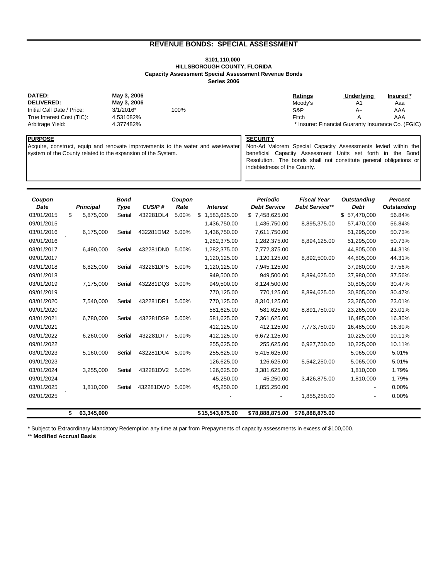# **REVENUE BONDS: SPECIAL ASSESSMENT**

### **\$101,110,000 HILLSBOROUGH COUNTY, FLORIDA Capacity Assessment Special Assessment Revenue Bonds Series 2006**

| DATED:                                                                                                                                        | May 3, 2006 |      |                                                            | Ratings          | Underlying                                         | Insured * |
|-----------------------------------------------------------------------------------------------------------------------------------------------|-------------|------|------------------------------------------------------------|------------------|----------------------------------------------------|-----------|
| <b>DELIVERED:</b>                                                                                                                             | May 3, 2006 |      |                                                            | Moody's          | A1                                                 | Aaa       |
| Initial Call Date / Price:                                                                                                                    | $3/1/2016*$ | 100% |                                                            | S&P              | A+                                                 | AAA       |
| True Interest Cost (TIC):                                                                                                                     | 4.531082%   |      |                                                            | Fitch            |                                                    | AAA       |
| Arbitrage Yield:                                                                                                                              | 4.377482%   |      |                                                            |                  | * Insurer: Financial Guaranty Insurance Co. (FGIC) |           |
|                                                                                                                                               |             |      |                                                            |                  |                                                    |           |
| <b>PURPOSE</b>                                                                                                                                |             |      |                                                            | <b>ISECURITY</b> |                                                    |           |
| Acquire, construct, equip and renovate improvements to the water and wastewater Non-Ad Valorem Special Capacity Assessments levied within the |             |      |                                                            |                  |                                                    |           |
| system of the County related to the expansion of the System.                                                                                  |             |      | beneficial Capacity Assessment Units set forth in the Bond |                  |                                                    |           |

Resolution. The bonds shall not constitute general obligations or

indebtedness of the County.

| Coupon     | <b>Bond</b><br>Coupon |                  |        | <b>Periodic</b> |       | <b>Outstanding</b> | <b>Percent</b>  |                     |                 |              |                    |
|------------|-----------------------|------------------|--------|-----------------|-------|--------------------|-----------------|---------------------|-----------------|--------------|--------------------|
| Date       |                       | <b>Principal</b> | Type   | <b>CUSIP#</b>   | Rate  |                    | <b>Interest</b> | <b>Debt Service</b> | Debt Service**  | <b>Debt</b>  | <b>Outstanding</b> |
| 03/01/2015 | \$                    | 5,875,000        | Serial | 432281DL4       | 5.00% | \$                 | 1,583,625.00    | \$7,458,625.00      |                 | \$57,470,000 | 56.84%             |
| 09/01/2015 |                       |                  |        |                 |       |                    | 1.436.750.00    | 1,436,750.00        | 8,895,375.00    | 57,470,000   | 56.84%             |
| 03/01/2016 |                       | 6,175,000        | Serial | 432281DM2       | 5.00% |                    | 1,436,750.00    | 7,611,750.00        |                 | 51,295,000   | 50.73%             |
| 09/01/2016 |                       |                  |        |                 |       |                    | 1,282,375.00    | 1,282,375.00        | 8,894,125.00    | 51,295,000   | 50.73%             |
| 03/01/2017 |                       | 6,490,000        | Serial | 432281DN0       | 5.00% |                    | 1.282.375.00    | 7,772,375.00        |                 | 44,805,000   | 44.31%             |
| 09/01/2017 |                       |                  |        |                 |       |                    | 1,120,125.00    | 1,120,125.00        | 8,892,500.00    | 44,805,000   | 44.31%             |
| 03/01/2018 |                       | 6,825,000        | Serial | 432281DP5       | 5.00% |                    | 1.120.125.00    | 7,945,125.00        |                 | 37,980,000   | 37.56%             |
| 09/01/2018 |                       |                  |        |                 |       |                    | 949,500.00      | 949,500.00          | 8,894,625.00    | 37,980,000   | 37.56%             |
| 03/01/2019 |                       | 7,175,000        | Serial | 432281DQ3       | 5.00% |                    | 949,500.00      | 8,124,500.00        |                 | 30,805,000   | 30.47%             |
| 09/01/2019 |                       |                  |        |                 |       |                    | 770.125.00      | 770.125.00          | 8,894,625.00    | 30,805,000   | 30.47%             |
| 03/01/2020 |                       | 7,540,000        | Serial | 432281DR1       | 5.00% |                    | 770,125.00      | 8,310,125.00        |                 | 23,265,000   | 23.01%             |
| 09/01/2020 |                       |                  |        |                 |       |                    | 581,625.00      | 581,625.00          | 8,891,750.00    | 23,265,000   | 23.01%             |
| 03/01/2021 |                       | 6,780,000        | Serial | 432281DS9       | 5.00% |                    | 581,625.00      | 7,361,625.00        |                 | 16,485,000   | 16.30%             |
| 09/01/2021 |                       |                  |        |                 |       |                    | 412,125.00      | 412,125.00          | 7,773,750.00    | 16,485,000   | 16.30%             |
| 03/01/2022 |                       | 6,260,000        | Serial | 432281DT7       | 5.00% |                    | 412,125.00      | 6,672,125.00        |                 | 10,225,000   | 10.11%             |
| 09/01/2022 |                       |                  |        |                 |       |                    | 255,625.00      | 255,625.00          | 6,927,750.00    | 10,225,000   | 10.11%             |
| 03/01/2023 |                       | 5,160,000        | Serial | 432281DU4       | 5.00% |                    | 255,625.00      | 5,415,625.00        |                 | 5,065,000    | 5.01%              |
| 09/01/2023 |                       |                  |        |                 |       |                    | 126,625.00      | 126,625.00          | 5,542,250.00    | 5,065,000    | 5.01%              |
| 03/01/2024 |                       | 3,255,000        | Serial | 432281DV2       | 5.00% |                    | 126,625.00      | 3,381,625.00        |                 | 1,810,000    | 1.79%              |
| 09/01/2024 |                       |                  |        |                 |       |                    | 45,250.00       | 45,250.00           | 3,426,875.00    | 1,810,000    | 1.79%              |
| 03/01/2025 |                       | 1,810,000        | Serial | 432281DW0       | 5.00% |                    | 45,250.00       | 1,855,250.00        |                 |              | 0.00%              |
| 09/01/2025 |                       |                  |        |                 |       |                    |                 |                     | 1,855,250.00    |              | 0.00%              |
|            |                       |                  |        |                 |       |                    |                 |                     |                 |              |                    |
|            | \$                    | 63,345,000       |        |                 |       |                    | \$15,543,875.00 | \$78,888,875.00     | \$78,888,875.00 |              |                    |

\* Subject to Extraordinary Mandatory Redemption any time at par from Prepayments of capacity assessments in excess of \$100,000.

**\*\* Modified Accrual Basis**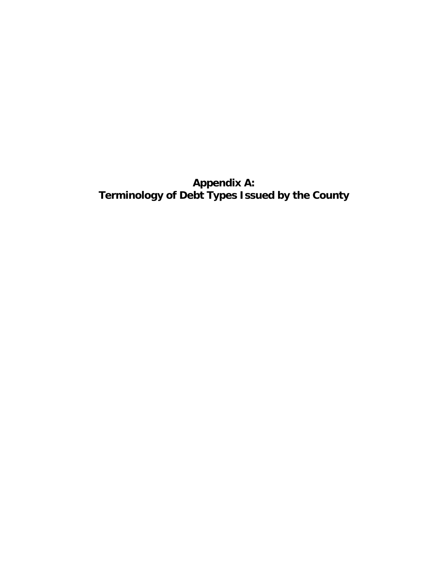**Appendix A: Terminology of Debt Types Issued by the County**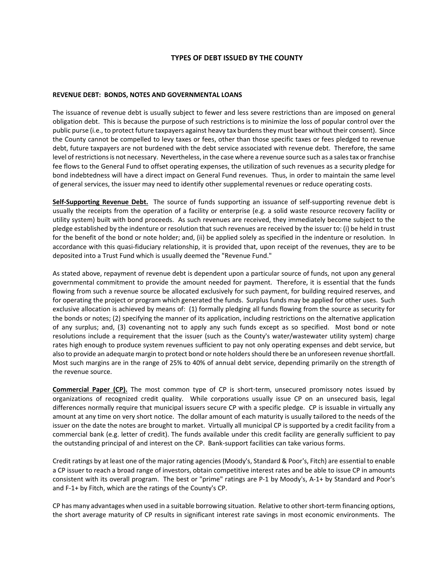# **TYPES OF DEBT ISSUED BY THE COUNTY**

# **REVENUE DEBT: BONDS, NOTES AND GOVERNMENTAL LOANS**

The issuance of revenue debt is usually subject to fewer and less severe restrictions than are imposed on general obligation debt. This is because the purpose of such restrictions is to minimize the loss of popular control over the public purse (i.e., to protect future taxpayers against heavy tax burdensthey must bear without their consent). Since the County cannot be compelled to levy taxes or fees, other than those specific taxes or fees pledged to revenue debt, future taxpayers are not burdened with the debt service associated with revenue debt. Therefore, the same level of restrictions is not necessary. Nevertheless, in the case where a revenue source such as a sales tax or franchise fee flows to the General Fund to offset operating expenses, the utilization of such revenues as a security pledge for bond indebtedness will have a direct impact on General Fund revenues. Thus, in order to maintain the same level of general services, the issuer may need to identify other supplemental revenues or reduce operating costs.

**Self‐Supporting Revenue Debt.** The source of funds supporting an issuance of self‐supporting revenue debt is usually the receipts from the operation of a facility or enterprise (e.g. a solid waste resource recovery facility or utility system) built with bond proceeds. As such revenues are received, they immediately become subject to the pledge established by the indenture or resolution that such revenues are received by the issuer to: (i) be held in trust for the benefit of the bond or note holder; and, (ii) be applied solely as specified in the indenture or resolution. In accordance with this quasi‐fiduciary relationship, it is provided that, upon receipt of the revenues, they are to be deposited into a Trust Fund which is usually deemed the "Revenue Fund."

As stated above, repayment of revenue debt is dependent upon a particular source of funds, not upon any general governmental commitment to provide the amount needed for payment. Therefore, it is essential that the funds flowing from such a revenue source be allocated exclusively for such payment, for building required reserves, and for operating the project or program which generated the funds. Surplus funds may be applied for other uses. Such exclusive allocation is achieved by means of: (1) formally pledging all funds flowing from the source as security for the bonds or notes; (2) specifying the manner of its application, including restrictions on the alternative application of any surplus; and, (3) covenanting not to apply any such funds except as so specified. Most bond or note resolutions include a requirement that the issuer (such as the County's water/wastewater utility system) charge rates high enough to produce system revenues sufficient to pay not only operating expenses and debt service, but also to provide an adequate margin to protect bond or note holdersshould there be an unforeseen revenue shortfall. Most such margins are in the range of 25% to 40% of annual debt service, depending primarily on the strength of the revenue source.

**Commercial Paper (CP).** The most common type of CP is short-term, unsecured promissory notes issued by organizations of recognized credit quality. While corporations usually issue CP on an unsecured basis, legal differences normally require that municipal issuers secure CP with a specific pledge. CP is issuable in virtually any amount at any time on very short notice. The dollar amount of each maturity is usually tailored to the needs of the issuer on the date the notes are brought to market. Virtually all municipal CP is supported by a credit facility from a commercial bank (e.g. letter of credit). The funds available under this credit facility are generally sufficient to pay the outstanding principal of and interest on the CP. Bank‐support facilities can take various forms.

Credit ratings by at least one of the major rating agencies (Moody's, Standard & Poor's, Fitch) are essential to enable a CP issuer to reach a broad range of investors, obtain competitive interest rates and be able to issue CP in amounts consistent with its overall program. The best or "prime" ratings are P‐1 by Moody's, A‐1+ by Standard and Poor's and F‐1+ by Fitch, which are the ratings of the County's CP.

CP has many advantages when used in a suitable borrowing situation. Relative to othershort‐term financing options, the short average maturity of CP results in significant interest rate savings in most economic environments. The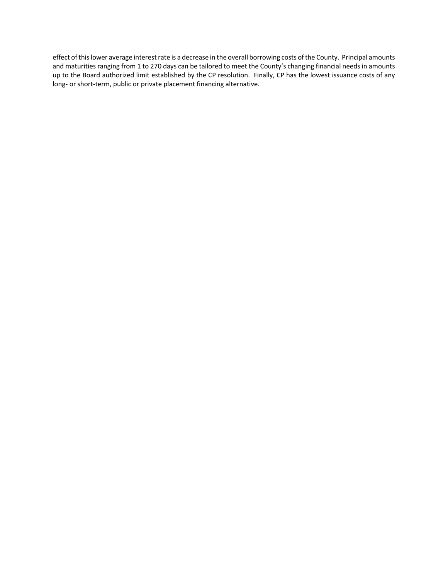effect of this lower average interest rate is a decrease in the overall borrowing costs of the County. Principal amounts and maturities ranging from 1 to 270 days can be tailored to meet the County's changing financial needs in amounts up to the Board authorized limit established by the CP resolution. Finally, CP has the lowest issuance costs of any long- or short-term, public or private placement financing alternative.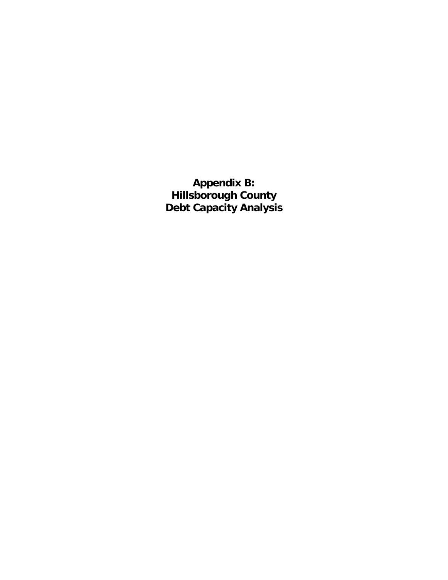**Appendix B: Hillsborough County Debt Capacity Analysis**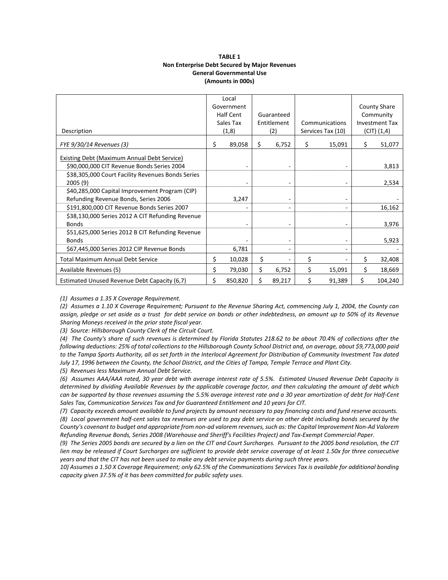# **TABLE 1 Non Enterprise Debt Secured by Major Revenues General Governmental Use (Amounts in 000s)**

|                                                   |     | Local      |              |                          |           |                       |
|---------------------------------------------------|-----|------------|--------------|--------------------------|-----------|-----------------------|
|                                                   |     | Government |              |                          |           | <b>County Share</b>   |
|                                                   |     | Half Cent  | Guaranteed   |                          | Community |                       |
|                                                   |     | Sales Tax  | Entitlement  | Communications           |           | <b>Investment Tax</b> |
| Description                                       |     | (1,8)      | (2)          | Services Tax (10)        |           | (CIT) (1,4)           |
| FYE 9/30/14 Revenues (3)                          | \$. | 89,058     | \$<br>6,752  | \$<br>15,091             | \$        | 51,077                |
| Existing Debt (Maximum Annual Debt Service)       |     |            |              |                          |           |                       |
| \$90,000,000 CIT Revenue Bonds Series 2004        |     |            |              |                          |           | 3,813                 |
| \$38,305,000 Court Facility Revenues Bonds Series |     |            |              |                          |           |                       |
| 2005(9)                                           |     |            |              |                          |           | 2,534                 |
| \$40,285,000 Capital Improvement Program (CIP)    |     |            |              |                          |           |                       |
| Refunding Revenue Bonds, Series 2006              |     | 3,247      | -            | $\overline{\phantom{a}}$ |           |                       |
| \$191,800,000 CIT Revenue Bonds Series 2007       |     |            |              |                          |           | 16,162                |
| \$38,130,000 Series 2012 A CIT Refunding Revenue  |     |            |              |                          |           |                       |
| <b>Bonds</b>                                      |     |            |              |                          |           | 3,976                 |
| \$51,625,000 Series 2012 B CIT Refunding Revenue  |     |            |              |                          |           |                       |
| <b>Bonds</b>                                      |     |            | -            |                          |           | 5,923                 |
| \$67,445,000 Series 2012 CIP Revenue Bonds        |     | 6,781      | -            |                          |           |                       |
| <b>Total Maximum Annual Debt Service</b>          | \$  | 10,028     | \$           | \$                       | \$        | 32,408                |
| Available Revenues (5)                            | Ś.  | 79,030     | \$<br>6,752  | \$<br>15,091             | Ś         | 18,669                |
| Estimated Unused Revenue Debt Capacity (6,7)      | Ś.  | 850,820    | \$<br>89,217 | \$<br>91,389             | \$        | 104,240               |

*(1) Assumes a 1.35 X Coverage Requirement.*

(2) Assumes a 1.10 X Coverage Requirement; Pursuant to the Revenue Sharing Act, commencing July 1, 2004, the County can assign, pledge or set aside as a trust for debt service on bonds or other indebtedness, an amount up to 50% of its Revenue *Sharing Moneys received in the prior state fiscal year.*

*(3) Source: Hillsborough County Clerk of the Circuit Court.*

(4) The County's share of such revenues is determined by Florida Statutes 218.62 to be about 70.4% of collections after the following deductions: 25% of total collections to the Hillsborough County School District and, on average, about \$9,773,000 paid to the Tampa Sports Authority, all as set forth in the Interlocal Agreement for Distribution of Community Investment Tax dated July 17, 1996 between the County, the School District, and the Cities of Tampa, Temple Terrace and Plant City.

*(5) Revenues less Maximum Annual Debt Service.*

(6) Assumes AAA/AAA rated, 30 year debt with average interest rate of 5.5%. Estimated Unused Revenue Debt Capacity is determined by dividing Available Revenues by the applicable coverage factor, and then calculating the amount of debt which can be supported by those revenues assuming the 5.5% average interest rate and a 30 year amortization of debt for Half-Cent *Sales Tax, Communication Services Tax and for Guaranteed Entitlement and 10 years for CIT.*

(7) Capacity exceeds amount available to fund projects by amount necessary to pay financing costs and fund reserve accounts. (8) Local government half-cent sales tax revenues are used to pay debt service on other debt including bonds secured by the County's covenant to budget and appropriate from non-ad valorem revenues, such as: the Capital Improvement Non-Ad Valorem Refunding Revenue Bonds, Series 2008 (Warehouse and Sheriff's Facilities Project) and Tax-Exempt Commercial Paper.

(9) The Series 2005 bonds are secured by a lien on the CIT and Court Surcharges. Pursuant to the 2005 bond resolution, the CIT lien may be released if Court Surcharges are sufficient to provide debt service coverage of at least 1.50x for three consecutive years and that the CIT has not been used to make any debt service payments during such three years.

10) Assumes a 1.50 X Coverage Requirement; only 62.5% of the Communications Services Tax is available for additional bonding *capacity given 37.5% of it has been committed for public safety uses.*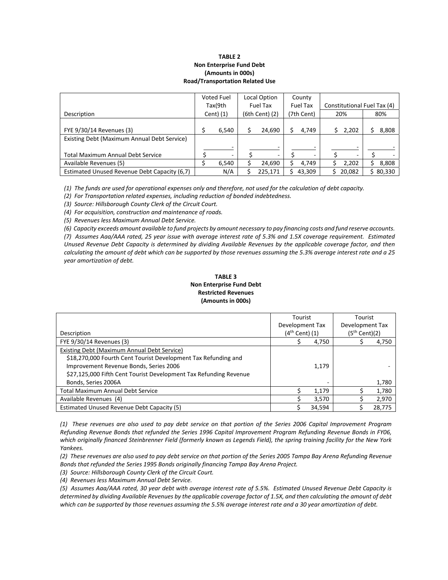### **TABLE 2 Non Enterprise Fund Debt (Amounts in 000s) Road/Transportation Related Use**

|                                              |            | <b>Voted Fuel</b> |          | Local Option   |                 | County     |        |                             |          |  |
|----------------------------------------------|------------|-------------------|----------|----------------|-----------------|------------|--------|-----------------------------|----------|--|
|                                              | Tax(9th    |                   | Fuel Tax |                | <b>Fuel Tax</b> |            |        | Constitutional Fuel Tax (4) |          |  |
| Description                                  | Cent $(1)$ |                   |          | (6th Cent) (2) |                 | (7th Cent) | 20%    | 80%                         |          |  |
|                                              |            |                   |          |                |                 |            |        |                             |          |  |
| FYE 9/30/14 Revenues (3)                     |            | 6,540             |          | 24.690         |                 | 4,749      | 2,202  |                             | 8,808    |  |
| Existing Debt (Maximum Annual Debt Service)  |            |                   |          |                |                 |            |        |                             |          |  |
|                                              |            |                   |          |                |                 |            |        |                             |          |  |
| <b>Total Maximum Annual Debt Service</b>     |            | -                 |          | ۰              |                 |            | ۰      |                             |          |  |
| Available Revenues (5)                       |            | 6,540             |          | 24,690         |                 | 4,749      | 2,202  |                             | 8,808    |  |
| Estimated Unused Revenue Debt Capacity (6.7) |            | N/A               |          | 225,171        |                 | 43,309     | 20.082 |                             | \$80,330 |  |

(1) The funds are used for operational expenses only and therefore, not used for the calculation of debt capacity.

*(2) For Transportation related expenses, including reduction of bonded indebtedness.*

*(3) Source: Hillsborough County Clerk of the Circuit Court.*

*(4) For acquisition, construction and maintenance of roads.*

*(5) Revenues less Maximum Annual Debt Service.*

(6) Capacity exceeds amount available to fund projects by amount necessary to pay financing costs and fund reserve accounts. (7) Assumes Aaa/AAA rated, 25 year issue with average interest rate of 5.3% and 1.5X coverage requirement. Estimated Unused Revenue Debt Capacity is determined by dividing Available Revenues by the applicable coverage factor, and then calculating the amount of debt which can be supported by those revenues assuming the 5.3% average interest rate and a 25 *year amortization of debt.*

#### **TABLE 3 Non Enterprise Fund Debt Restricted Revenues (Amounts in 000s)**

|                                                                   | Tourist          |        | Tourist                   |        |  |
|-------------------------------------------------------------------|------------------|--------|---------------------------|--------|--|
|                                                                   | Development Tax  |        | Development Tax           |        |  |
| Description                                                       | $(4th Cent)$ (1) |        | (5 <sup>th</sup> Cent)(2) |        |  |
| FYE 9/30/14 Revenues (3)                                          |                  | 4,750  |                           | 4,750  |  |
| <b>Existing Debt (Maximum Annual Debt Service)</b>                |                  |        |                           |        |  |
| \$18,270,000 Fourth Cent Tourist Development Tax Refunding and    |                  |        |                           |        |  |
| Improvement Revenue Bonds, Series 2006                            |                  | 1,179  |                           |        |  |
| \$27,125,000 Fifth Cent Tourist Development Tax Refunding Revenue |                  |        |                           |        |  |
| Bonds, Series 2006A                                               |                  |        |                           | 1,780  |  |
| <b>Total Maximum Annual Debt Service</b>                          |                  | 1,179  |                           | 1,780  |  |
| Available Revenues (4)                                            |                  | 3,570  |                           | 2,970  |  |
| Estimated Unused Revenue Debt Capacity (5)                        |                  | 34,594 |                           | 28,775 |  |

(1) These revenues are also used to pay debt service on that portion of the Series 2006 Capital Improvement Program Refunding Revenue Bonds that refunded the Series 1996 Capital Improvement Program Refunding Revenue Bonds in FY06, which originally financed Steinbrenner Field (formerly known as Legends Field), the spring training facility for the New York *Yankees.*

(2) These revenues are also used to pay debt service on that portion of the Series 2005 Tampa Bay Arena Refunding Revenue *Bonds that refunded the Series 1995 Bonds originally financing Tampa Bay Arena Project.*

*(3) Source: Hillsborough County Clerk of the Circuit Court.*

*(4) Revenues less Maximum Annual Debt Service.*

(5) Assumes Aaa/AAA rated, 30 year debt with average interest rate of 5.5%. Estimated Unused Revenue Debt Capacity is determined by dividing Available Revenues by the applicable coverage factor of 1.5X, and then calculating the amount of debt which can be supported by those revenues assuming the 5.5% average interest rate and a 30 year amortization of debt.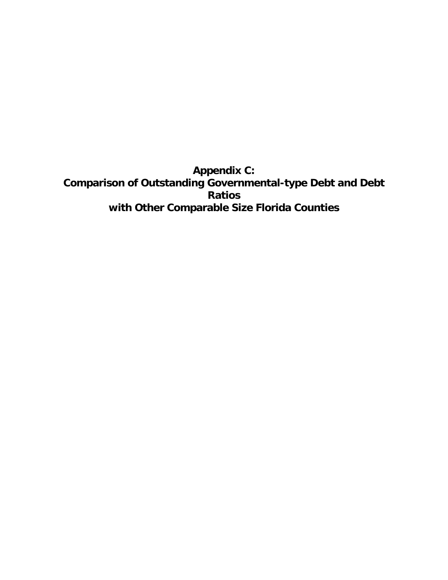**Appendix C: Comparison of Outstanding Governmental-type Debt and Debt Ratios with Other Comparable Size Florida Counties**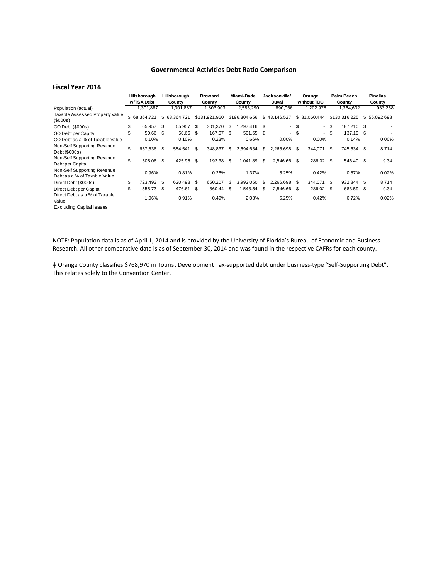## **Governmental Activities Debt Ratio Comparison**

#### **Fiscal Year 2014**

|                                                             | Hillsborough     |     | Hillsborough |     | <b>Broward</b> |    | Miami-Dade    |      | Jacksonville/ |     | Orange                   |     | Palm Beach    |     | <b>Pinellas</b> |
|-------------------------------------------------------------|------------------|-----|--------------|-----|----------------|----|---------------|------|---------------|-----|--------------------------|-----|---------------|-----|-----------------|
|                                                             | w/TSA Debt       |     | County       |     | County         |    | County        |      | Duval         |     | without TDC              |     | County        |     | County          |
| Population (actual)                                         | 1.301.887        |     | 1.301.887    |     | 1,803,903      |    | 2,586,290     |      | 890.066       |     | 1,202,978                |     | 1,364,632     |     | 933,258         |
| Taxable Assessed Property Value<br>(\$000s)                 | 68.364.721       |     | \$68.364.721 |     | \$131,921,960  |    | \$196,304,656 |      | \$43,146,527  |     | \$ 81,060,444            |     | \$130,316,225 |     | \$56,092,698    |
| GO Debt (\$000s)                                            | \$<br>65.957     | \$. | 65.957       | \$  | 301.370        | -S | 1.297.416     | - \$ |               | \$  | $\overline{\phantom{a}}$ | \$. | 187.210 \$    |     |                 |
| GO Debt per Capita                                          | \$<br>50.66 \$   |     | 50.66        | \$  | 167.07 \$      |    | 501.65 \$     |      | $\sim$        | -\$ | $\overline{\phantom{a}}$ | \$. | 137.19 \$     |     |                 |
| GO Debt as a % of Taxable Value                             | 0.10%            |     | 0.10%        |     | 0.23%          |    | 0.66%         |      | 0.00%         |     | 0.00%                    |     | 0.14%         |     | 0.00%           |
| Non-Self Supporting Revenue<br>Debt (\$000s)                | \$<br>657.536 \$ |     | 554,541      | \$  | 348.837        | S  | 2,694,634     | \$   | 2,266,698     | \$  | 344,071 \$               |     | 745.634 \$    |     | 8,714           |
| Non-Self Supporting Revenue<br>Debt per Capita              | \$<br>505.06 \$  |     | 425.95       | \$. | 193.38         | -S | 1.041.89      | \$   | 2.546.66      | \$. | 286.02 \$                |     | 546.40 \$     |     | 9.34            |
| Non-Self Supporting Revenue<br>Debt as a % of Taxable Value | 0.96%            |     | 0.81%        |     | 0.26%          |    | 1.37%         |      | 5.25%         |     | 0.42%                    |     | 0.57%         |     | 0.02%           |
| Direct Debt (\$000s)                                        | \$<br>723.493 \$ |     | 620.498      | \$  | 650.207        | -S | 3.992.050     | \$   | 2.266.698     | \$. | 344.071 \$               |     | 932.844 \$    |     | 8,714           |
| Direct Debt per Capita                                      | \$<br>555.73 \$  |     | 476.61       | \$. | 360.44         | -S | 1,543.54      | \$   | 2,546.66      | -S  | 286.02 \$                |     | 683.59        | -\$ | 9.34            |
| Direct Debt as a % of Taxable<br>Value                      | 1.06%            |     | 0.91%        |     | 0.49%          |    | 2.03%         |      | 5.25%         |     | 0.42%                    |     | 0.72%         |     | 0.02%           |
| <b>Excluding Capital leases</b>                             |                  |     |              |     |                |    |               |      |               |     |                          |     |               |     |                 |

NOTE: Population data is as of April 1, 2014 and is provided by the University of Florida's Bureau of Economic and Business Research. All other comparative data is as of September 30, 2014 and was found in the respective CAFRs for each county.

ǂ Orange County classifies \$768,970 in Tourist Development Tax‐supported debt under business‐type "Self‐Supporting Debt". This relates solely to the Convention Center.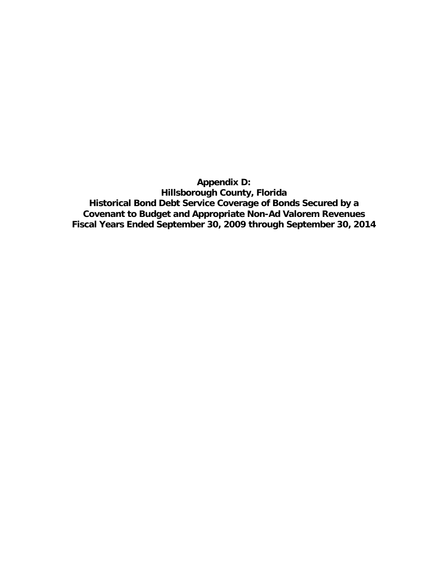**Appendix D: Hillsborough County, Florida Historical Bond Debt Service Coverage of Bonds Secured by a Covenant to Budget and Appropriate Non-Ad Valorem Revenues Fiscal Years Ended September 30, 2009 through September 30, 2014**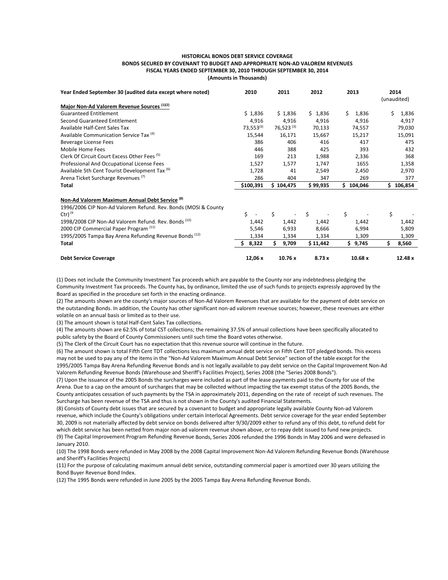#### **HISTORICAL BONDS DEBT SERVICE COVERAGE BONDS SECURED BY COVENANT TO BUDGET AND APPROPRIATE NON‐AD VALOREM REVENUES FISCAL YEARS ENDED SEPTEMBER 30, 2010 THROUGH SEPTEMBER 30, 2014 (Amounts in Thousands)**

| Year Ended September 30 (audited data except where noted)                       | 2010           | 2011                  | 2012     | 2013          | 2014<br>(unaudited) |  |  |  |
|---------------------------------------------------------------------------------|----------------|-----------------------|----------|---------------|---------------------|--|--|--|
| Major Non-Ad Valorem Revenue Sources (1)(2)                                     |                |                       |          |               |                     |  |  |  |
| <b>Guaranteed Entitlement</b>                                                   | \$1,836        | \$1,836               | \$1,836  | Ś.<br>1,836   | Ś<br>1,836          |  |  |  |
| Second Guaranteed Entitlement                                                   | 4,916          | 4,916                 | 4,916    | 4,916         | 4,917               |  |  |  |
| Available Half-Cent Sales Tax                                                   | $73,553^{(3)}$ | 76,523 <sup>(3)</sup> | 70,133   | 74,557        | 79,030              |  |  |  |
| Available Communication Service Tax <sup>(4)</sup>                              | 15,544         | 16,171                | 15,667   | 15,217        | 15,091              |  |  |  |
| Beverage License Fees                                                           | 386            | 406                   | 416      | 417           | 475                 |  |  |  |
| Mobile Home Fees                                                                | 446            | 388                   | 425      | 393           | 432                 |  |  |  |
| Clerk Of Circuit Court Excess Other Fees (5)                                    | 169            | 213                   | 1,988    | 2,336         | 368                 |  |  |  |
| Professional And Occupational License Fees                                      | 1,527          | 1,577                 | 1,747    | 1655          | 1,358               |  |  |  |
| Available 5th Cent Tourist Development Tax <sup>(6)</sup>                       | 1,728          | 41                    | 2,549    | 2,450         | 2,970               |  |  |  |
| Arena Ticket Surcharge Revenues <sup>(7)</sup>                                  | 286            | 404                   | 347      | 269           | 377                 |  |  |  |
| <b>Total</b>                                                                    | \$100,391      | \$104,475             | \$99,935 | 104,046<br>Ś. | \$.<br>106,854      |  |  |  |
| Non-Ad Valorem Maximum Annual Debt Service <sup>(8)</sup>                       |                |                       |          |               |                     |  |  |  |
| 1996/2006 CIP Non-Ad Valorem Refund. Rev. Bonds (MOSI & County<br>Ctr) $^{(9)}$ | Ś.             | \$                    | \$       | \$            | \$                  |  |  |  |
| 1998/2008 CIP Non-Ad Valorem Refund. Rev. Bonds (10)                            |                | 1,442                 |          | 1,442         |                     |  |  |  |
|                                                                                 | 1,442          |                       | 1,442    |               | 1,442               |  |  |  |
| 2000 CIP Commercial Paper Program (11)                                          | 5,546          | 6,933                 | 8,666    | 6,994         | 5,809               |  |  |  |
| 1995/2005 Tampa Bay Arena Refunding Revenue Bonds (12)                          | 1,334          | 1,334                 | 1,334    | 1,309         | 1,309               |  |  |  |
| Total                                                                           | 8,322<br>\$    | Ś.<br>9,709           | \$11,442 | \$9,745       | \$<br>8,560         |  |  |  |
| <b>Debt Service Coverage</b>                                                    | 12,06 x        | 10.76 x               | 8.73x    | 10.68x        | 12.48 x             |  |  |  |

(1) Does not include the Community Investment Tax proceeds which are payable to the County nor any indebtedness pledging the Community Investment Tax proceeds. The County has, by ordinance, limited the use of such funds to projects expressly approved by the Board as specified in the procedure set forth in the enacting ordinance.

(2) The amounts shown are the county's major sources of Non‐Ad Valorem Revenues that are available for the payment of debt service on the outstanding Bonds. In addition, the County has other significant non‐ad valorem revenue sources; however, these revenues are either volatile on an annual basis or limited as to their use.

(3) The amount shown is total Half‐Cent Sales Tax collections.

(4) The amounts shown are 62.5% of total CST collections; the remaining 37.5% of annual collections have been specifically allocated to public safety by the Board of County Commissioners until such time the Board votes otherwise.

(5) The Clerk of the Circuit Court has no expectation that this revenue source will continue in the future.

(6) The amount shown is total Fifth Cent TDT collections less maximum annual debt service on Fifth Cent TDT pledged bonds. This excess may not be used to pay any of the items in the "Non‐Ad Valorem Maximum Annual Debt Service" section of the table except for the 1995/2005 Tampa Bay Arena Refunding Revenue Bonds and is not legally available to pay debt service on the Capital Improvement Non‐Ad Valorem Refunding Revenue Bonds (Warehouse and Sheriff's Facilities Project), Series 2008 (the "Series 2008 Bonds").

(7) Upon the issuance of the 2005 Bonds the surcharges were included as part of the lease payments paid to the County for use of the Arena. Due to a cap on the amount of surcharges that may be collected without impacting the tax exempt status of the 2005 Bonds, the County anticipates cessation of such payments by the TSA in approximately 2011, depending on the rate of receipt of such revenues. The Surcharge has been revenue of the TSA and thus is not shown in the County's audited Financial Statements.

(8) Consists of County debt issues that are secured by a covenant to budget and appropriate legally available County Non‐ad Valorem revenue, which include the County's obligations under certain Interlocal Agreements. Debt service coverage for the year ended September 30, 2009 is not materially affected by debt service on bonds delivered after 9/30/2009 either to refund any of this debt, to refund debt for which debt service has been netted from major non-ad valorem revenue shown above, or to repay debt issued to fund new projects. (9) The Capital Improvement Program Refunding Revenue Bonds, Series 2006 refunded the 1996 Bonds in May 2006 and were defeased in

January 2010.

(10) The 1998 Bonds were refunded in May 2008 by the 2008 Capital Improvement Non‐Ad Valorem Refunding Revenue Bonds (Warehouse and Sheriff's Facilities Projects)

(11) For the purpose of calculating maximum annual debt service, outstanding commercial paper is amortized over 30 years utilizing the Bond Buyer Revenue Bond Index.

(12) The 1995 Bonds were refunded in June 2005 by the 2005 Tampa Bay Arena Refunding Revenue Bonds.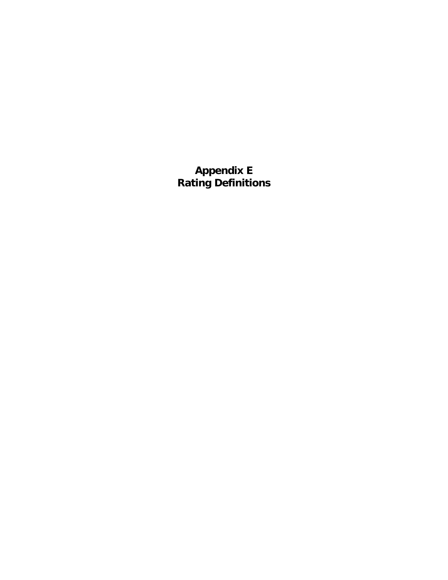**Appendix E Rating Definitions**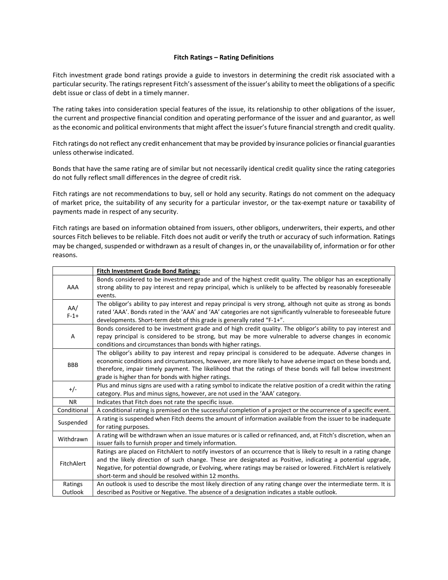### **Fitch Ratings – Rating Definitions**

Fitch investment grade bond ratings provide a guide to investors in determining the credit risk associated with a particular security. The ratings represent Fitch's assessment of the issuer's ability to meet the obligations of a specific debt issue or class of debt in a timely manner.

The rating takes into consideration special features of the issue, its relationship to other obligations of the issuer, the current and prospective financial condition and operating performance of the issuer and and guarantor, as well as the economic and political environments that might affect the issuer's future financial strength and credit quality.

Fitch ratings do not reflect any credit enhancement that may be provided by insurance policies or financial guaranties unless otherwise indicated.

Bonds that have the same rating are of similar but not necessarily identical credit quality since the rating categories do not fully reflect small differences in the degree of credit risk.

Fitch ratings are not recommendations to buy, sell or hold any security. Ratings do not comment on the adequacy of market price, the suitability of any security for a particular investor, or the tax‐exempt nature or taxability of payments made in respect of any security.

Fitch ratings are based on information obtained from issuers, other obligors, underwriters, their experts, and other sources Fitch believes to be reliable. Fitch does not audit or verify the truth or accuracy of such information. Ratings may be changed, suspended or withdrawn as a result of changes in, or the unavailability of, information or for other reasons.

|                   | <b>Fitch Investment Grade Bond Ratings:</b>                                                                        |
|-------------------|--------------------------------------------------------------------------------------------------------------------|
|                   | Bonds considered to be investment grade and of the highest credit quality. The obligor has an exceptionally        |
| AAA               | strong ability to pay interest and repay principal, which is unlikely to be affected by reasonably foreseeable     |
|                   | events.                                                                                                            |
| AA/               | The obligor's ability to pay interest and repay principal is very strong, although not quite as strong as bonds    |
| $F-1+$            | rated 'AAA'. Bonds rated in the 'AAA' and 'AA' categories are not significantly vulnerable to foreseeable future   |
|                   | developments. Short-term debt of this grade is generally rated "F-1+".                                             |
|                   | Bonds considered to be investment grade and of high credit quality. The obligor's ability to pay interest and      |
| Α                 | repay principal is considered to be strong, but may be more vulnerable to adverse changes in economic              |
|                   | conditions and circumstances than bonds with higher ratings.                                                       |
|                   | The obligor's ability to pay interest and repay principal is considered to be adequate. Adverse changes in         |
| <b>BBB</b>        | economic conditions and circumstances, however, are more likely to have adverse impact on these bonds and,         |
|                   | therefore, impair timely payment. The likelihood that the ratings of these bonds will fall below investment        |
|                   | grade is higher than for bonds with higher ratings.                                                                |
| $+/-$             | Plus and minus signs are used with a rating symbol to indicate the relative position of a credit within the rating |
|                   | category. Plus and minus signs, however, are not used in the 'AAA' category.                                       |
| <b>NR</b>         | Indicates that Fitch does not rate the specific issue.                                                             |
| Conditional       | A conditional rating is premised on the successful completion of a project or the occurrence of a specific event.  |
| Suspended         | A rating is suspended when Fitch deems the amount of information available from the issuer to be inadequate        |
|                   | for rating purposes.                                                                                               |
| Withdrawn         | A rating will be withdrawn when an issue matures or is called or refinanced, and, at Fitch's discretion, when an   |
|                   | issuer fails to furnish proper and timely information.                                                             |
| <b>FitchAlert</b> | Ratings are placed on FitchAlert to notify investors of an occurrence that is likely to result in a rating change  |
|                   | and the likely direction of such change. These are designated as Positive, indicating a potential upgrade,         |
|                   | Negative, for potential downgrade, or Evolving, where ratings may be raised or lowered. FitchAlert is relatively   |
|                   | short-term and should be resolved within 12 months.                                                                |
| Ratings           | An outlook is used to describe the most likely direction of any rating change over the intermediate term. It is    |
| Outlook           | described as Positive or Negative. The absence of a designation indicates a stable outlook.                        |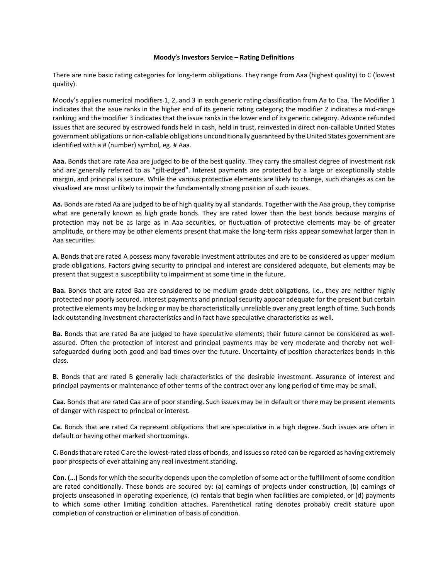#### **Moody's Investors Service – Rating Definitions**

There are nine basic rating categories for long‐term obligations. They range from Aaa (highest quality) to C (lowest quality).

Moody's applies numerical modifiers 1, 2, and 3 in each generic rating classification from Aa to Caa. The Modifier 1 indicates that the issue ranks in the higher end of its generic rating category; the modifier 2 indicates a mid-range ranking; and the modifier 3 indicates that the issue ranks in the lower end of its generic category. Advance refunded issues that are secured by escrowed funds held in cash, held in trust, reinvested in direct non‐callable United States government obligations or non-callable obligations unconditionally guaranteed by the United States government are identified with a # (number) symbol, eg. # Aaa.

**Aaa.** Bonds that are rate Aaa are judged to be of the best quality. They carry the smallest degree of investment risk and are generally referred to as "gilt-edged". Interest payments are protected by a large or exceptionally stable margin, and principal is secure. While the various protective elements are likely to change, such changes as can be visualized are most unlikely to impair the fundamentally strong position of such issues.

**Aa.** Bonds are rated Aa are judged to be of high quality by all standards. Together with the Aaa group, they comprise what are generally known as high grade bonds. They are rated lower than the best bonds because margins of protection may not be as large as in Aaa securities, or fluctuation of protective elements may be of greater amplitude, or there may be other elements present that make the long-term risks appear somewhat larger than in Aaa securities.

**A.** Bonds that are rated A possess many favorable investment attributes and are to be considered as upper medium grade obligations. Factors giving security to principal and interest are considered adequate, but elements may be present that suggest a susceptibility to impairment at some time in the future.

**Baa.** Bonds that are rated Baa are considered to be medium grade debt obligations, i.e., they are neither highly protected nor poorly secured. Interest payments and principal security appear adequate for the present but certain protective elements may be lacking or may be characteristically unreliable over any great length of time. Such bonds lack outstanding investment characteristics and in fact have speculative characteristics as well.

**Ba.** Bonds that are rated Ba are judged to have speculative elements; their future cannot be considered as well‐ assured. Often the protection of interest and principal payments may be very moderate and thereby not wellsafeguarded during both good and bad times over the future. Uncertainty of position characterizes bonds in this class.

**B.** Bonds that are rated B generally lack characteristics of the desirable investment. Assurance of interest and principal payments or maintenance of other terms of the contract over any long period of time may be small.

**Caa.** Bonds that are rated Caa are of poor standing. Such issues may be in default or there may be present elements of danger with respect to principal or interest.

**Ca.** Bonds that are rated Ca represent obligations that are speculative in a high degree. Such issues are often in default or having other marked shortcomings.

**C.** Bonds that are rated C are the lowest-rated class of bonds, and issues so rated can be regarded as having extremely poor prospects of ever attaining any real investment standing.

**Con. (…)** Bondsfor which the security depends upon the completion of some act or the fulfillment of some condition are rated conditionally. These bonds are secured by: (a) earnings of projects under construction, (b) earnings of projects unseasoned in operating experience, (c) rentals that begin when facilities are completed, or (d) payments to which some other limiting condition attaches. Parenthetical rating denotes probably credit stature upon completion of construction or elimination of basis of condition.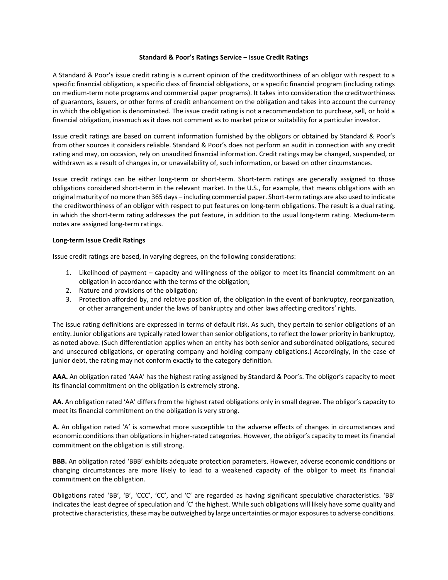### **Standard & Poor's Ratings Service – Issue Credit Ratings**

A Standard & Poor's issue credit rating is a current opinion of the creditworthiness of an obligor with respect to a specific financial obligation, a specific class of financial obligations, or a specific financial program (including ratings on medium‐term note programs and commercial paper programs). It takes into consideration the creditworthiness of guarantors, issuers, or other forms of credit enhancement on the obligation and takes into account the currency in which the obligation is denominated. The issue credit rating is not a recommendation to purchase, sell, or hold a financial obligation, inasmuch as it does not comment as to market price or suitability for a particular investor.

Issue credit ratings are based on current information furnished by the obligors or obtained by Standard & Poor's from other sources it considers reliable. Standard & Poor's does not perform an audit in connection with any credit rating and may, on occasion, rely on unaudited financial information. Credit ratings may be changed, suspended, or withdrawn as a result of changes in, or unavailability of, such information, or based on other circumstances.

Issue credit ratings can be either long‐term or short‐term. Short‐term ratings are generally assigned to those obligations considered short-term in the relevant market. In the U.S., for example, that means obligations with an original maturity of no more than 365 days – including commercial paper. Short‐term ratings are also used to indicate the creditworthiness of an obligor with respect to put features on long-term obligations. The result is a dual rating, in which the short-term rating addresses the put feature, in addition to the usual long-term rating. Medium-term notes are assigned long‐term ratings.

### **Long‐term Issue Credit Ratings**

Issue credit ratings are based, in varying degrees, on the following considerations:

- 1. Likelihood of payment capacity and willingness of the obligor to meet its financial commitment on an obligation in accordance with the terms of the obligation;
- 2. Nature and provisions of the obligation;
- 3. Protection afforded by, and relative position of, the obligation in the event of bankruptcy, reorganization, or other arrangement under the laws of bankruptcy and other laws affecting creditors' rights.

The issue rating definitions are expressed in terms of default risk. As such, they pertain to senior obligations of an entity. Junior obligations are typically rated lower than senior obligations, to reflect the lower priority in bankruptcy, as noted above. (Such differentiation applies when an entity has both senior and subordinated obligations, secured and unsecured obligations, or operating company and holding company obligations.) Accordingly, in the case of junior debt, the rating may not conform exactly to the category definition.

**AAA.** An obligation rated 'AAA' has the highest rating assigned by Standard & Poor's. The obligor's capacity to meet its financial commitment on the obligation is extremely strong.

**AA.** An obligation rated 'AA' differs from the highest rated obligations only in small degree. The obligor's capacity to meet its financial commitment on the obligation is very strong.

**A.** An obligation rated 'A' is somewhat more susceptible to the adverse effects of changes in circumstances and economic conditions than obligations in higher-rated categories. However, the obligor's capacity to meet its financial commitment on the obligation is still strong.

**BBB.** An obligation rated 'BBB' exhibits adequate protection parameters. However, adverse economic conditions or changing circumstances are more likely to lead to a weakened capacity of the obligor to meet its financial commitment on the obligation.

Obligations rated 'BB', 'B', 'CCC', 'CC', and 'C' are regarded as having significant speculative characteristics. 'BB' indicates the least degree of speculation and 'C' the highest. While such obligations will likely have some quality and protective characteristics, these may be outweighed by large uncertainties or major exposures to adverse conditions.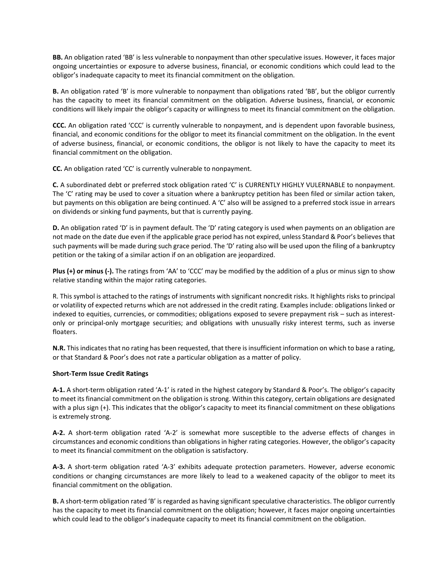**BB.** An obligation rated 'BB' is less vulnerable to nonpayment than other speculative issues. However, it faces major ongoing uncertainties or exposure to adverse business, financial, or economic conditions which could lead to the obligor's inadequate capacity to meet its financial commitment on the obligation.

**B.** An obligation rated 'B' is more vulnerable to nonpayment than obligations rated 'BB', but the obligor currently has the capacity to meet its financial commitment on the obligation. Adverse business, financial, or economic conditions will likely impair the obligor's capacity or willingness to meet its financial commitment on the obligation.

**CCC.** An obligation rated 'CCC' is currently vulnerable to nonpayment, and is dependent upon favorable business, financial, and economic conditions for the obligor to meet its financial commitment on the obligation. In the event of adverse business, financial, or economic conditions, the obligor is not likely to have the capacity to meet its financial commitment on the obligation.

**CC.** An obligation rated 'CC' is currently vulnerable to nonpayment.

**C.** A subordinated debt or preferred stock obligation rated 'C' is CURRENTLY HIGHLY VULERNABLE to nonpayment. The 'C' rating may be used to cover a situation where a bankruptcy petition has been filed or similar action taken, but payments on this obligation are being continued. A 'C' also will be assigned to a preferred stock issue in arrears on dividends or sinking fund payments, but that is currently paying.

**D.** An obligation rated 'D' is in payment default. The 'D' rating category is used when payments on an obligation are not made on the date due even if the applicable grace period has not expired, unless Standard & Poor's believes that such payments will be made during such grace period. The 'D' rating also will be used upon the filing of a bankruptcy petition or the taking of a similar action if on an obligation are jeopardized.

**Plus (+) or minus (‐).** The ratings from 'AA' to 'CCC' may be modified by the addition of a plus or minus sign to show relative standing within the major rating categories.

R. This symbol is attached to the ratings of instruments with significant noncredit risks. It highlights risks to principal or volatility of expected returns which are not addressed in the credit rating. Examples include: obligations linked or indexed to equities, currencies, or commodities; obligations exposed to severe prepayment risk – such as interestonly or principal‐only mortgage securities; and obligations with unusually risky interest terms, such as inverse floaters.

**N.R.** This indicates that no rating has been requested, that there is insufficient information on which to base a rating, or that Standard & Poor's does not rate a particular obligation as a matter of policy.

# **Short‐Term Issue Credit Ratings**

**A‐1.** A short‐term obligation rated 'A‐1' is rated in the highest category by Standard & Poor's. The obligor's capacity to meet its financial commitment on the obligation is strong. Within this category, certain obligations are designated with a plus sign (+). This indicates that the obligor's capacity to meet its financial commitment on these obligations is extremely strong.

**A‐2.** A short‐term obligation rated 'A‐2' is somewhat more susceptible to the adverse effects of changes in circumstances and economic conditions than obligations in higher rating categories. However, the obligor's capacity to meet its financial commitment on the obligation is satisfactory.

**A‐3.** A short‐term obligation rated 'A‐3' exhibits adequate protection parameters. However, adverse economic conditions or changing circumstances are more likely to lead to a weakened capacity of the obligor to meet its financial commitment on the obligation.

**B.** A short‐term obligation rated 'B' is regarded as having significant speculative characteristics. The obligor currently has the capacity to meet its financial commitment on the obligation; however, it faces major ongoing uncertainties which could lead to the obligor's inadequate capacity to meet its financial commitment on the obligation.